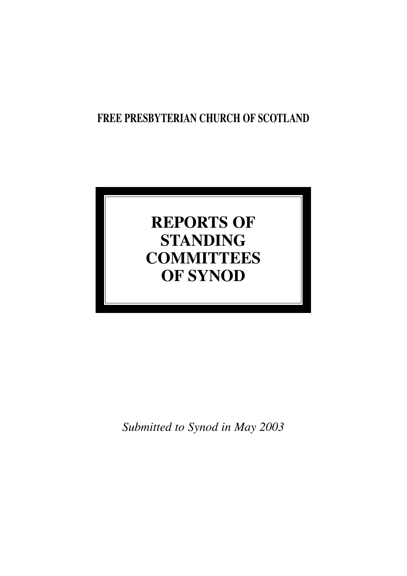## **FREE PRESBYTERIAN CHURCH OF SCOTLAND**

# **REPORTS OF STANDING COMMITTEES OF SYNOD**

*Submitted to Synod in May 2003*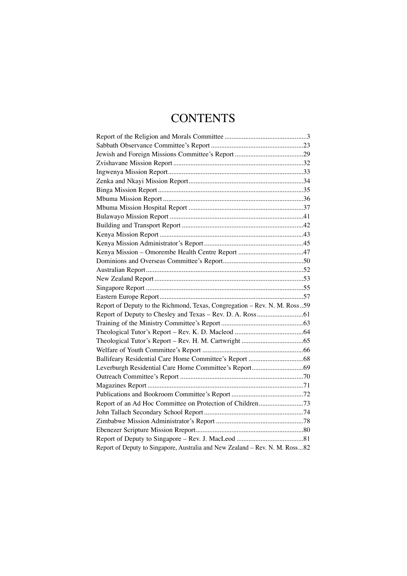## **CONTENTS**

| Report of Deputy to the Richmond, Texas, Congregation - Rev. N. M. Ross59    |  |
|------------------------------------------------------------------------------|--|
|                                                                              |  |
|                                                                              |  |
|                                                                              |  |
|                                                                              |  |
|                                                                              |  |
|                                                                              |  |
|                                                                              |  |
|                                                                              |  |
|                                                                              |  |
|                                                                              |  |
|                                                                              |  |
|                                                                              |  |
|                                                                              |  |
|                                                                              |  |
|                                                                              |  |
| Report of Deputy to Singapore, Australia and New Zealand - Rev. N. M. Ross82 |  |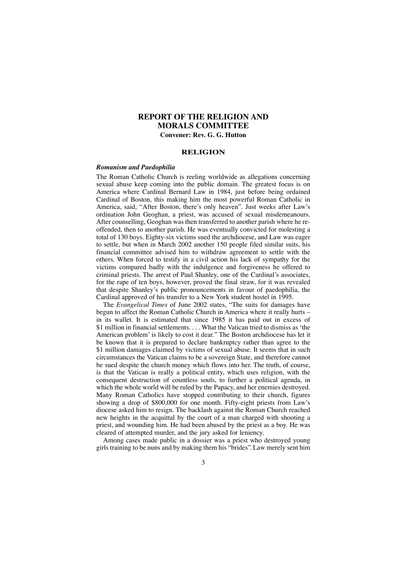## **REPORT OF THE RELIGION AND MORALS COMMITTEE Convener: Rev. G. G. Hutton**

#### **RELIGION**

#### *Romanism and Paedophilia*

The Roman Catholic Church is reeling worldwide as allegations concerning sexual abuse keep coming into the public domain. The greatest focus is on America where Cardinal Bernard Law in 1984, just before being ordained Cardinal of Boston, this making him the most powerful Roman Catholic in America, said, "After Boston, there's only heaven". Just weeks after Law's ordination John Geoghan, a priest, was accused of sexual misdemeanours. After counselling, Geoghan was then transferred to another parish where he reoffended, then to another parish. He was eventually convicted for molesting a total of 130 boys. Eighty-six victims sued the archdiocese, and Law was eager to settle, but when in March 2002 another 150 people filed similar suits, his financial committee advised him to withdraw agreement to settle with the others. When forced to testify in a civil action his lack of sympathy for the victims compared badly with the indulgence and forgiveness he offered to criminal priests. The arrest of Paul Shanley, one of the Cardinal's associates, for the rape of ten boys, however, proved the final straw, for it was revealed that despite Shanley's public pronouncements in favour of paedophilia, the Cardinal approved of his transfer to a New York student hostel in 1995.

The *Evangelical Times* of June 2002 states, "The suits for damages have begun to affect the Roman Catholic Church in America where it really hurts – in its wallet. It is estimated that since 1985 it has paid out in excess of \$1 million in financial settlements. . . . What the Vatican tried to dismiss as 'the American problem' is likely to cost it dear." The Boston archdiocese has let it be known that it is prepared to declare bankruptcy rather than agree to the \$1 million damages claimed by victims of sexual abuse. It seems that in such circumstances the Vatican claims to be a sovereign State, and therefore cannot be sued despite the church money which flows into her. The truth, of course, is that the Vatican is really a political entity, which uses religion, with the consequent destruction of countless souls, to further a political agenda, in which the whole world will be ruled by the Papacy, and her enemies destroyed. Many Roman Catholics have stopped contributing to their church, figures showing a drop of \$800,000 for one month. Fifty-eight priests from Law's diocese asked him to resign. The backlash against the Roman Church reached new heights in the acquittal by the court of a man charged with shooting a priest, and wounding him. He had been abused by the priest as a boy. He was cleared of attempted murder, and the jury asked for leniency.

Among cases made public in a dossier was a priest who destroyed young girls training to be nuns and by making them his "brides". Law merely sent him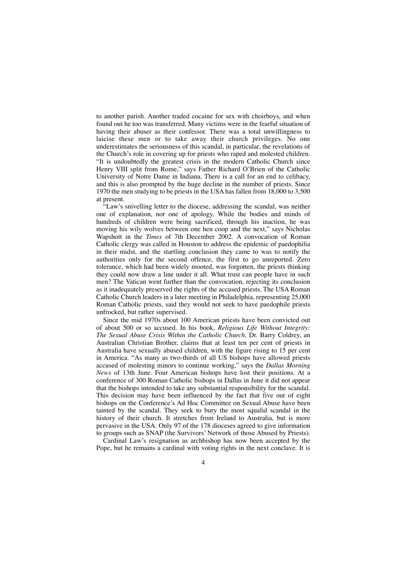to another parish. Another traded cocaine for sex with choirboys, and when found out he too was transferred. Many victims were in the fearful situation of having their abuser as their confessor. There was a total unwillingness to laicise these men or to take away their church privileges. No one underestimates the seriousness of this scandal, in particular, the revelations of the Church's role in covering up for priests who raped and molested children. "It is undoubtedly the greatest crisis in the modern Catholic Church since Henry VIII split from Rome," says Father Richard O'Brien of the Catholic University of Notre Dame in Indiana. There is a call for an end to celibacy, and this is also prompted by the huge decline in the number of priests. Since 1970 the men studying to be priests in the USA has fallen from 18,000 to 3,500 at present.

"Law's snivelling letter to the diocese, addressing the scandal, was neither one of explanation, nor one of apology. While the bodies and minds of hundreds of children were being sacrificed, through his inaction, he was moving his wily wolves between one hen coop and the next," says Nicholas Wapshott in the *Times* of 7th December 2002. A convocation of Roman Catholic clergy was called in Houston to address the epidemic of paedophilia in their midst, and the startling conclusion they came to was to notify the authorities only for the second offence, the first to go unreported. Zero tolerance, which had been widely mooted, was forgotten, the priests thinking they could now draw a line under it all. What trust can people have in such men? The Vatican went further than the convocation, rejecting its conclusion as it inadequately preserved the rights of the accused priests. The USA Roman Catholic Church leaders in a later meeting in Philadelphia, representing 25,000 Roman Catholic priests, said they would not seek to have paedophile priests unfrocked, but rather supervised.

Since the mid 1970s about 100 American priests have been convicted out of about 500 or so accused. In his book, *Religious Life Without Integrity: The Sexual Abuse Crisis Within the Catholic Church,* Dr. Barry Coldrey, an Australian Christian Brother, claims that at least ten per cent of priests in Australia have sexually abused children, with the figure rising to  $15$  per cent in America. "As many as two-thirds of all US bishops have allowed priests accused of molesting minors to continue working," says the *Dallas Morning News* of 13th June. Four American bishops have lost their positions. At a conference of 300 Roman Catholic bishops in Dallas in June it did not appear that the bishops intended to take any substantial responsibility for the scandal. This decision may have been influenced by the fact that five out of eight bishops on the Conference's Ad Hoc Committee on Sexual Abuse have been tainted by the scandal. They seek to bury the most squalid scandal in the history of their church. It stretches from Ireland to Australia, but is more pervasive in the USA. Only 97 of the 178 dioceses agreed to give information to groups such as SNAP (the Survivors' Network of those Abused by Priests).

Cardinal Law's resignation as archbishop has now been accepted by the Pope, but he remains a cardinal with voting rights in the next conclave. It is

 $\Delta$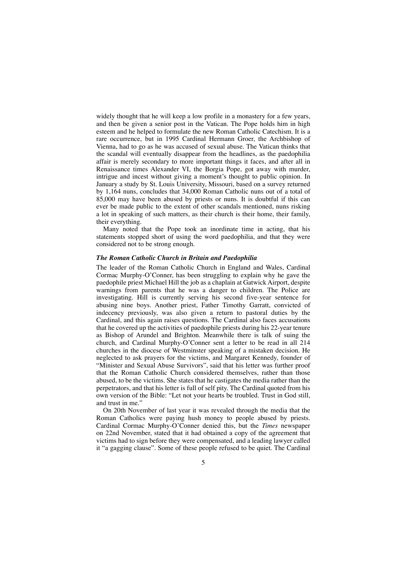widely thought that he will keep a low profile in a monastery for a few years, and then be given a senior post in the Vatican. The Pope holds him in high esteem and he helped to formulate the new Roman Catholic Catechism. It is a rare occurrence, but in 1995 Cardinal Hermann Groer, the Archbishop of Vienna, had to go as he was accused of sexual abuse. The Vatican thinks that the scandal will eventually disappear from the headlines, as the paedophilia affair is merely secondary to more important things it faces, and after all in Renaissance times Alexander VI, the Borgia Pope, got away with murder, intrigue and incest without giving a moment's thought to public opinion. In January a study by St. Louis University, Missouri, based on a survey returned by 1,164 nuns, concludes that 34,000 Roman Catholic nuns out of a total of 85,000 may have been abused by priests or nuns. It is doubtful if this can ever be made public to the extent of other scandals mentioned, nuns risking a lot in speaking of such matters, as their church is their home, their family, their everything.

Many noted that the Pope took an inordinate time in acting, that his statements stopped short of using the word paedophilia, and that they were considered not to be strong enough.

#### *The Roman Catholic Church in Britain and Paedophilia*

The leader of the Roman Catholic Church in England and Wales, Cardinal Cormac Murphy-O'Conner, has been struggling to explain why he gave the paedophile priest Michael Hill the job as a chaplain at Gatwick Airport, despite warnings from parents that he was a danger to children. The Police are investigating. Hill is currently serving his second five-year sentence for abusing nine boys. Another priest, Father Timothy Garratt, convicted of indecency previously, was also given a return to pastoral duties by the Cardinal, and this again raises questions. The Cardinal also faces accusations that he covered up the activities of paedophile priests during his 22-year tenure as Bishop of Arundel and Brighton. Meanwhile there is talk of suing the church, and Cardinal Murphy-O'Conner sent a letter to be read in all 214 churches in the diocese of Westminster speaking of a mistaken decision. He neglected to ask prayers for the victims, and Margaret Kennedy, founder of "Minister and Sexual Abuse Survivors", said that his letter was further proof that the Roman Catholic Church considered themselves, rather than those abused, to be the victims. She states that he castigates the media rather than the perpetrators, and that his letter is full of self pity. The Cardinal quoted from his own version of the Bible: "Let not your hearts be troubled. Trust in God still, and trust in me."

On 20th November of last year it was revealed through the media that the Roman Catholics were paying hush money to people abused by priests. Cardinal Cormac Murphy-O'Conner denied this, but the *Times* newspaper on 22nd November, stated that it had obtained a copy of the agreement that victims had to sign before they were compensated, and a leading lawyer called it "a gagging clause". Some of these people refused to be quiet. The Cardinal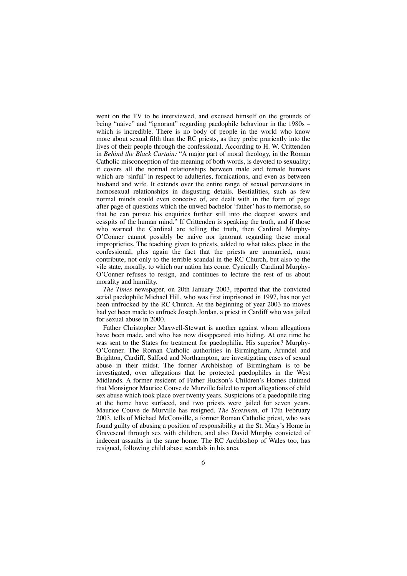went on the TV to be interviewed, and excused himself on the grounds of being "naive" and "ignorant" regarding paedophile behaviour in the 1980s – which is incredible. There is no body of people in the world who know more about sexual filth than the RC priests, as they probe pruriently into the lives of their people through the confessional. According to H. W. Crittenden in *Behind the Black Curtain:* "A major part of moral theology, in the Roman Catholic misconception of the meaning of both words, is devoted to sexuality; it covers all the normal relationships between male and female humans which are 'sinful' in respect to adulteries, fornications, and even as between husband and wife. It extends over the entire range of sexual perversions in homosexual relationships in disgusting details. Bestialities, such as few normal minds could even conceive of, are dealt with in the form of page after page of questions which the unwed bachelor 'father' has to memorise, so that he can pursue his enquiries further still into the deepest sewers and cesspits of the human mind." If Crittenden is speaking the truth, and if those who warned the Cardinal are telling the truth, then Cardinal Murphy-O'Conner cannot possibly be naive nor ignorant regarding these moral improprieties. The teaching given to priests, added to what takes place in the confessional, plus again the fact that the priests are unmarried, must contribute, not only to the terrible scandal in the RC Church, but also to the vile state, morally, to which our nation has come. Cynically Cardinal Murphy-O'Conner refuses to resign, and continues to lecture the rest of us about morality and humility.

*The Times* newspaper, on 20th January 2003, reported that the convicted serial paedophile Michael Hill, who was first imprisoned in 1997, has not yet been unfrocked by the RC Church. At the beginning of year 2003 no moves had yet been made to unfrock Joseph Jordan, a priest in Cardiff who was jailed for sexual abuse in 2000.

Father Christopher Maxwell-Stewart is another against whom allegations have been made, and who has now disappeared into hiding. At one time he was sent to the States for treatment for paedophilia. His superior? Murphy-O'Conner. The Roman Catholic authorities in Birmingham, Arundel and Brighton, Cardiff, Salford and Northampton, are investigating cases of sexual abuse in their midst. The former Archbishop of Birmingham is to be investigated, over allegations that he protected paedophiles in the West Midlands. A former resident of Father Hudson's Children's Homes claimed that Monsignor Maurice Couve de Murville failed to report allegations of child sex abuse which took place over twenty years. Suspicions of a paedophile ring at the home have surfaced, and two priests were jailed for seven years. Maurice Couve de Murville has resigned. *The Scotsman,* of 17th February 2003, tells of Michael McConville, a former Roman Catholic priest, who was found guilty of abusing a position of responsibility at the St. Mary's Home in Gravesend through sex with children, and also David Murphy convicted of indecent assaults in the same home. The RC Archbishop of Wales too, has resigned, following child abuse scandals in his area.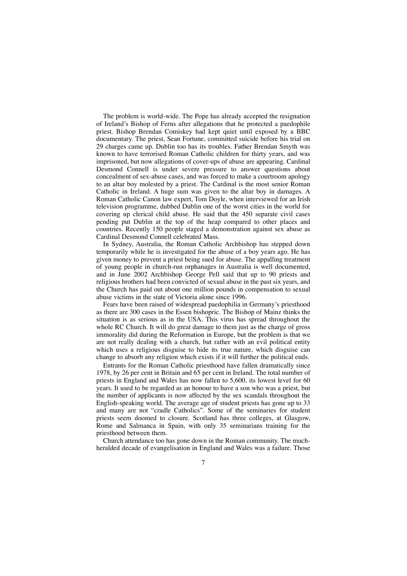The problem is world-wide. The Pope has already accepted the resignation of Ireland's Bishop of Ferns after allegations that he protected a paedophile priest. Bishop Brendan Comiskey had kept quiet until exposed by a BBC documentary. The priest, Sean Fortune, committed suicide before his trial on 29 charges came up. Dublin too has its troubles. Father Brendan Smyth was known to have terrorised Roman Catholic children for thirty years, and was imprisoned, but now allegations of cover-ups of abuse are appearing. Cardinal Desmond Connell is under severe pressure to answer questions about concealment of sex-abuse cases, and was forced to make a courtroom apology to an altar boy molested by a priest. The Cardinal is the most senior Roman Catholic in Ireland. A huge sum was given to the altar boy in damages. A Roman Catholic Canon law expert, Tom Doyle, when interviewed for an Irish television programme, dubbed Dublin one of the worst cities in the world for covering up clerical child abuse. He said that the 450 separate civil cases pending put Dublin at the top of the heap compared to other places and countries. Recently 150 people staged a demonstration against sex abuse as Cardinal Desmond Connell celebrated Mass.

In Sydney, Australia, the Roman Catholic Archbishop has stepped down temporarily while he is investigated for the abuse of a boy years ago. He has given money to prevent a priest being sued for abuse. The appalling treatment of young people in church-run orphanages in Australia is well documented, and in June 2002 Archbishop George Pell said that up to 90 priests and religious brothers had been convicted of sexual abuse in the past six years, and the Church has paid out about one million pounds in compensation to sexual abuse victims in the state of Victoria alone since 1996.

Fears have been raised of widespread paedophilia in Germany's priesthood as there are 300 cases in the Essen bishopric. The Bishop of Mainz thinks the situation is as serious as in the USA. This virus has spread throughout the whole RC Church. It will do great damage to them just as the charge of gross immorality did during the Reformation in Europe, but the problem is that we are not really dealing with a church, but rather with an evil political entity which uses a religious disguise to hide its true nature, which disguise can change to absorb any religion which exists if it will further the political ends.

Entrants for the Roman Catholic priesthood have fallen dramatically since 1978, by 26 per cent in Britain and 65 per cent in Ireland. The total number of priests in England and Wales has now fallen to 5,600, its lowest level for 60 years. It used to be regarded as an honour to have a son who was a priest, but the number of applicants is now affected by the sex scandals throughout the English-speaking world. The average age of student priests has gone up to 33 and many are not "cradle Catholics". Some of the seminaries for student priests seem doomed to closure. Scotland has three colleges, at Glasgow, Rome and Salmanca in Spain, with only 35 seminarians training for the priesthood between them.

Church attendance too has gone down in the Roman community. The muchheralded decade of evangelisation in England and Wales was a failure. Those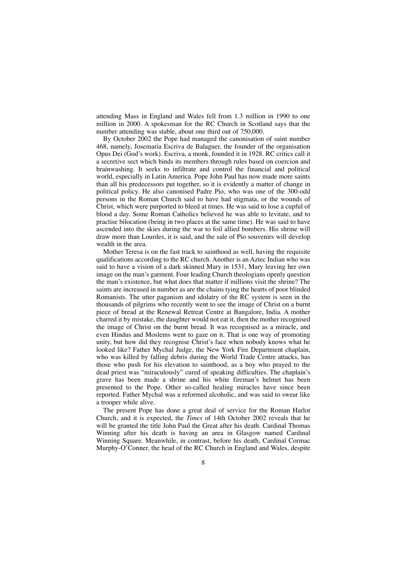attending Mass in England and Wales fell from 1.3 million in 1990 to one million in 2000. A spokesman for the RC Church in Scotland says that the number attending was stable, about one third out of 750,000.

By October 2002 the Pope had managed the canonisation of saint number 468, namely, Josemaria Escriva de Balaguer, the founder of the organisation Opus Dei (God's work). Escriva, a monk, founded it in 1928. RC critics call it a secretive sect which binds its members through rules based on coercion and brainwashing. It seeks to infiltrate and control the financial and political world, especially in Latin America. Pope John Paul has now made more saints than all his predecessors put together, so it is evidently a matter of change in political policy. He also canonised Padre Pio, who was one of the 300-odd persons in the Roman Church said to have had stigmata, or the wounds of Christ, which were purported to bleed at times. He was said to lose a cupful of blood a day. Some Roman Catholics believed he was able to levitate, and to practise bilocation (being in two places at the same time). He was said to have ascended into the skies during the war to foil allied bombers. His shrine will draw more than Lourdes, it is said, and the sale of Pio souvenirs will develop wealth in the area.

Mother Teresa is on the fast track to sainthood as well, having the requisite qualifications according to the RC church. Another is an Aztec Indian who was said to have a vision of a dark skinned Mary in 1531, Mary leaving her own image on the man's garment. Four leading Church theologians openly question the man's existence, but what does that matter if millions visit the shrine? The saints are increased in number as are the chains tying the hearts of poor blinded Romanists. The utter paganism and idolatry of the RC system is seen in the thousands of pilgrims who recently went to see the image of Christ on a burnt piece of bread at the Renewal Retreat Centre at Bangalore, India. A mother charred it by mistake, the daughter would not eat it, then the mother recognised the image of Christ on the burnt bread. It was recognised as a miracle, and even Hindus and Moslems went to gaze on it. That is one way of promoting unity, but how did they recognise Christ's face when nobody knows what he looked like? Father Mychal Judge, the New York Fire Department chaplain, who was killed by falling debris during the World Trade Centre attacks, has those who push for his elevation to sainthood, as a boy who prayed to the dead priest was "miraculously" cured of speaking difficulties. The chaplain's grave has been made a shrine and his white fireman's helmet has been presented to the Pope. Other so-called healing miracles have since been reported. Father Mychal was a reformed alcoholic, and was said to swear like a trooper while alive.

The present Pope has done a great deal of service for the Roman Harlot Church, and it is expected, the *Times* of 14th October 2002 reveals that he will be granted the title John Paul the Great after his death. Cardinal Thomas Winning after his death is having an area in Glasgow named Cardinal Winning Square. Meanwhile, in contrast, before his death, Cardinal Cormac Murphy-O'Conner, the head of the RC Church in England and Wales, despite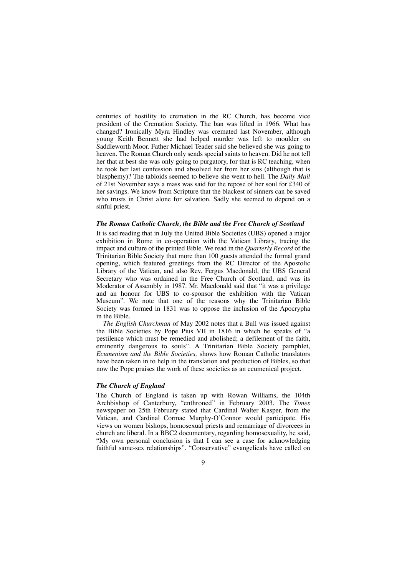centuries of hostility to cremation in the RC Church, has become vice president of the Cremation Society. The ban was lifted in 1966. What has changed? Ironically Myra Hindley was cremated last November, although young Keith Bennett she had helped murder was left to moulder on Saddleworth Moor. Father Michael Teader said she believed she was going to heaven. The Roman Church only sends special saints to heaven. Did he not tell her that at best she was only going to purgatory, for that is RC teaching, when he took her last confession and absolved her from her sins (although that is blasphemy)? The tabloids seemed to believe she went to hell. The *Daily Mail* of 21st November says a mass was said for the repose of her soul for £340 of her savings. We know from Scripture that the blackest of sinners can be saved who trusts in Christ alone for salvation. Sadly she seemed to depend on a sinful priest.

#### *The Roman Catholic Church, the Bible and the Free Church of Scotland*

It is sad reading that in July the United Bible Societies (UBS) opened a major exhibition in Rome in co-operation with the Vatican Library, tracing the impact and culture of the printed Bible. We read in the *Quarterly Record* of the Trinitarian Bible Society that more than 100 guests attended the formal grand opening, which featured greetings from the RC Director of the Apostolic Library of the Vatican, and also Rev. Fergus Macdonald, the UBS General Secretary who was ordained in the Free Church of Scotland, and was its Moderator of Assembly in 1987. Mr. Macdonald said that "it was a privilege and an honour for UBS to co-sponsor the exhibition with the Vatican Museum". We note that one of the reasons why the Trinitarian Bible Society was formed in 1831 was to oppose the inclusion of the Apocrypha in the Bible.

*The English Churchman* of May 2002 notes that a Bull was issued against the Bible Societies by Pope Pius VII in 1816 in which he speaks of "a pestilence which must be remedied and abolished; a defilement of the faith, eminently dangerous to souls". A Trinitarian Bible Society pamphlet, *Ecumenism and the Bible Societies,* shows how Roman Catholic translators have been taken in to help in the translation and production of Bibles, so that now the Pope praises the work of these societies as an ecumenical project.

#### *The Church of England*

The Church of England is taken up with Rowan Williams, the 104th Archbishop of Canterbury, "enthroned" in February 2003. The *Times* newspaper on 25th February stated that Cardinal Walter Kasper, from the Vatican, and Cardinal Cormac Murphy-O'Connor would participate. His views on women bishops, homosexual priests and remarriage of divorcees in church are liberal. In a BBC2 documentary, regarding homosexuality, he said, "My own personal conclusion is that I can see a case for acknowledging faithful same-sex relationships". "Conservative" evangelicals have called on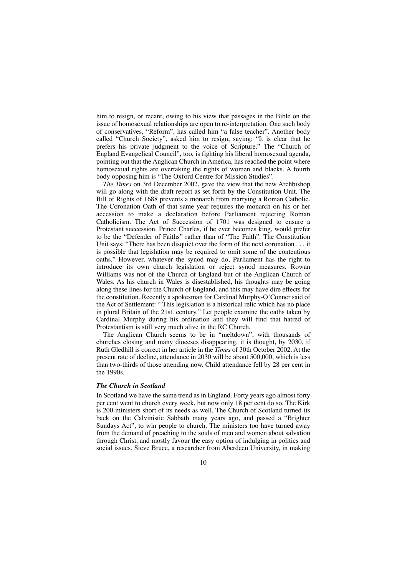him to resign, or recant, owing to his view that passages in the Bible on the issue of homosexual relationships are open to re-interpretation. One such body of conservatives, "Reform", has called him "a false teacher". Another body called "Church Society", asked him to resign, saying: "It is clear that he prefers his private judgment to the voice of Scripture." The "Church of England Evangelical Council", too, is fighting his liberal homosexual agenda, pointing out that the Anglican Church in America, has reached the point where homosexual rights are overtaking the rights of women and blacks. A fourth body opposing him is "The Oxford Centre for Mission Studies".

*The Times* on 3rd December 2002, gave the view that the new Archbishop will go along with the draft report as set forth by the Constitution Unit. The Bill of Rights of 1688 prevents a monarch from marrying a Roman Catholic. The Coronation Oath of that same year requires the monarch on his or her accession to make a declaration before Parliament rejecting Roman Catholicism. The Act of Succession of 1701 was designed to ensure a Protestant succession. Prince Charles, if he ever becomes king, would prefer to be the "Defender of Faiths" rather than of "The Faith". The Constitution Unit says: "There has been disquiet over the form of the next coronation . . . it is possible that legislation may be required to omit some of the contentious oaths." However, whatever the synod may do, Parliament has the right to introduce its own church legislation or reject synod measures. Rowan Williams was not of the Church of England but of the Anglican Church of Wales. As his church in Wales is disestablished, his thoughts may be going along these lines for the Church of England, and this may have dire effects for the constitution. Recently a spokesman for Cardinal Murphy-O'Conner said of the Act of Settlement: " This legislation is a historical relic which has no place in plural Britain of the 21st. century." Let people examine the oaths taken by Cardinal Murphy during his ordination and they will find that hatred of Protestantism is still very much alive in the RC Church.

The Anglican Church seems to be in "meltdown", with thousands of churches closing and many dioceses disappearing, it is thought, by 2030, if Ruth Gledhill is correct in her article in the *Times* of 30th October 2002. At the present rate of decline, attendance in 2030 will be about 500,000, which is less than two-thirds of those attending now. Child attendance fell by 28 per cent in the 1990s.

#### *The Church in Scotland*

In Scotland we have the same trend as in England. Forty years ago almost forty per cent went to church every week, but now only 18 per cent do so. The Kirk is 200 ministers short of its needs as well. The Church of Scotland turned its back on the Calvinistic Sabbath many years ago, and passed a "Brighter Sundays Act", to win people to church. The ministers too have turned away from the demand of preaching to the souls of men and women about salvation through Christ, and mostly favour the easy option of indulging in politics and social issues. Steve Bruce, a researcher from Aberdeen University, in making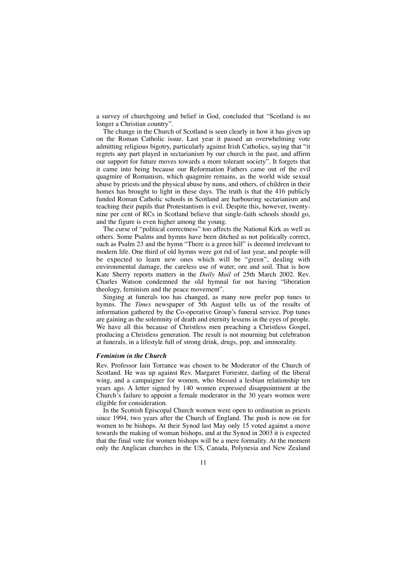a survey of churchgoing and belief in God, concluded that "Scotland is no longer a Christian country".

The change in the Church of Scotland is seen clearly in how it has given up on the Roman Catholic issue. Last year it passed an overwhelming vote admitting religious bigotry, particularly against Irish Catholics, saying that "it regrets any part played in sectarianism by our church in the past, and affirm our support for future moves towards a more tolerant society". It forgets that it came into being because our Reformation Fathers came out of the evil quagmire of Romanism, which quagmire remains, as the world wide sexual abuse by priests and the physical abuse by nuns, and others, of children in their homes has brought to light in these days. The truth is that the 416 publicly funded Roman Catholic schools in Scotland are harbouring sectarianism and teaching their pupils that Protestantism is evil. Despite this, however, twentynine per cent of RCs in Scotland believe that single-faith schools should go, and the figure is even higher among the young.

The curse of "political correctness" too affects the National Kirk as well as others. Some Psalms and hymns have been ditched as not politically correct, such as Psalm 23 and the hymn "There is a green hill" is deemed irrelevant to modern life. One third of old hymns were got rid of last year, and people will be expected to learn new ones which will be "green", dealing with environmental damage, the careless use of water, ore and soil. That is how Kate Sherry reports matters in the *Daily Mail* of 25th March 2002. Rev. Charles Watson condemned the old hymnal for not having "liberation theology, feminism and the peace movement".

Singing at funerals too has changed, as many now prefer pop tunes to hymns. The *Times* newspaper of 5th August tells us of the results of information gathered by the Co-operative Group's funeral service. Pop tunes are gaining as the solemnity of death and eternity lessens in the eyes of people. We have all this because of Christless men preaching a Christless Gospel, producing a Christless generation. The result is not mourning but celebration at funerals, in a lifestyle full of strong drink, drugs, pop, and immorality.

#### *Feminism in the Church*

Rev. Professor Iain Torrance was chosen to be Moderator of the Church of Scotland. He was up against Rev. Margaret Forrester, darling of the liberal wing, and a campaigner for women, who blessed a lesbian relationship ten years ago. A letter signed by 140 women expressed disappointment at the Church's failure to appoint a female moderator in the 30 years women were eligible for consideration.

In the Scottish Episcopal Church women were open to ordination as priests since 1994, two years after the Church of England. The push is now on for women to be bishops. At their Synod last May only 15 voted against a move towards the making of woman bishops, and at the Synod in 2003 it is expected that the final vote for women bishops will be a mere formality. At the moment only the Anglican churches in the US, Canada, Polynesia and New Zealand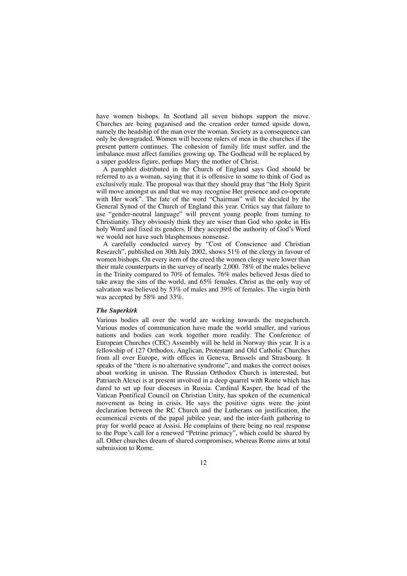have women bishops. In Scotland all seven bishops support the move. Churches are being paganised and the creation order turned upside down, namely the headship of the man over the woman. Society as a consequence can only be downgraded. Women will become rulers of men in the churches if the present pattern continues. The cohesion of family life must suffer, and the imbalance must affect families growing up. The Godhead will be replaced by a super goddess figure, perhaps Mary the mother of Christ.

A pamphlet distributed in the Church of England says God should be referred to as a woman, saying that it is offensive to some to think of God as exclusively male. The proposal was that they should pray that "the Holy Spirit will move amongst us and that we may recognise Her presence and co-operate with Her work". The fate of the word "Chairman" will be decided by the General Synod of the Church of England this year. Critics say that failure to use "gender-neutral language" will prevent young people from turning to Christianity. They obviously think they are wiser than God who spoke in His holy Word and fixed its genders. If they accepted the authority of God's Word we would not have such blasphemous nonsense.

A carefully conducted survey by "Cost of Conscience and Christian Research", published on 30th July 2002, shows 51% of the clergy in favour of women bishops. On every item of the creed the women clergy were lower than their male counterparts in the survey of nearly 2,000. 78% of the males believe in the Trinity compared to 70% of females. 76% males believed Jesus died to take away the sins of the world, and 65% females. Christ as the only way of salvation was believed by 53% of males and 39% of females. The virgin birth was accepted by 58% and 33%.

#### *The Superkirk*

Various bodies all over the world are working towards the megachurch. Various modes of communication have made the world smaller, and various nations and bodies can work together more readily. The Conference of European Churches (CEC) Assembly will be held in Norway this year. It is a fellowship of 127 Orthodox, Anglican, Protestant and Old Catholic Churches from all over Europe, with offices in Geneva, Brussels and Strasbourg. It speaks of the "there is no alternative syndrome", and makes the correct noises about working in unison. The Russian Orthodox Church is interested, but Patriarch Alexei is at present involved in a deep quarrel with Rome which has dared to set up four dioceses in Russia. Cardinal Kasper, the head of the Vatican Pontifical Council on Christian Unity, has spoken of the ecumenical movement as being in crisis. He says the positive signs were the joint declaration between the RC Church and the Lutherans on justification, the ecumenical events of the papal jubilee year, and the inter-faith gathering to pray for world peace at Assisi. He complains of there being no real response to the Pope's call for a renewed "Petrine primacy", which could be shared by all. Other churches dream of shared compromises, whereas Rome aims at total submission to Rome.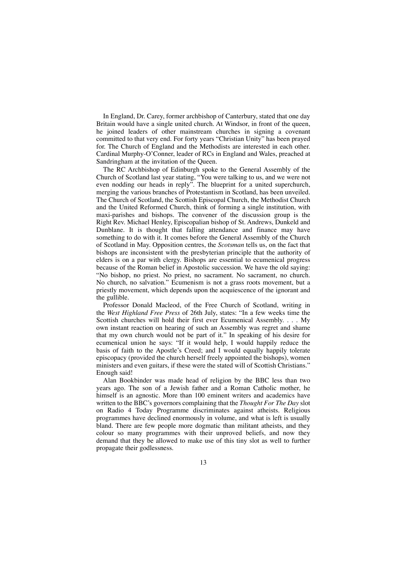In England, Dr. Carey, former archbishop of Canterbury, stated that one day Britain would have a single united church. At Windsor, in front of the queen, he joined leaders of other mainstream churches in signing a covenant committed to that very end. For forty years "Christian Unity" has been prayed for. The Church of England and the Methodists are interested in each other. Cardinal Murphy-O'Conner, leader of RCs in England and Wales, preached at Sandringham at the invitation of the Queen.

The RC Archbishop of Edinburgh spoke to the General Assembly of the Church of Scotland last year stating, "You were talking to us, and we were not even nodding our heads in reply". The blueprint for a united superchurch, merging the various branches of Protestantism in Scotland, has been unveiled. The Church of Scotland, the Scottish Episcopal Church, the Methodist Church and the United Reformed Church, think of forming a single institution, with maxi-parishes and bishops. The convener of the discussion group is the Right Rev. Michael Henley, Episcopalian bishop of St. Andrews, Dunkeld and Dunblane. It is thought that falling attendance and finance may have something to do with it. It comes before the General Assembly of the Church of Scotland in May. Opposition centres, the *Scotsman* tells us, on the fact that bishops are inconsistent with the presbyterian principle that the authority of elders is on a par with clergy. Bishops are essential to ecumenical progress because of the Roman belief in Apostolic succession. We have the old saying: "No bishop, no priest. No priest, no sacrament. No sacrament, no church. No church, no salvation." Ecumenism is not a grass roots movement, but a priestly movement, which depends upon the acquiescence of the ignorant and the gullible.

Professor Donald Macleod, of the Free Church of Scotland, writing in the *West Highland Free Press* of 26th July, states: "In a few weeks time the Scottish churches will hold their first ever Ecumenical Assembly. . . . My own instant reaction on hearing of such an Assembly was regret and shame that my own church would not be part of it." In speaking of his desire for ecumenical union he says: "If it would help, I would happily reduce the basis of faith to the Apostle's Creed; and I would equally happily tolerate episcopacy (provided the church herself freely appointed the bishops), women ministers and even guitars, if these were the stated will of Scottish Christians." Enough said!

Alan Bookbinder was made head of religion by the BBC less than two years ago. The son of a Jewish father and a Roman Catholic mother, he himself is an agnostic. More than 100 eminent writers and academics have written to the BBC's governors complaining that the *Thought For The Day* slot on Radio 4 Today Programme discriminates against atheists. Religious programmes have declined enormously in volume, and what is left is usually bland. There are few people more dogmatic than militant atheists, and they colour so many programmes with their unproved beliefs, and now they demand that they be allowed to make use of this tiny slot as well to further propagate their godlessness.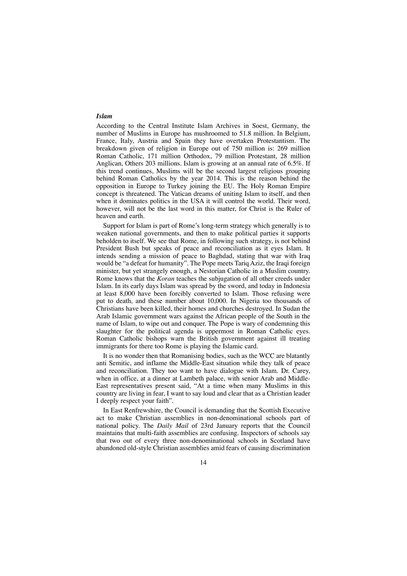#### *Islam*

According to the Central Institute Islam Archives in Soest, Germany, the number of Muslims in Europe has mushroomed to 51.8 million. In Belgium, France, Italy, Austria and Spain they have overtaken Protestantism. The breakdown given of religion in Europe out of 750 million is: 269 million Roman Catholic, 171 million Orthodox, 79 million Protestant, 28 million Anglican, Others 203 millions. Islam is growing at an annual rate of 6.5%. If this trend continues, Muslims will be the second largest religious grouping behind Roman Catholics by the year 2014. This is the reason behind the opposition in Europe to Turkey joining the EU. The Holy Roman Empire concept is threatened. The Vatican dreams of uniting Islam to itself, and then when it dominates politics in the USA it will control the world. Their word, however, will not be the last word in this matter, for Christ is the Ruler of heaven and earth.

Support for Islam is part of Rome's long-term strategy which generally is to weaken national governments, and then to make political parties it supports beholden to itself. We see that Rome, in following such strategy, is not behind President Bush but speaks of peace and reconciliation as it eyes Islam. It intends sending a mission of peace to Baghdad, stating that war with Iraq would be "a defeat for humanity". The Pope meets Tariq Aziz, the Iraqi foreign minister, but yet strangely enough, a Nestorian Catholic in a Muslim country. Rome knows that the *Koran* teaches the subjugation of all other creeds under Islam. In its early days Islam was spread by the sword, and today in Indonesia at least 8,000 have been forcibly converted to Islam. Those refusing were put to death, and these number about 10,000. In Nigeria too thousands of Christians have been killed, their homes and churches destroyed. In Sudan the Arab Islamic government wars against the African people of the South in the name of Islam, to wipe out and conquer. The Pope is wary of condemning this slaughter for the political agenda is uppermost in Roman Catholic eyes. Roman Catholic bishops warn the British government against ill treating immigrants for there too Rome is playing the Islamic card.

It is no wonder then that Romanising bodies, such as the WCC are blatantly anti Semitic, and inflame the Middle-East situation while they talk of peace and reconciliation. They too want to have dialogue with Islam. Dr. Carey, when in office, at a dinner at Lambeth palace, with senior Arab and Middle-East representatives present said, "At a time when many Muslims in this country are living in fear, I want to say loud and clear that as a Christian leader I deeply respect your faith".

In East Renfrewshire, the Council is demanding that the Scottish Executive act to make Christian assemblies in non-denominational schools part of national policy. The *Daily Mail* of 23rd January reports that the Council maintains that multi-faith assemblies are confusing. Inspectors of schools say that two out of every three non-denominational schools in Scotland have abandoned old-style Christian assemblies amid fears of causing discrimination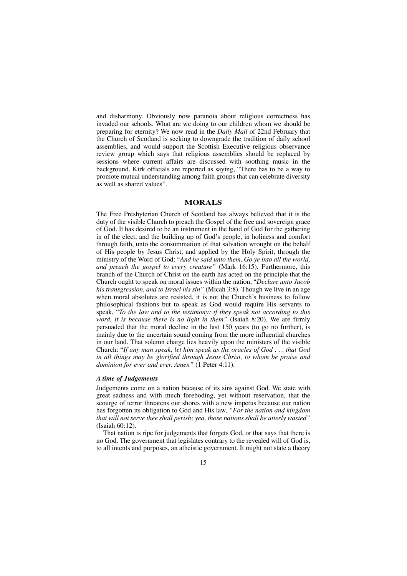and disharmony. Obviously now paranoia about religious correctness has invaded our schools. What are we doing to our children whom we should be preparing for eternity? We now read in the *Daily Mail* of 22nd February that the Church of Scotland is seeking to downgrade the tradition of daily school assemblies, and would support the Scottish Executive religious observance review group which says that religious assemblies should be replaced by sessions where current affairs are discussed with soothing music in the background. Kirk officials are reported as saying, "There has to be a way to promote mutual understanding among faith groups that can celebrate diversity as well as shared values".

#### **MORALS**

The Free Presbyterian Church of Scotland has always believed that it is the duty of the visible Church to preach the Gospel of the free and sovereign grace of God. It has desired to be an instrument in the hand of God for the gathering in of the elect, and the building up of God's people, in holiness and comfort through faith, unto the consummation of that salvation wrought on the behalf of His people by Jesus Christ, and applied by the Holy Spirit, through the ministry of the Word of God: "*And he said unto them, Go ye into all the world, and preach the gospel to every creature"* (Mark 16:15). Furthermore, this branch of the Church of Christ on the earth has acted on the principle that the Church ought to speak on moral issues within the nation, "*Declare unto Jacob his transgression, and to Israel his sin"* (Micah 3:8). Though we live in an age when moral absolutes are resisted, it is not the Church's business to follow philosophical fashions but to speak as God would require His servants to speak, "*To the law and to the testimony: if they speak not according to this word, it is because there is no light in them"* (Isaiah 8:20). We are firmly persuaded that the moral decline in the last 150 years (to go no further), is mainly due to the uncertain sound coming from the more influential churches in our land. That solemn charge lies heavily upon the ministers of the visible Church: "*If any man speak, let him speak as the oracles of God . . . that God in all things may be glorified through Jesus Christ, to whom be praise and dominion for ever and ever. Amen"* (1 Peter 4:11).

#### *A time of Judgements*

Judgements come on a nation because of its sins against God. We state with great sadness and with much foreboding, yet without reservation, that the scourge of terror threatens our shores with a new impetus because our nation has forgotten its obligation to God and His law, *"For the nation and kingdom that will not serve thee shall perish; yea, those nations shall be utterly wasted"* (Isaiah 60:12).

That nation is ripe for judgements that forgets God, or that says that there is no God. The government that legislates contrary to the revealed will of God is, to all intents and purposes, an atheistic government. It might not state a theory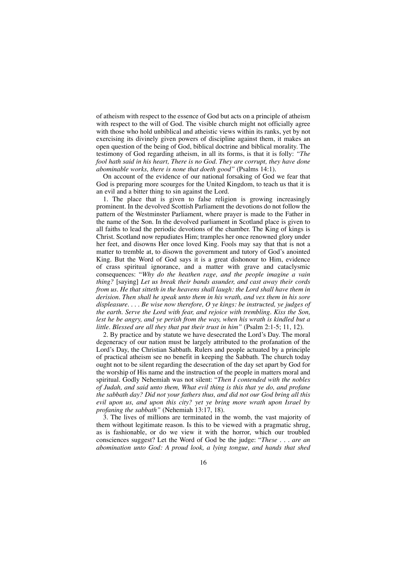of atheism with respect to the essence of God but acts on a principle of atheism with respect to the will of God. The visible church might not officially agree with those who hold unbiblical and atheistic views within its ranks, yet by not exercising its divinely given powers of discipline against them, it makes an open question of the being of God, biblical doctrine and biblical morality. The testimony of God regarding atheism, in all its forms, is that it is folly: *"The fool hath said in his heart, There is no God. They are corrupt, they have done abominable works, there is none that doeth good"* (Psalms 14:1).

On account of the evidence of our national forsaking of God we fear that God is preparing more scourges for the United Kingdom, to teach us that it is an evil and a bitter thing to sin against the Lord.

1. The place that is given to false religion is growing increasingly prominent. In the devolved Scottish Parliament the devotions do not follow the pattern of the Westminster Parliament, where prayer is made to the Father in the name of the Son. In the devolved parliament in Scotland place is given to all faiths to lead the periodic devotions of the chamber. The King of kings is Christ. Scotland now repudiates Him; tramples her once renowned glory under her feet, and disowns Her once loved King. Fools may say that that is not a matter to tremble at, to disown the government and tutory of God's anointed King. But the Word of God says it is a great dishonour to Him, evidence of crass spiritual ignorance, and a matter with grave and cataclysmic consequences: "*Why do the heathen rage, and the people imagine a vain thing?* [saying] *Let us break their bands asunder, and cast away their cords from us. He that sitteth in the heavens shall laugh: the Lord shall have them in derision. Then shall he speak unto them in his wrath, and vex them in his sore displeasure. . . . Be wise now therefore, O ye kings: be instructed, ye judges of the earth. Serve the Lord with fear, and rejoice with trembling. Kiss the Son, lest he be angry, and ye perish from the way, when his wrath is kindled but a little. Blessed are all they that put their trust in him"* (Psalm 2:1-5; 11, 12).

2. By practice and by statute we have desecrated the Lord's Day. The moral degeneracy of our nation must be largely attributed to the profanation of the Lord's Day, the Christian Sabbath. Rulers and people actuated by a principle of practical atheism see no benefit in keeping the Sabbath. The church today ought not to be silent regarding the desecration of the day set apart by God for the worship of His name and the instruction of the people in matters moral and spiritual. Godly Nehemiah was not silent: "*Then I contended with the nobles of Judah, and said unto them, What evil thing is this that ye do, and profane the sabbath day? Did not your fathers thus, and did not our God bring all this evil upon us, and upon this city? yet ye bring more wrath upon Israel by profaning the sabbath"* (Nehemiah 13:17, 18).

3. The lives of millions are terminated in the womb, the vast majority of them without legitimate reason. Is this to be viewed with a pragmatic shrug, as is fashionable, or do we view it with the horror, which our troubled consciences suggest? Let the Word of God be the judge: "*These . . . are an abomination unto God: A proud look, a lying tongue, and hands that shed*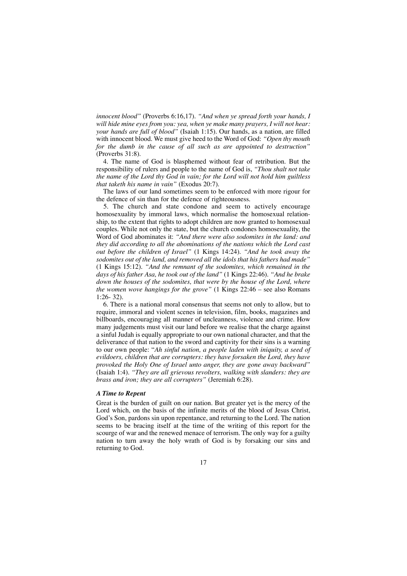*innocent blood"* (Proverbs 6:16,17). *"And when ye spread forth your hands, I will hide mine eyes from you: yea, when ye make many prayers, I will not hear: your hands are full of blood"* (Isaiah 1:15). Our hands, as a nation, are filled with innocent blood. We must give heed to the Word of God: *"Open thy mouth for the dumb in the cause of all such as are appointed to destruction"* (Proverbs 31:8).

4. The name of God is blasphemed without fear of retribution. But the responsibility of rulers and people to the name of God is, *"Thou shalt not take the name of the Lord thy God in vain; for the Lord will not hold him guiltless that taketh his name in vain"* (Exodus 20:7).

The laws of our land sometimes seem to be enforced with more rigour for the defence of sin than for the defence of righteousness.

5. The church and state condone and seem to actively encourage homosexuality by immoral laws, which normalise the homosexual relationship, to the extent that rights to adopt children are now granted to homosexual couples. While not only the state, but the church condones homosexuality, the Word of God abominates it: *"And there were also sodomites in the land: and they did according to all the abominations of the nations which the Lord cast out before the children of Israel"* (1 Kings 14:24). *"And he took away the sodomites out of the land, and removed all the idols that his fathers had made"* (1 Kings 15:12). *"And the remnant of the sodomites, which remained in the days of his father Asa, he took out of the land"* (1 Kings 22:46). *"And he brake down the houses of the sodomites, that were by the house of the Lord, where the women wove hangings for the grove"* (1 Kings 22:46 – see also Romans 1:26- 32).

6. There is a national moral consensus that seems not only to allow, but to require, immoral and violent scenes in television, film, books, magazines and billboards, encouraging all manner of uncleanness, violence and crime. How many judgements must visit our land before we realise that the charge against a sinful Judah is equally appropriate to our own national character, and that the deliverance of that nation to the sword and captivity for their sins is a warning to our own people: "*Ah sinful nation, a people laden with iniquity, a seed of evildoers, children that are corrupters: they have forsaken the Lord, they have provoked the Holy One of Israel unto anger, they are gone away backward"* (Isaiah 1:4). *"They are all grievous revolters, walking with slanders: they are brass and iron; they are all corrupters"* (Jeremiah 6:28).

#### *A Time to Repent*

Great is the burden of guilt on our nation. But greater yet is the mercy of the Lord which, on the basis of the infinite merits of the blood of Jesus Christ, God's Son, pardons sin upon repentance, and returning to the Lord. The nation seems to be bracing itself at the time of the writing of this report for the scourge of war and the renewed menace of terrorism. The only way for a guilty nation to turn away the holy wrath of God is by forsaking our sins and returning to God.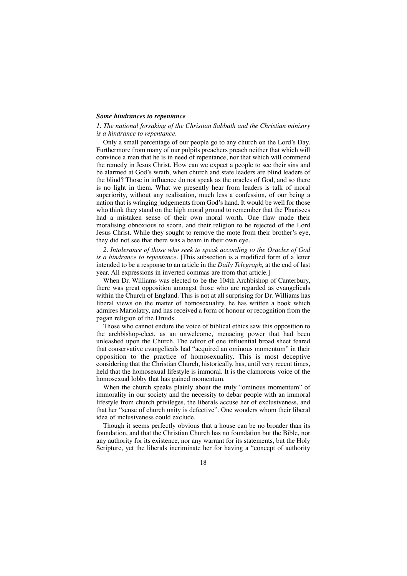#### *Some hindrances to repentance*

*1. The national forsaking of the Christian Sabbath and the Christian ministry is a hindrance to repentance.*

Only a small percentage of our people go to any church on the Lord's Day. Furthermore from many of our pulpits preachers preach neither that which will convince a man that he is in need of repentance, nor that which will commend the remedy in Jesus Christ. How can we expect a people to see their sins and be alarmed at God's wrath, when church and state leaders are blind leaders of the blind? Those in influence do not speak as the oracles of God, and so there is no light in them. What we presently hear from leaders is talk of moral superiority, without any realisation, much less a confession, of our being a nation that is wringing judgements from God's hand. It would be well for those who think they stand on the high moral ground to remember that the Pharisees had a mistaken sense of their own moral worth. One flaw made their moralising obnoxious to scorn, and their religion to be rejected of the Lord Jesus Christ. While they sought to remove the mote from their brother's eye, they did not see that there was a beam in their own eye.

*2. Intolerance of those who seek to speak according to the Oracles of God is a hindrance to repentance.* [This subsection is a modified form of a letter intended to be a response to an article in the *Daily Telegraph,* at the end of last year. All expressions in inverted commas are from that article.]

When Dr. Williams was elected to be the 104th Archbishop of Canterbury, there was great opposition amongst those who are regarded as evangelicals within the Church of England. This is not at all surprising for Dr. Williams has liberal views on the matter of homosexuality, he has written a book which admires Mariolatry, and has received a form of honour or recognition from the pagan religion of the Druids.

Those who cannot endure the voice of biblical ethics saw this opposition to the archbishop-elect, as an unwelcome, menacing power that had been unleashed upon the Church. The editor of one influential broad sheet feared that conservative evangelicals had "acquired an ominous momentum" in their opposition to the practice of homosexuality. This is most deceptive considering that the Christian Church, historically, has, until very recent times, held that the homosexual lifestyle is immoral. It is the clamorous voice of the homosexual lobby that has gained momentum.

When the church speaks plainly about the truly "ominous momentum" of immorality in our society and the necessity to debar people with an immoral lifestyle from church privileges, the liberals accuse her of exclusiveness, and that her "sense of church unity is defective". One wonders whom their liberal idea of inclusiveness could exclude.

Though it seems perfectly obvious that a house can be no broader than its foundation, and that the Christian Church has no foundation but the Bible, nor any authority for its existence, nor any warrant for its statements, but the Holy Scripture, yet the liberals incriminate her for having a "concept of authority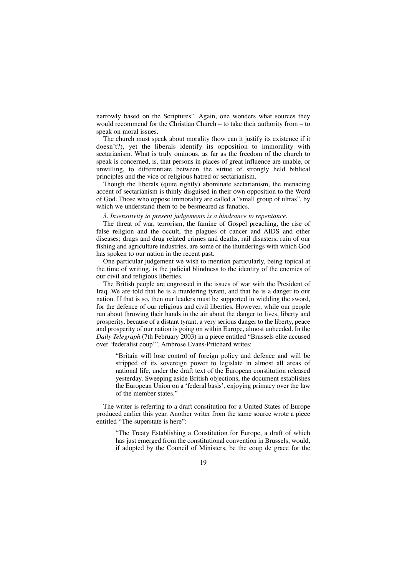narrowly based on the Scriptures". Again, one wonders what sources they would recommend for the Christian Church – to take their authority from – to speak on moral issues.

The church must speak about morality (how can it justify its existence if it doesn't?), yet the liberals identify its opposition to immorality with sectarianism. What is truly ominous, as far as the freedom of the church to speak is concerned, is, that persons in places of great influence are unable, or unwilling, to differentiate between the virtue of strongly held biblical principles and the vice of religious hatred or sectarianism.

Though the liberals (quite rightly) abominate sectarianism, the menacing accent of sectarianism is thinly disguised in their own opposition to the Word of God. Those who oppose immorality are called a "small group of ultras", by which we understand them to be besmeared as fanatics.

#### *3. Insensitivity to present judgements is a hindrance to repentance.*

The threat of war, terrorism, the famine of Gospel preaching, the rise of false religion and the occult, the plagues of cancer and AIDS and other diseases; drugs and drug related crimes and deaths, rail disasters, ruin of our fishing and agriculture industries, are some of the thunderings with which God has spoken to our nation in the recent past.

One particular judgement we wish to mention particularly, being topical at the time of writing, is the judicial blindness to the identity of the enemies of our civil and religious liberties.

The British people are engrossed in the issues of war with the President of Iraq. We are told that he is a murdering tyrant, and that he is a danger to our nation. If that is so, then our leaders must be supported in wielding the sword, for the defence of our religious and civil liberties. However, while our people run about throwing their hands in the air about the danger to lives, liberty and prosperity, because of a distant tyrant, a very serious danger to the liberty, peace and prosperity of our nation is going on within Europe, almost unheeded. In the *Daily Telegraph* (7th February 2003) in a piece entitled "Brussels elite accused over 'federalist coup'", Ambrose Evans-Pritchard writes:

"Britain will lose control of foreign policy and defence and will be stripped of its sovereign power to legislate in almost all areas of national life, under the draft text of the European constitution released yesterday. Sweeping aside British objections, the document establishes the European Union on a 'federal basis', enjoying primacy over the law of the member states."

The writer is referring to a draft constitution for a United States of Europe produced earlier this year. Another writer from the same source wrote a piece entitled "The superstate is here":

"The Treaty Establishing a Constitution for Europe, a draft of which has just emerged from the constitutional convention in Brussels, would, if adopted by the Council of Ministers, be the coup de grace for the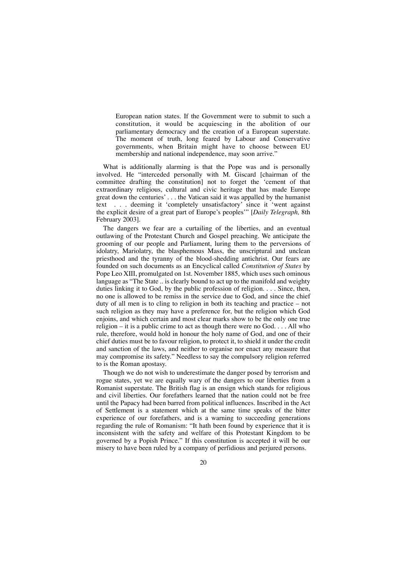European nation states. If the Government were to submit to such a constitution, it would be acquiescing in the abolition of our parliamentary democracy and the creation of a European superstate. The moment of truth, long feared by Labour and Conservative governments, when Britain might have to choose between EU membership and national independence, may soon arrive."

What is additionally alarming is that the Pope was and is personally involved. He "interceded personally with M. Giscard [chairman of the committee drafting the constitution] not to forget the 'cement of that extraordinary religious, cultural and civic heritage that has made Europe great down the centuries' . . . the Vatican said it was appalled by the humanist text . . . deeming it 'completely unsatisfactory' since it 'went against the explicit desire of a great part of Europe's peoples'" [*Daily Telegraph,* 8th February 2003].

The dangers we fear are a curtailing of the liberties, and an eventual outlawing of the Protestant Church and Gospel preaching. We anticipate the grooming of our people and Parliament, luring them to the perversions of idolatry, Mariolatry, the blasphemous Mass, the unscriptural and unclean priesthood and the tyranny of the blood-shedding antichrist. Our fears are founded on such documents as an Encyclical called *Constitution of States* by Pope Leo XIII, promulgated on 1st. November 1885, which uses such ominous language as "The State"... is clearly bound to act up to the manifold and weighty duties linking it to God, by the public profession of religion. . . . Since, then, no one is allowed to be remiss in the service due to God, and since the chief duty of all men is to cling to religion in both its teaching and practice – not such religion as they may have a preference for, but the religion which God enjoins, and which certain and most clear marks show to be the only one true religion – it is a public crime to act as though there were no God.  $\ldots$  All who rule, therefore, would hold in honour the holy name of God, and one of their chief duties must be to favour religion, to protect it, to shield it under the credit and sanction of the laws, and neither to organise nor enact any measure that may compromise its safety." Needless to say the compulsory religion referred to is the Roman apostasy.

Though we do not wish to underestimate the danger posed by terrorism and rogue states, yet we are equally wary of the dangers to our liberties from a Romanist superstate. The British flag is an ensign which stands for religious and civil liberties. Our forefathers learned that the nation could not be free until the Papacy had been barred from political influences. Inscribed in the Act of Settlement is a statement which at the same time speaks of the bitter experience of our forefathers, and is a warning to succeeding generations regarding the rule of Romanism: "It hath been found by experience that it is inconsistent with the safety and welfare of this Protestant Kingdom to be governed by a Popish Prince." If this constitution is accepted it will be our misery to have been ruled by a company of perfidious and perjured persons.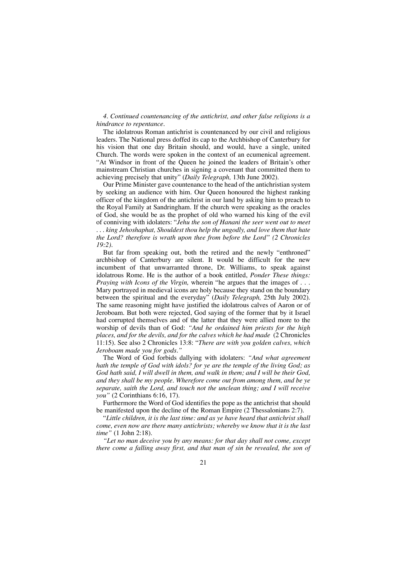#### *4. Continued countenancing of the antichrist, and other false religions is a hindrance to repentance.*

The idolatrous Roman antichrist is countenanced by our civil and religious leaders. The National press doffed its cap to the Archbishop of Canterbury for his vision that one day Britain should, and would, have a single, united Church. The words were spoken in the context of an ecumenical agreement. "At Windsor in front of the Queen he joined the leaders of Britain's other mainstream Christian churches in signing a covenant that committed them to achieving precisely that unity" (*Daily Telegraph,* 13th June 2002).

Our Prime Minister gave countenance to the head of the antichristian system by seeking an audience with him. Our Queen honoured the highest ranking officer of the kingdom of the antichrist in our land by asking him to preach to the Royal Family at Sandringham. If the church were speaking as the oracles of God, she would be as the prophet of old who warned his king of the evil of conniving with idolaters: "*Jehu the son of Hanani the seer went out to meet . . . king Jehoshaphat, Shouldest thou help the ungodly, and love them that hate the Lord? therefore is wrath upon thee from before the Lord" (2 Chronicles 19:2).*

But far from speaking out, both the retired and the newly "enthroned" archbishop of Canterbury are silent. It would be difficult for the new incumbent of that unwarranted throne, Dr. Williams, to speak against idolatrous Rome. He is the author of a book entitled, *Ponder These things: Praying with Icons of the Virgin, wherein* "he argues that the images of  $\ldots$ . Mary portrayed in medieval icons are holy because they stand on the boundary between the spiritual and the everyday" (*Daily Telegraph,* 25th July 2002). The same reasoning might have justified the idolatrous calves of Aaron or of Jeroboam. But both were rejected, God saying of the former that by it Israel had corrupted themselves and of the latter that they were allied more to the worship of devils than of God: *"And he ordained him priests for the high places, and for the devils, and for the calves which he had made* (2 Chronicles 11:15). See also 2 Chronicles 13:8: "*There are with you golden calves, which Jeroboam made you for gods."*

The Word of God forbids dallying with idolaters: *"And what agreement hath the temple of God with idols? for ye are the temple of the living God; as God hath said, I will dwell in them, and walk in them; and I will be their God, and they shall be my people. Wherefore come out from among them, and be ye separate, saith the Lord, and touch not the unclean thing; and I will receive you"* (2 Corinthians 6:16, 17).

Furthermore the Word of God identifies the pope as the antichrist that should be manifested upon the decline of the Roman Empire (2 Thessalonians 2:7).

"*Little children, it is the last time: and as ye have heard that antichrist shall come, even now are there many antichrists; whereby we know that it is the last time"* (1 John 2:18).

*"Let no man deceive you by any means: for that day shall not come, except there come a falling away first, and that man of sin be revealed, the son of*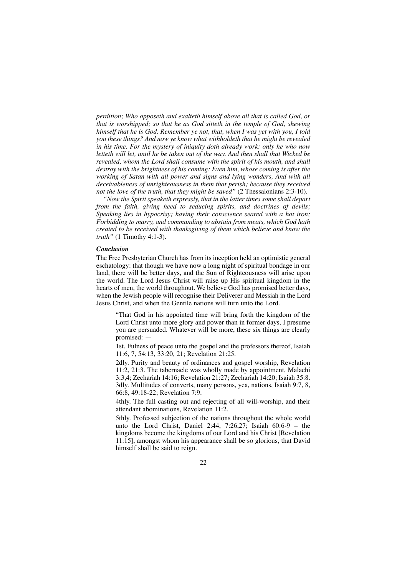*perdition; Who opposeth and exalteth himself above all that is called God, or that is worshipped; so that he as God sitteth in the temple of God, shewing himself that he is God. Remember ye not, that, when I was yet with you, I told you these things? And now ye know what withholdeth that he might be revealed in his time. For the mystery of iniquity doth already work: only he who now letteth will let, until he be taken out of the way. And then shall that Wicked be revealed, whom the Lord shall consume with the spirit of his mouth, and shall destroy with the brightness of his coming: Even him, whose coming is after the working of Satan with all power and signs and lying wonders, And with all deceivableness of unrighteousness in them that perish; because they received not the love of the truth, that they might be saved"* (2 Thessalonians 2:3-10).

*"Now the Spirit speaketh expressly, that in the latter times some shall depart from the faith, giving heed to seducing spirits, and doctrines of devils; Speaking lies in hypocrisy; having their conscience seared with a hot iron; Forbidding to marry, and commanding to abstain from meats, which God hath created to be received with thanksgiving of them which believe and know the truth"* (1 Timothy 4:1-3).

#### *Conclusion*

The Free Presbyterian Church has from its inception held an optimistic general eschatology: that though we have now a long night of spiritual bondage in our land, there will be better days, and the Sun of Righteousness will arise upon the world. The Lord Jesus Christ will raise up His spiritual kingdom in the hearts of men, the world throughout. We believe God has promised better days, when the Jewish people will recognise their Deliverer and Messiah in the Lord Jesus Christ, and when the Gentile nations will turn unto the Lord.

"That God in his appointed time will bring forth the kingdom of the Lord Christ unto more glory and power than in former days, I presume you are persuaded. Whatever will be more, these six things are clearly promised: —

1st. Fulness of peace unto the gospel and the professors thereof, Isaiah 11:6, 7, 54:13, 33:20, 21; Revelation 21:25.

2dly. Purity and beauty of ordinances and gospel worship, Revelation 11:2, 21:3. The tabernacle was wholly made by appointment, Malachi 3:3,4; Zechariah 14:16; Revelation 21:27; Zechariah 14:20; Isaiah 35:8. 3dly. Multitudes of converts, many persons, yea, nations, Isaiah 9:7, 8, 66:8, 49:18-22; Revelation 7:9.

4thly. The full casting out and rejecting of all will-worship, and their attendant abominations, Revelation 11:2.

5thly. Professed subjection of the nations throughout the whole world unto the Lord Christ, Daniel 2:44, 7:26,27; Isaiah 60:6-9 – the kingdoms become the kingdoms of our Lord and his Christ [Revelation 11:15], amongst whom his appearance shall be so glorious, that David himself shall be said to reign.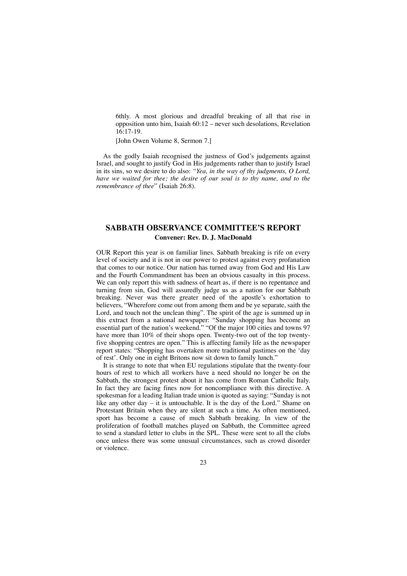6thly. A most glorious and dreadful breaking of all that rise in opposition unto him, Isaiah 60:12 – never such desolations, Revelation 16:17-19.

[John Owen Volume 8, Sermon 7.]

As the godly Isaiah recognised the justness of God's judgements against Israel, and sought to justify God in His judgements rather than to justify Israel in its sins, so we desire to do also: *"Yea, in the way of thy judgments, O Lord, have we waited for thee; the desire of our soul is to thy name, and to the remembrance of thee*" (Isaiah 26:8).

## **SABBATH OBSERVANCE COMMITTEE'S REPORT Convener: Rev. D. J. MacDonald**

OUR Report this year is on familiar lines. Sabbath breaking is rife on every level of society and it is not in our power to protest against every profanation that comes to our notice. Our nation has turned away from God and His Law and the Fourth Commandment has been an obvious casualty in this process. We can only report this with sadness of heart as, if there is no repentance and turning from sin, God will assuredly judge us as a nation for our Sabbath breaking. Never was there greater need of the apostle's exhortation to believers, "Wherefore come out from among them and be ye separate, saith the Lord, and touch not the unclean thing". The spirit of the age is summed up in this extract from a national newspaper: "Sunday shopping has become an essential part of the nation's weekend." "Of the major 100 cities and towns 97 have more than 10% of their shops open. Twenty-two out of the top twentyfive shopping centres are open." This is affecting family life as the newspaper report states: "Shopping has overtaken more traditional pastimes on the 'day of rest'. Only one in eight Britons now sit down to family lunch."

It is strange to note that when EU regulations stipulate that the twenty-four hours of rest to which all workers have a need should no longer be on the Sabbath, the strongest protest about it has come from Roman Catholic Italy. In fact they are facing fines now for noncompliance with this directive. A spokesman for a leading Italian trade union is quoted as saying: "Sunday is not like any other day – it is untouchable. It is the day of the Lord." Shame on Protestant Britain when they are silent at such a time. As often mentioned, sport has become a cause of much Sabbath breaking. In view of the proliferation of football matches played on Sabbath, the Committee agreed to send a standard letter to clubs in the SPL. These were sent to all the clubs once unless there was some unusual circumstances, such as crowd disorder or violence.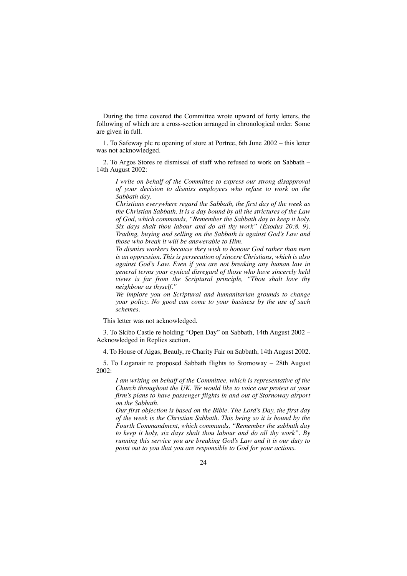During the time covered the Committee wrote upward of forty letters, the following of which are a cross-section arranged in chronological order. Some are given in full.

1. To Safeway plc re opening of store at Portree, 6th June 2002 – this letter was not acknowledged.

2. To Argos Stores re dismissal of staff who refused to work on Sabbath – 14th August 2002:

*I write on behalf of the Committee to express our strong disapproval of your decision to dismiss employees who refuse to work on the Sabbath day.*

*Christians everywhere regard the Sabbath, the first day of the week as the Christian Sabbath. It is a day bound by all the strictures of the Law of God, which commands, "Remember the Sabbath day to keep it holy. Six days shalt thou labour and do all thy work" (Exodus 20:8, 9). Trading, buying and selling on the Sabbath is against God's Law and those who break it will be answerable to Him.*

*To dismiss workers because they wish to honour God rather than men is an oppression. This is persecution of sincere Christians, which is also against God's Law. Even if you are not breaking any human law in general terms your cynical disregard of those who have sincerely held views is far from the Scriptural principle, "Thou shalt love thy neighbour as thyself."*

*We implore you on Scriptural and humanitarian grounds to change your policy. No good can come to your business by the use of such schemes.*

This letter was not acknowledged.

3. To Skibo Castle re holding "Open Day" on Sabbath, 14th August 2002 – Acknowledged in Replies section.

4. To House of Aigas, Beauly, re Charity Fair on Sabbath, 14th August 2002.

5. To Loganair re proposed Sabbath flights to Stornoway – 28th August 2002:

*I am writing on behalf of the Committee, which is representative of the Church throughout the UK. We would like to voice our protest at your firm's plans to have passenger flights in and out of Stornoway airport on the Sabbath.*

*Our first objection is based on the Bible. The Lord's Day, the first day of the week is the Christian Sabbath. This being so it is bound by the Fourth Commandment, which commands, "Remember the sabbath day to keep it holy, six days shalt thou labour and do all thy work". By running this service you are breaking God's Law and it is our duty to point out to you that you are responsible to God for your actions.*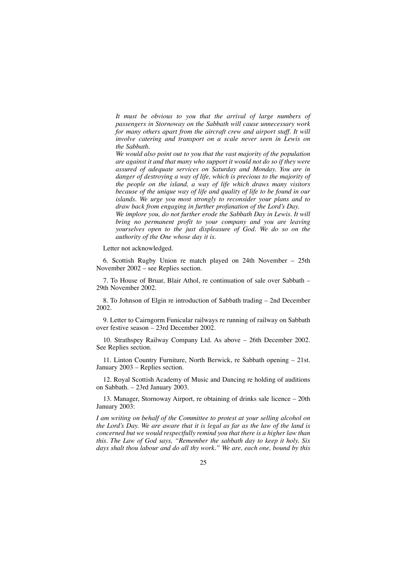*It must be obvious to you that the arrival of large numbers of passengers in Stornoway on the Sabbath will cause unnecessary work for many others apart from the aircraft crew and airport staff. It will involve catering and transport on a scale never seen in Lewis on the Sabbath.*

*We would also point out to you that the vast majority of the population are against it and that many who support it would not do so if they were assured of adequate services on Saturday and Monday. You are in danger of destroying a way of life, which is precious to the majority of the people on the island, a way of life which draws many visitors because of the unique way of life and quality of life to be found in our islands. We urge you most strongly to reconsider your plans and to draw back from engaging in further profanation of the Lord's Day.*

*We implore you, do not further erode the Sabbath Day in Lewis. It will bring no permanent profit to your company and you are leaving yourselves open to the just displeasure of God. We do so on the authority of the One whose day it is.*

Letter not acknowledged.

6. Scottish Rugby Union re match played on 24th November – 25th November 2002 – see Replies section.

7. To House of Bruar, Blair Athol, re continuation of sale over Sabbath – 29th November 2002.

8. To Johnson of Elgin re introduction of Sabbath trading – 2nd December 2002.

9. Letter to Cairngorm Funicular railways re running of railway on Sabbath over festive season – 23rd December 2002.

10. Strathspey Railway Company Ltd. As above – 26th December 2002. See Replies section.

11. Linton Country Furniture, North Berwick, re Sabbath opening – 21st. January 2003 – Replies section.

12. Royal Scottish Academy of Music and Dancing re holding of auditions on Sabbath. – 23rd January 2003.

13. Manager, Stornoway Airport, re obtaining of drinks sale licence – 20th January 2003:

*I am writing on behalf of the Committee to protest at your selling alcohol on the Lord's Day. We are aware that it is legal as far as the law of the land is concerned but we would respectfully remind you that there is a higher law than this. The Law of God says, "Remember the sabbath day to keep it holy. Six days shalt thou labour and do all thy work." We are, each one, bound by this*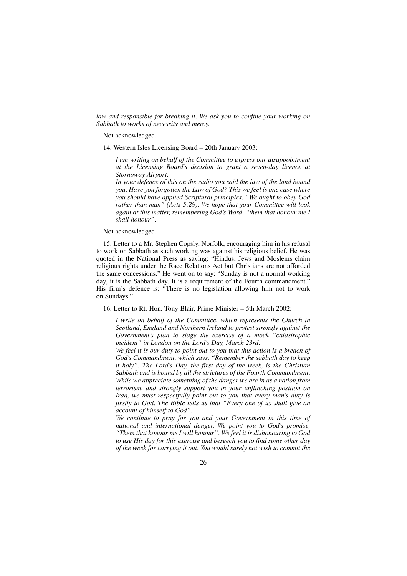*law and responsible for breaking it. We ask you to confine your working on Sabbath to works of necessity and mercy.*

Not acknowledged.

14. Western Isles Licensing Board – 20th January 2003:

*I am writing on behalf of the Committee to express our disappointment at the Licensing Board's decision to grant a seven-day licence at Stornoway Airport.*

*In your defence of this on the radio you said the law of the land bound you. Have you forgotten the Law of God? This we feel is one case where you should have applied Scriptural principles. "We ought to obey God rather than man" (Acts 5:29). We hope that your Committee will look again at this matter, remembering God's Word, "them that honour me I shall honour".*

Not acknowledged.

15. Letter to a Mr. Stephen Copsly, Norfolk, encouraging him in his refusal to work on Sabbath as such working was against his religious belief. He was quoted in the National Press as saying: "Hindus, Jews and Moslems claim religious rights under the Race Relations Act but Christians are not afforded the same concessions." He went on to say: "Sunday is not a normal working day, it is the Sabbath day. It is a requirement of the Fourth commandment." His firm's defence is: "There is no legislation allowing him not to work on Sundays."

16. Letter to Rt. Hon. Tony Blair, Prime Minister – 5th March 2002:

*I write on behalf of the Committee, which represents the Church in Scotland, England and Northern Ireland to protest strongly against the Government's plan to stage the exercise of a mock "catastrophic incident" in London on the Lord's Day, March 23rd.*

*We feel it is our duty to point out to you that this action is a breach of God's Commandment, which says, "Remember the sabbath day to keep it holy". The Lord's Day, the first day of the week, is the Christian Sabbath and is bound by all the strictures of the Fourth Commandment. While we appreciate something of the danger we are in as a nation from terrorism, and strongly support you in your unflinching position on Iraq, we must respectfully point out to you that every man's duty is firstly to God. The Bible tells us that "Every one of us shall give an account of himself to God".*

*We continue to pray for you and your Government in this time of national and international danger. We point you to God's promise, "Them that honour me I will honour". We feel it is dishonouring to God to use His day for this exercise and beseech you to find some other day of the week for carrying it out. You would surely not wish to commit the*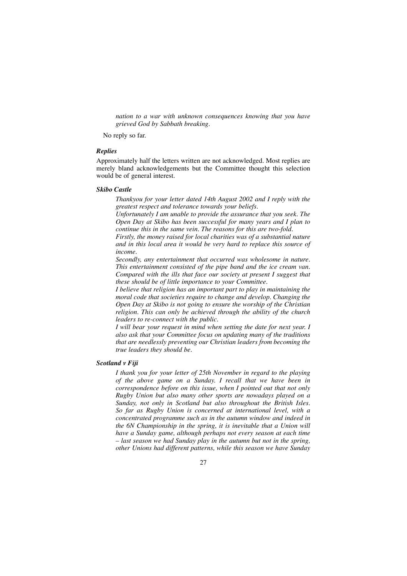*nation to a war with unknown consequences knowing that you have grieved God by Sabbath breaking.*

No reply so far.

#### *Replies*

Approximately half the letters written are not acknowledged. Most replies are merely bland acknowledgements but the Committee thought this selection would be of general interest.

#### *Skibo Castle*

*Thankyou for your letter dated 14th August 2002 and I reply with the greatest respect and tolerance towards your beliefs.*

*Unfortunately I am unable to provide the assurance that you seek. The Open Day at Skibo has been successful for many years and I plan to continue this in the same vein. The reasons for this are two-fold.*

*Firstly, the money raised for local charities was of a substantial nature and in this local area it would be very hard to replace this source of income.*

*Secondly, any entertainment that occurred was wholesome in nature. This entertainment consisted of the pipe band and the ice cream van. Compared with the ills that face our society at present I suggest that these should be of little importance to your Committee.*

*I believe that religion has an important part to play in maintaining the moral code that societies require to change and develop. Changing the Open Day at Skibo is not going to ensure the worship of the Christian religion. This can only be achieved through the ability of the church leaders to re-connect with the public.*

*I will bear your request in mind when setting the date for next year. I also ask that your Committee focus on updating many of the traditions that are needlessly preventing our Christian leaders from becoming the true leaders they should be.*

## *Scotland v Fiji*

*I thank you for your letter of 25th November in regard to the playing of the above game on a Sunday. I recall that we have been in correspondence before on this issue, when I pointed out that not only Rugby Union but also many other sports are nowadays played on a Sunday, not only in Scotland but also throughout the British Isles. So far as Rugby Union is concerned at international level, with a concentrated programme such as in the autumn window and indeed in the 6N Championship in the spring, it is inevitable that a Union will have a Sunday game, although perhaps not every season at each time – last season we had Sunday play in the autumn but not in the spring, other Unions had different patterns, while this season we have Sunday*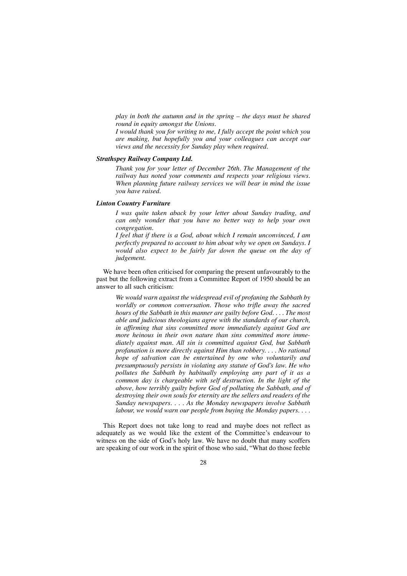*play in both the autumn and in the spring – the days must be shared round in equity amongst the Unions.*

*I would thank you for writing to me, I fully accept the point which you are making, but hopefully you and your colleagues can accept our views and the necessity for Sunday play when required.*

## *Strathspey Railway Company Ltd.*

*Thank you for your letter of December 26th. The Management of the railway has noted your comments and respects your religious views. When planning future railway services we will bear in mind the issue you have raised.*

#### *Linton Country Furniture*

*I was quite taken aback by your letter about Sunday trading, and can only wonder that you have no better way to help your own congregation.*

*I feel that if there is a God, about which I remain unconvinced, I am perfectly prepared to account to him about why we open on Sundays. I would also expect to be fairly far down the queue on the day of judgement.*

We have been often criticised for comparing the present unfavourably to the past but the following extract from a Committee Report of 1950 should be an answer to all such criticism:

*We would warn against the widespread evil of profaning the Sabbath by worldly or common conversation. Those who trifle away the sacred hours of the Sabbath in this manner are guilty before God. . . . The most able and judicious theologians agree with the standards of our church, in affirming that sins committed more immediately against God are more heinous in their own nature than sins committed more immediately against man. All sin is committed against God, but Sabbath profanation is more directly against Him than robbery. . . . No rational hope of salvation can be entertained by one who voluntarily and presumptuously persists in violating any statute of God's law. He who pollutes the Sabbath by habitually employing any part of it as a common day is chargeable with self destruction. In the light of the above, how terribly guilty before God of polluting the Sabbath, and of destroying their own souls for eternity are the sellers and readers of the Sunday newspapers. . . . As the Monday newspapers involve Sabbath labour, we would warn our people from buying the Monday papers. . . .*

This Report does not take long to read and maybe does not reflect as adequately as we would like the extent of the Committee's endeavour to witness on the side of God's holy law. We have no doubt that many scoffers are speaking of our work in the spirit of those who said, "What do those feeble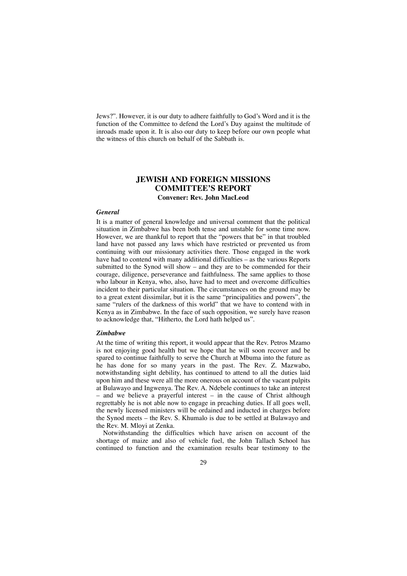Jews?". However, it is our duty to adhere faithfully to God's Word and it is the function of the Committee to defend the Lord's Day against the multitude of inroads made upon it. It is also our duty to keep before our own people what the witness of this church on behalf of the Sabbath is.

## **JEWISH AND FOREIGN MISSIONS COMMITTEE'S REPORT Convener: Rev. John MacLeod**

#### *General*

It is a matter of general knowledge and universal comment that the political situation in Zimbabwe has been both tense and unstable for some time now. However, we are thankful to report that the "powers that be" in that troubled land have not passed any laws which have restricted or prevented us from continuing with our missionary activities there. Those engaged in the work have had to contend with many additional difficulties – as the various Reports submitted to the Synod will show – and they are to be commended for their courage, diligence, perseverance and faithfulness. The same applies to those who labour in Kenya, who, also, have had to meet and overcome difficulties incident to their particular situation. The circumstances on the ground may be to a great extent dissimilar, but it is the same "principalities and powers", the same "rulers of the darkness of this world" that we have to contend with in Kenya as in Zimbabwe. In the face of such opposition, we surely have reason to acknowledge that, "Hitherto, the Lord hath helped us".

#### *Zimbabwe*

At the time of writing this report, it would appear that the Rev. Petros Mzamo is not enjoying good health but we hope that he will soon recover and be spared to continue faithfully to serve the Church at Mbuma into the future as he has done for so many years in the past. The Rev. Z. Mazwabo, notwithstanding sight debility, has continued to attend to all the duties laid upon him and these were all the more onerous on account of the vacant pulpits at Bulawayo and Ingwenya. The Rev. A. Ndebele continues to take an interest – and we believe a prayerful interest – in the cause of Christ although regrettably he is not able now to engage in preaching duties. If all goes well, the newly licensed ministers will be ordained and inducted in charges before the Synod meets – the Rev. S. Khumalo is due to be settled at Bulawayo and the Rev. M. Mloyi at Zenka.

Notwithstanding the difficulties which have arisen on account of the shortage of maize and also of vehicle fuel, the John Tallach School has continued to function and the examination results bear testimony to the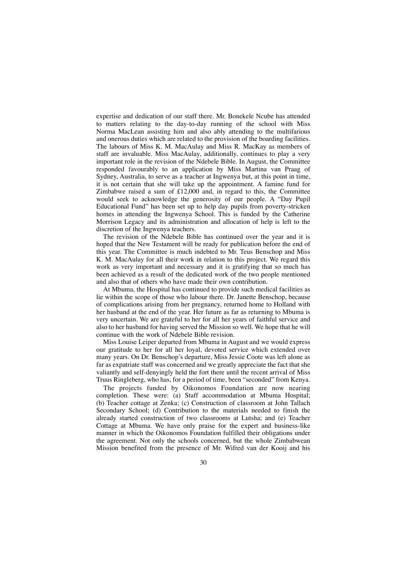expertise and dedication of our staff there. Mr. Bonekele Ncube has attended to matters relating to the day-to-day running of the school with Miss Norma MacLean assisting him and also ably attending to the multifarious and onerous duties which are related to the provision of the boarding facilities. The labours of Miss K. M. MacAulay and Miss R. MacKay as members of staff are invaluable. Miss MacAulay, additionally, continues to play a very important role in the revision of the Ndebele Bible. In August, the Committee responded favourably to an application by Miss Martina van Praag of Sydney, Australia, to serve as a teacher at Ingwenya but, at this point in time, it is not certain that she will take up the appointment. A famine fund for Zimbabwe raised a sum of £12,000 and, in regard to this, the Committee would seek to acknowledge the generosity of our people. A "Day Pupil Educational Fund" has been set up to help day pupils from poverty-stricken homes in attending the Ingwenya School. This is funded by the Catherine Morrison Legacy and its administration and allocation of help is left to the discretion of the Ingwenya teachers.

The revision of the Ndebele Bible has continued over the year and it is hoped that the New Testament will be ready for publication before the end of this year. The Committee is much indebted to Mr. Teus Benschop and Miss K. M. MacAulay for all their work in relation to this project. We regard this work as very important and necessary and it is gratifying that so much has been achieved as a result of the dedicated work of the two people mentioned and also that of others who have made their own contribution.

At Mbuma, the Hospital has continued to provide such medical facilities as lie within the scope of those who labour there. Dr. Janette Benschop, because of complications arising from her pregnancy, returned home to Holland with her husband at the end of the year. Her future as far as returning to Mbuma is very uncertain. We are grateful to her for all her years of faithful service and also to her husband for having served the Mission so well. We hope that he will continue with the work of Ndebele Bible revision.

Miss Louise Leiper departed from Mbuma in August and we would express our gratitude to her for all her loyal, devoted service which extended over many years. On Dr. Benschop's departure, Miss Jessie Coote was left alone as far as expatriate staff was concerned and we greatly appreciate the fact that she valiantly and self-denyingly held the fort there until the recent arrival of Miss Truus Ringleberg, who has, for a period of time, been "seconded" from Kenya.

The projects funded by Oikonomos Foundation are now nearing completion. These were: (a) Staff accommodation at Mbuma Hospital; (b) Teacher cottage at Zenka; (c) Construction of classroom at John Tallach Secondary School; (d) Contribution to the materials needed to finish the already started construction of two classrooms at Lutsha; and (e) Teacher Cottage at Mbuma. We have only praise for the expert and business-like manner in which the Oikonomos Foundation fulfilled their obligations under the agreement. Not only the schools concerned, but the whole Zimbabwean Mission benefited from the presence of Mr. Wifred van der Kooij and his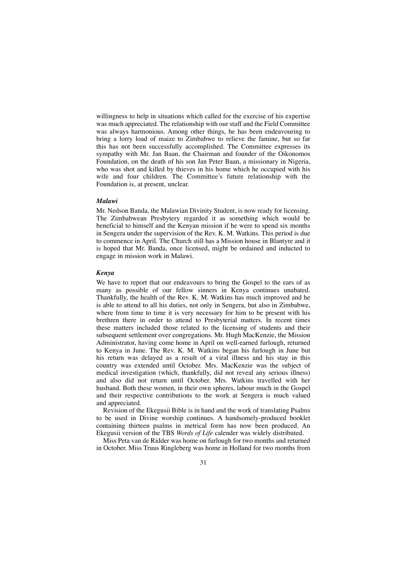willingness to help in situations which called for the exercise of his expertise was much appreciated. The relationship with our staff and the Field Committee was always harmonious. Among other things, he has been endeavouring to bring a lorry load of maize to Zimbabwe to relieve the famine, but so far this has not been successfully accomplished. The Committee expresses its sympathy with Mr. Jan Baan, the Chairman and founder of the Oikonomos Foundation, on the death of his son Jan Peter Baan, a missionary in Nigeria, who was shot and killed by thieves in his home which he occupied with his wife and four children. The Committee's future relationship with the Foundation is, at present, unclear.

#### *Malawi*

Mr. Nedson Banda, the Malawian Divinity Student, is now ready for licensing. The Zimbabwean Presbytery regarded it as something which would be beneficial to himself and the Kenyan mission if he were to spend six months in Sengera under the supervision of the Rev. K. M. Watkins. This period is due to commence in April. The Church still has a Mission house in Blantyre and it is hoped that Mr. Banda, once licensed, might be ordained and inducted to engage in mission work in Malawi.

## *Kenya*

We have to report that our endeavours to bring the Gospel to the ears of as many as possible of our fellow sinners in Kenya continues unabated. Thankfully, the health of the Rev. K. M. Watkins has much improved and he is able to attend to all his duties, not only in Sengera, but also in Zimbabwe, where from time to time it is very necessary for him to be present with his brethren there in order to attend to Presbyterial matters. In recent times these matters included those related to the licensing of students and their subsequent settlement over congregations. Mr. Hugh MacKenzie, the Mission Administrator, having come home in April on well-earned furlough, returned to Kenya in June. The Rev. K. M. Watkins began his furlough in June but his return was delayed as a result of a viral illness and his stay in this country was extended until October. Mrs. MacKenzie was the subject of medical investigation (which, thankfully, did not reveal any serious illness) and also did not return until October. Mrs. Watkins travelled with her husband. Both these women, in their own spheres, labour much in the Gospel and their respective contributions to the work at Sengera is much valued and appreciated.

Revision of the Ekegusii Bible is in hand and the work of translating Psalms to be used in Divine worship continues. A handsomely-produced booklet containing thirteen psalms in metrical form has now been produced. An Ekegusii version of the TBS *Words of Life* calender was widely distributed.

Miss Peta van de Ridder was home on furlough for two months and returned in October. Miss Truus Ringleberg was home in Holland for two months from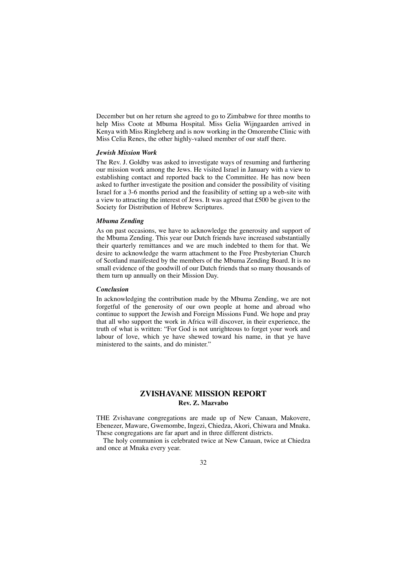December but on her return she agreed to go to Zimbabwe for three months to help Miss Coote at Mbuma Hospital. Miss Gelia Wijngaarden arrived in Kenya with Miss Ringleberg and is now working in the Omorembe Clinic with Miss Celia Renes, the other highly-valued member of our staff there.

#### *Jewish Mission Work*

The Rev. J. Goldby was asked to investigate ways of resuming and furthering our mission work among the Jews. He visited Israel in January with a view to establishing contact and reported back to the Committee. He has now been asked to further investigate the position and consider the possibility of visiting Israel for a 3-6 months period and the feasibility of setting up a web-site with a view to attracting the interest of Jews. It was agreed that £500 be given to the Society for Distribution of Hebrew Scriptures.

#### *Mbuma Zending*

As on past occasions, we have to acknowledge the generosity and support of the Mbuma Zending. This year our Dutch friends have increased substantially their quarterly remittances and we are much indebted to them for that. We desire to acknowledge the warm attachment to the Free Presbyterian Church of Scotland manifested by the members of the Mbuma Zending Board. It is no small evidence of the goodwill of our Dutch friends that so many thousands of them turn up annually on their Mission Day.

#### *Conclusion*

In acknowledging the contribution made by the Mbuma Zending, we are not forgetful of the generosity of our own people at home and abroad who continue to support the Jewish and Foreign Missions Fund. We hope and pray that all who support the work in Africa will discover, in their experience, the truth of what is written: "For God is not unrighteous to forget your work and labour of love, which ye have shewed toward his name, in that ye have ministered to the saints, and do minister."

## **ZVISHAVANE MISSION REPORT Rev. Z. Mazvabo**

THE Zvishavane congregations are made up of New Canaan, Makovere, Ebenezer, Maware, Gwemombe, Ingezi, Chiedza, Akori, Chiwara and Mnaka. These congregations are far apart and in three different districts.

The holy communion is celebrated twice at New Canaan, twice at Chiedza and once at Mnaka every year.

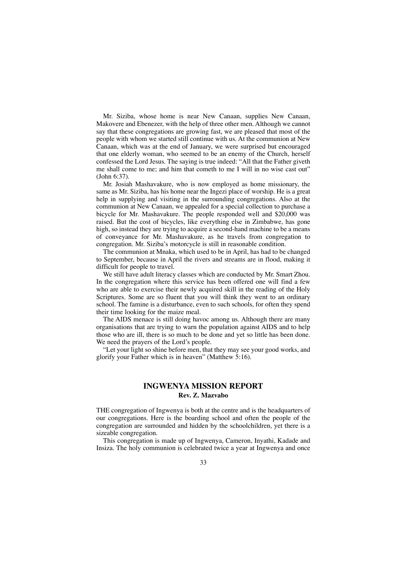Mr. Siziba, whose home is near New Canaan, supplies New Canaan, Makovere and Ebenezer, with the help of three other men. Although we cannot say that these congregations are growing fast, we are pleased that most of the people with whom we started still continue with us. At the communion at New Canaan, which was at the end of January, we were surprised but encouraged that one elderly woman, who seemed to be an enemy of the Church, herself confessed the Lord Jesus. The saying is true indeed: "All that the Father giveth me shall come to me; and him that cometh to me I will in no wise cast out" (John 6:37).

Mr. Josiah Mashavakure, who is now employed as home missionary, the same as Mr. Siziba, has his home near the Ingezi place of worship. He is a great help in supplying and visiting in the surrounding congregations. Also at the communion at New Canaan, we appealed for a special collection to purchase a bicycle for Mr. Mashavakure. The people responded well and \$20,000 was raised. But the cost of bicycles, like everything else in Zimbabwe, has gone high, so instead they are trying to acquire a second-hand machine to be a means of conveyance for Mr. Mashavakure, as he travels from congregation to congregation. Mr. Siziba's motorcycle is still in reasonable condition.

The communion at Mnaka, which used to be in April, has had to be changed to September, because in April the rivers and streams are in flood, making it difficult for people to travel.

We still have adult literacy classes which are conducted by Mr. Smart Zhou. In the congregation where this service has been offered one will find a few who are able to exercise their newly acquired skill in the reading of the Holy Scriptures. Some are so fluent that you will think they went to an ordinary school. The famine is a disturbance, even to such schools, for often they spend their time looking for the maize meal.

The AIDS menace is still doing havoc among us. Although there are many organisations that are trying to warn the population against AIDS and to help those who are ill, there is so much to be done and yet so little has been done. We need the prayers of the Lord's people.

"Let your light so shine before men, that they may see your good works, and glorify your Father which is in heaven" (Matthew 5:16).

## **INGWENYA MISSION REPORT Rev. Z. Mazvabo**

THE congregation of Ingwenya is both at the centre and is the headquarters of our congregations. Here is the boarding school and often the people of the congregation are surrounded and hidden by the schoolchildren, yet there is a sizeable congregation.

This congregation is made up of Ingwenya, Cameron, Inyathi, Kadade and Insiza. The holy communion is celebrated twice a year at Ingwenya and once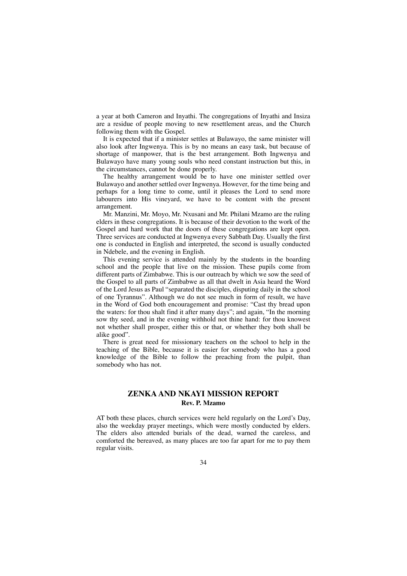a year at both Cameron and Inyathi. The congregations of Inyathi and Insiza are a residue of people moving to new resettlement areas, and the Church following them with the Gospel.

It is expected that if a minister settles at Bulawayo, the same minister will also look after Ingwenya. This is by no means an easy task, but because of shortage of manpower, that is the best arrangement. Both Ingwenya and Bulawayo have many young souls who need constant instruction but this, in the circumstances, cannot be done properly.

The healthy arrangement would be to have one minister settled over Bulawayo and another settled over Ingwenya. However, for the time being and perhaps for a long time to come, until it pleases the Lord to send more labourers into His vineyard, we have to be content with the present arrangement.

Mr. Manzini, Mr. Moyo, Mr. Nxusani and Mr. Philani Mzamo are the ruling elders in these congregations. It is because of their devotion to the work of the Gospel and hard work that the doors of these congregations are kept open. Three services are conducted at Ingwenya every Sabbath Day. Usually the first one is conducted in English and interpreted, the second is usually conducted in Ndebele, and the evening in English.

This evening service is attended mainly by the students in the boarding school and the people that live on the mission. These pupils come from different parts of Zimbabwe. This is our outreach by which we sow the seed of the Gospel to all parts of Zimbabwe as all that dwelt in Asia heard the Word of the Lord Jesus as Paul "separated the disciples, disputing daily in the school of one Tyrannus". Although we do not see much in form of result, we have in the Word of God both encouragement and promise: "Cast thy bread upon the waters: for thou shalt find it after many days"; and again, "In the morning sow thy seed, and in the evening withhold not thine hand: for thou knowest not whether shall prosper, either this or that, or whether they both shall be alike good".

There is great need for missionary teachers on the school to help in the teaching of the Bible, because it is easier for somebody who has a good knowledge of the Bible to follow the preaching from the pulpit, than somebody who has not.

## **ZENKA AND NKAYI MISSION REPORT Rev. P. Mzamo**

AT both these places, church services were held regularly on the Lord's Day, also the weekday prayer meetings, which were mostly conducted by elders. The elders also attended burials of the dead, warned the careless, and comforted the bereaved, as many places are too far apart for me to pay them regular visits.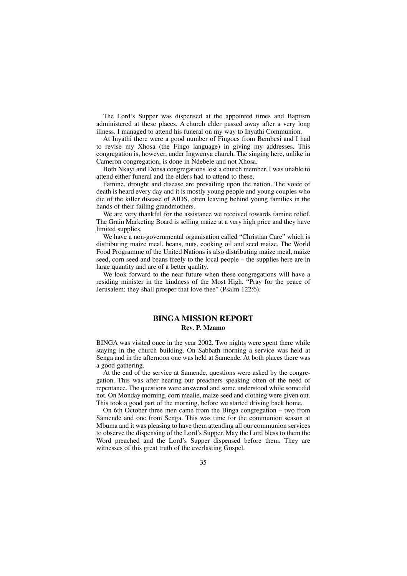The Lord's Supper was dispensed at the appointed times and Baptism administered at these places. A church elder passed away after a very long illness. I managed to attend his funeral on my way to Inyathi Communion.

At Inyathi there were a good number of Fingoes from Bembesi and I had to revise my Xhosa (the Fingo language) in giving my addresses. This congregation is, however, under Ingwenya church. The singing here, unlike in Cameron congregation, is done in Ndebele and not Xhosa.

Both Nkayi and Donsa congregations lost a church member. I was unable to attend either funeral and the elders had to attend to these.

Famine, drought and disease are prevailing upon the nation. The voice of death is heard every day and it is mostly young people and young couples who die of the killer disease of AIDS, often leaving behind young families in the hands of their failing grandmothers.

We are very thankful for the assistance we received towards famine relief. The Grain Marketing Board is selling maize at a very high price and they have limited supplies.

We have a non-governmental organisation called "Christian Care" which is distributing maize meal, beans, nuts, cooking oil and seed maize. The World Food Programme of the United Nations is also distributing maize meal, maize seed, corn seed and beans freely to the local people – the supplies here are in large quantity and are of a better quality.

We look forward to the near future when these congregations will have a residing minister in the kindness of the Most High. "Pray for the peace of Jerusalem: they shall prosper that love thee" (Psalm 122:6).

## **BINGA MISSION REPORT Rev. P. Mzamo**

BINGA was visited once in the year 2002. Two nights were spent there while staying in the church building. On Sabbath morning a service was held at Senga and in the afternoon one was held at Samende. At both places there was a good gathering.

At the end of the service at Samende, questions were asked by the congregation. This was after hearing our preachers speaking often of the need of repentance. The questions were answered and some understood while some did not. On Monday morning, corn mealie, maize seed and clothing were given out. This took a good part of the morning, before we started driving back home.

On 6th October three men came from the Binga congregation – two from Samende and one from Senga. This was time for the communion season at Mbuma and it was pleasing to have them attending all our communion services to observe the dispensing of the Lord's Supper. May the Lord bless to them the Word preached and the Lord's Supper dispensed before them. They are witnesses of this great truth of the everlasting Gospel.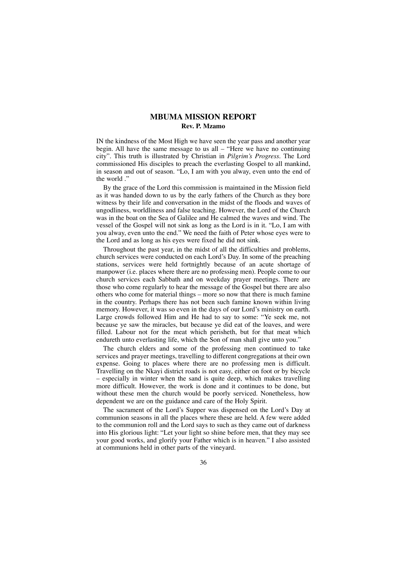## **MBUMA MISSION REPORT Rev. P. Mzamo**

IN the kindness of the Most High we have seen the year pass and another year begin. All have the same message to us all – "Here we have no continuing city". This truth is illustrated by Christian in *Pilgrim's Progress.* The Lord commissioned His disciples to preach the everlasting Gospel to all mankind, in season and out of season. "Lo, I am with you alway, even unto the end of the world ."

By the grace of the Lord this commission is maintained in the Mission field as it was handed down to us by the early fathers of the Church as they bore witness by their life and conversation in the midst of the floods and waves of ungodliness, worldliness and false teaching. However, the Lord of the Church was in the boat on the Sea of Galilee and He calmed the waves and wind. The vessel of the Gospel will not sink as long as the Lord is in it. "Lo, I am with you alway, even unto the end." We need the faith of Peter whose eyes were to the Lord and as long as his eyes were fixed he did not sink.

Throughout the past year, in the midst of all the difficulties and problems, church services were conducted on each Lord's Day. In some of the preaching stations, services were held fortnightly because of an acute shortage of manpower (i.e. places where there are no professing men). People come to our church services each Sabbath and on weekday prayer meetings. There are those who come regularly to hear the message of the Gospel but there are also others who come for material things – more so now that there is much famine in the country. Perhaps there has not been such famine known within living memory. However, it was so even in the days of our Lord's ministry on earth. Large crowds followed Him and He had to say to some: "Ye seek me, not because ye saw the miracles, but because ye did eat of the loaves, and were filled. Labour not for the meat which perisheth, but for that meat which endureth unto everlasting life, which the Son of man shall give unto you."

The church elders and some of the professing men continued to take services and prayer meetings, travelling to different congregations at their own expense. Going to places where there are no professing men is difficult. Travelling on the Nkayi district roads is not easy, either on foot or by bicycle – especially in winter when the sand is quite deep, which makes travelling more difficult. However, the work is done and it continues to be done, but without these men the church would be poorly serviced. Nonetheless, how dependent we are on the guidance and care of the Holy Spirit.

The sacrament of the Lord's Supper was dispensed on the Lord's Day at communion seasons in all the places where these are held. A few were added to the communion roll and the Lord says to such as they came out of darkness into His glorious light: "Let your light so shine before men, that they may see your good works, and glorify your Father which is in heaven." I also assisted at communions held in other parts of the vineyard.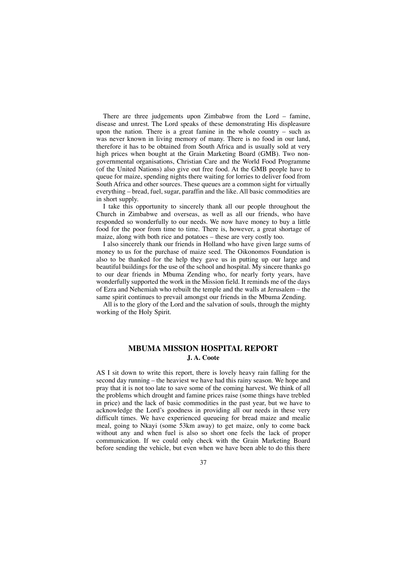There are three judgements upon Zimbabwe from the Lord – famine, disease and unrest. The Lord speaks of these demonstrating His displeasure upon the nation. There is a great famine in the whole country  $-$  such as was never known in living memory of many. There is no food in our land, therefore it has to be obtained from South Africa and is usually sold at very high prices when bought at the Grain Marketing Board (GMB). Two nongovernmental organisations, Christian Care and the World Food Programme (of the United Nations) also give out free food. At the GMB people have to queue for maize, spending nights there waiting for lorries to deliver food from South Africa and other sources. These queues are a common sight for virtually everything – bread, fuel, sugar, paraffin and the like. All basic commodities are in short supply.

I take this opportunity to sincerely thank all our people throughout the Church in Zimbabwe and overseas, as well as all our friends, who have responded so wonderfully to our needs. We now have money to buy a little food for the poor from time to time. There is, however, a great shortage of maize, along with both rice and potatoes – these are very costly too.

I also sincerely thank our friends in Holland who have given large sums of money to us for the purchase of maize seed. The Oikonomos Foundation is also to be thanked for the help they gave us in putting up our large and beautiful buildings for the use of the school and hospital. My sincere thanks go to our dear friends in Mbuma Zending who, for nearly forty years, have wonderfully supported the work in the Mission field. It reminds me of the days of Ezra and Nehemiah who rebuilt the temple and the walls at Jerusalem – the same spirit continues to prevail amongst our friends in the Mbuma Zending.

All is to the glory of the Lord and the salvation of souls, through the mighty working of the Holy Spirit.

### **MBUMA MISSION HOSPITAL REPORT J. A. Coote**

AS I sit down to write this report, there is lovely heavy rain falling for the second day running – the heaviest we have had this rainy season. We hope and pray that it is not too late to save some of the coming harvest. We think of all the problems which drought and famine prices raise (some things have trebled in price) and the lack of basic commodities in the past year, but we have to acknowledge the Lord's goodness in providing all our needs in these very difficult times. We have experienced queueing for bread maize and mealie meal, going to Nkayi (some 53km away) to get maize, only to come back without any and when fuel is also so short one feels the lack of proper communication. If we could only check with the Grain Marketing Board before sending the vehicle, but even when we have been able to do this there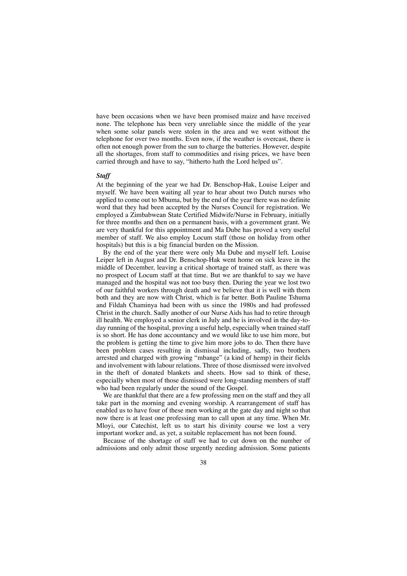have been occasions when we have been promised maize and have received none. The telephone has been very unreliable since the middle of the year when some solar panels were stolen in the area and we went without the telephone for over two months. Even now, if the weather is overcast, there is often not enough power from the sun to charge the batteries. However, despite all the shortages, from staff to commodities and rising prices, we have been carried through and have to say, "hitherto hath the Lord helped us".

#### *Staff*

At the beginning of the year we had Dr. Benschop-Hak, Louise Leiper and myself. We have been waiting all year to hear about two Dutch nurses who applied to come out to Mbuma, but by the end of the year there was no definite word that they had been accepted by the Nurses Council for registration. We employed a Zimbabwean State Certified Midwife/Nurse in February, initially for three months and then on a permanent basis, with a government grant. We are very thankful for this appointment and Ma Dube has proved a very useful member of staff. We also employ Locum staff (those on holiday from other hospitals) but this is a big financial burden on the Mission.

By the end of the year there were only Ma Dube and myself left. Louise Leiper left in August and Dr. Benschop-Hak went home on sick leave in the middle of December, leaving a critical shortage of trained staff, as there was no prospect of Locum staff at that time. But we are thankful to say we have managed and the hospital was not too busy then. During the year we lost two of our faithful workers through death and we believe that it is well with them both and they are now with Christ, which is far better. Both Pauline Tshuma and Fildah Chaminya had been with us since the 1980s and had professed Christ in the church. Sadly another of our Nurse Aids has had to retire through ill health. We employed a senior clerk in July and he is involved in the day-today running of the hospital, proving a useful help, especially when trained staff is so short. He has done accountancy and we would like to use him more, but the problem is getting the time to give him more jobs to do. Then there have been problem cases resulting in dismissal including, sadly, two brothers arrested and charged with growing "mbange" (a kind of hemp) in their fields and involvement with labour relations. Three of those dismissed were involved in the theft of donated blankets and sheets. How sad to think of these, especially when most of those dismissed were long-standing members of staff who had been regularly under the sound of the Gospel.

We are thankful that there are a few professing men on the staff and they all take part in the morning and evening worship. A rearrangement of staff has enabled us to have four of these men working at the gate day and night so that now there is at least one professing man to call upon at any time. When Mr. Mloyi, our Catechist, left us to start his divinity course we lost a very important worker and, as yet, a suitable replacement has not been found.

Because of the shortage of staff we had to cut down on the number of admissions and only admit those urgently needing admission. Some patients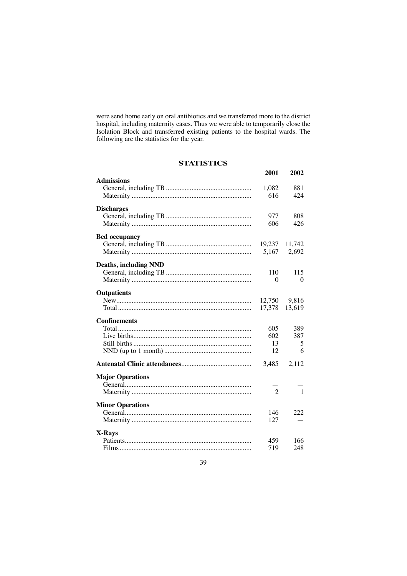were send home early on oral antibiotics and we transferred more to the district hospital, including maternity cases. Thus we were able to temporarily close the Isolation Block and transferred existing patients to the hospital wards. The following are the statistics for the year.

# **STATISTICS**

|                              | 2001           | 2002           |
|------------------------------|----------------|----------------|
| <b>Admissions</b>            |                |                |
|                              | 1,082          | 881            |
|                              | 616            | 424            |
| <b>Discharges</b>            |                |                |
|                              | 977            | 808            |
|                              | 606            | 426            |
| <b>Bed occupancy</b>         |                |                |
|                              |                | 19,237 11,742  |
|                              | 5,167          | 2,692          |
| <b>Deaths, including NND</b> |                |                |
|                              | 110            | 115            |
|                              | $\Omega$       | 0              |
|                              |                |                |
| Outpatients                  |                |                |
|                              |                | 12,750 9,816   |
|                              | 17,378         | 13,619         |
| <b>Confinements</b>          |                |                |
|                              | 605            | 389            |
|                              | 602            | 387            |
|                              | 13             | 5              |
|                              | 12             | 6              |
|                              | 3,485          | 2,112          |
| <b>Major Operations</b>      |                |                |
|                              |                |                |
|                              | $\overline{2}$ | $\overline{1}$ |
| <b>Minor Operations</b>      |                |                |
|                              | 146            | 222            |
|                              | 127            |                |
| X-Rays                       |                |                |
|                              | 459            | 166            |
|                              | 719            | 248            |
|                              |                |                |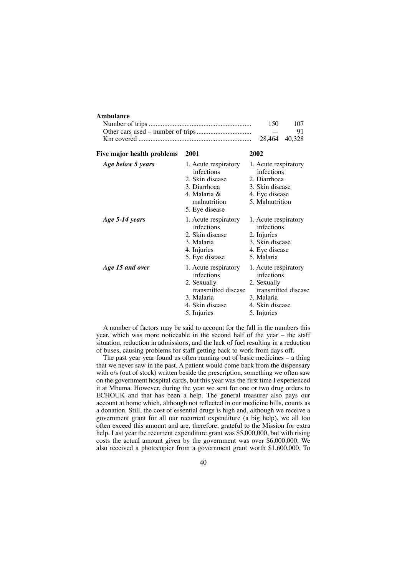#### **Ambulance**

| 150.                    | 107 |
|-------------------------|-----|
| the company's company's | -91 |
|                         |     |

| Five major health problems | 2001                                                                                                                     | 2002                                                                                                                     |
|----------------------------|--------------------------------------------------------------------------------------------------------------------------|--------------------------------------------------------------------------------------------------------------------------|
| Age below 5 years          | 1. Acute respiratory<br>infections<br>2. Skin disease<br>3. Diarrhoea<br>4. Malaria &<br>malnutrition<br>5. Eye disease  | 1. Acute respiratory<br>infections<br>2. Diarrhoea<br>3. Skin disease<br>4. Eye disease<br>5. Malnutrition               |
| Age 5-14 years             | 1. Acute respiratory<br>infections<br>2. Skin disease<br>3. Malaria<br>4. Injuries<br>5. Eye disease                     | 1. Acute respiratory<br>infections<br>2. Injuries<br>3. Skin disease<br>4. Eye disease<br>5. Malaria                     |
| Age 15 and over            | 1. Acute respiratory<br>infections<br>2. Sexually<br>transmitted disease<br>3. Malaria<br>4. Skin disease<br>5. Injuries | 1. Acute respiratory<br>infections<br>2. Sexually<br>transmitted disease<br>3. Malaria<br>4. Skin disease<br>5. Injuries |

A number of factors may be said to account for the fall in the numbers this year, which was more noticeable in the second half of the year – the staff situation, reduction in admissions, and the lack of fuel resulting in a reduction of buses, causing problems for staff getting back to work from days off.

The past year year found us often running out of basic medicines  $-$  a thing that we never saw in the past. A patient would come back from the dispensary with o/s (out of stock) written beside the prescription, something we often saw on the government hospital cards, but this year was the first time I experienced it at Mbuma. However, during the year we sent for one or two drug orders to ECHOUK and that has been a help. The general treasurer also pays our account at home which, although not reflected in our medicine bills, counts as a donation. Still, the cost of essential drugs is high and, although we receive a government grant for all our recurrent expenditure (a big help), we all too often exceed this amount and are, therefore, grateful to the Mission for extra help. Last year the recurrent expenditure grant was \$5,000,000, but with rising costs the actual amount given by the government was over \$6,000,000. We also received a photocopier from a government grant worth \$1,600,000. To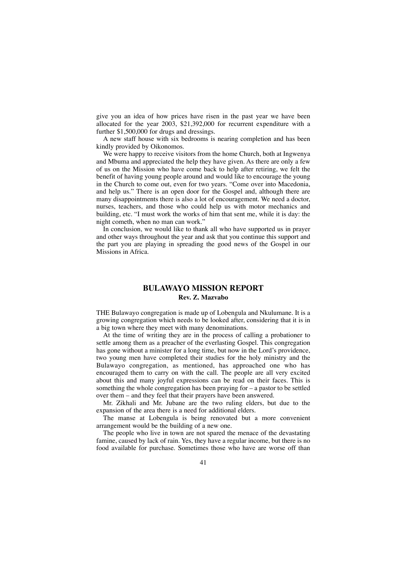give you an idea of how prices have risen in the past year we have been allocated for the year 2003, \$21,392,000 for recurrent expenditure with a further \$1,500,000 for drugs and dressings.

A new staff house with six bedrooms is nearing completion and has been kindly provided by Oikonomos.

We were happy to receive visitors from the home Church, both at Ingwenya and Mbuma and appreciated the help they have given. As there are only a few of us on the Mission who have come back to help after retiring, we felt the benefit of having young people around and would like to encourage the young in the Church to come out, even for two years. "Come over into Macedonia, and help us." There is an open door for the Gospel and, although there are many disappointments there is also a lot of encouragement. We need a doctor, nurses, teachers, and those who could help us with motor mechanics and building, etc. "I must work the works of him that sent me, while it is day: the night cometh, when no man can work."

In conclusion, we would like to thank all who have supported us in prayer and other ways throughout the year and ask that you continue this support and the part you are playing in spreading the good news of the Gospel in our Missions in Africa.

#### **BULAWAYO MISSION REPORT Rev. Z. Mazvabo**

THE Bulawayo congregation is made up of Lobengula and Nkulumane. It is a growing congregation which needs to be looked after, considering that it is in a big town where they meet with many denominations.

At the time of writing they are in the process of calling a probationer to settle among them as a preacher of the everlasting Gospel. This congregation has gone without a minister for a long time, but now in the Lord's providence, two young men have completed their studies for the holy ministry and the Bulawayo congregation, as mentioned, has approached one who has encouraged them to carry on with the call. The people are all very excited about this and many joyful expressions can be read on their faces. This is something the whole congregation has been praying for – a pastor to be settled over them – and they feel that their prayers have been answered.

Mr. Zikhali and Mr. Jubane are the two ruling elders, but due to the expansion of the area there is a need for additional elders.

The manse at Lobengula is being renovated but a more convenient arrangement would be the building of a new one.

The people who live in town are not spared the menace of the devastating famine, caused by lack of rain. Yes, they have a regular income, but there is no food available for purchase. Sometimes those who have are worse off than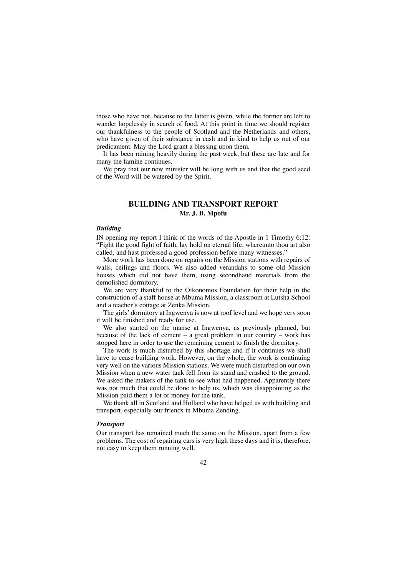those who have not, because to the latter is given, while the former are left to wander hopelessly in search of food. At this point in time we should register our thankfulness to the people of Scotland and the Netherlands and others, who have given of their substance in cash and in kind to help us out of our predicament. May the Lord grant a blessing upon them.

It has been raining heavily during the past week, but these are late and for many the famine continues.

We pray that our new minister will be long with us and that the good seed of the Word will be watered by the Spirit.

# **BUILDING AND TRANSPORT REPORT Mr. J. B. Mpofu**

#### *Building*

IN opening my report I think of the words of the Apostle in 1 Timothy 6:12: "Fight the good fight of faith, lay hold on eternal life, whereunto thou art also called, and hast professed a good profession before many witnesses."

More work has been done on repairs on the Mission stations with repairs of walls, ceilings and floors. We also added verandahs to some old Mission houses which did not have them, using secondhand materials from the demolished dormitory.

We are very thankful to the Oikonomos Foundation for their help in the construction of a staff house at Mbuma Mission, a classroom at Lutsha School and a teacher's cottage at Zenka Mission.

The girls' dormitory at Ingwenya is now at roof level and we hope very soon it will be finished and ready for use.

We also started on the manse at Ingwenya, as previously planned, but because of the lack of cement – a great problem in our country – work has stopped here in order to use the remaining cement to finish the dormitory.

The work is much disturbed by this shortage and if it continues we shall have to cease building work. However, on the whole, the work is continuing very well on the various Mission stations. We were much disturbed on our own Mission when a new water tank fell from its stand and crashed to the ground. We asked the makers of the tank to see what had happened. Apparently there was not much that could be done to help us, which was disappointing as the Mission paid them a lot of money for the tank.

We thank all in Scotland and Holland who have helped us with building and transport, especially our friends in Mbuma Zending.

#### *Transport*

Our transport has remained much the same on the Mission, apart from a few problems. The cost of repairing cars is very high these days and it is, therefore, not easy to keep them running well.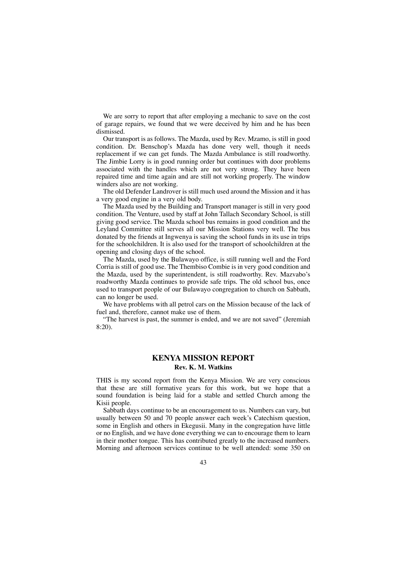We are sorry to report that after employing a mechanic to save on the cost of garage repairs, we found that we were deceived by him and he has been dismissed.

Our transport is as follows. The Mazda, used by Rev. Mzamo, is still in good condition. Dr. Benschop's Mazda has done very well, though it needs replacement if we can get funds. The Mazda Ambulance is still roadworthy. The Jimbie Lorry is in good running order but continues with door problems associated with the handles which are not very strong. They have been repaired time and time again and are still not working properly. The window winders also are not working.

The old Defender Landrover is still much used around the Mission and it has a very good engine in a very old body.

The Mazda used by the Building and Transport manager is still in very good condition. The Venture, used by staff at John Tallach Secondary School, is still giving good service. The Mazda school bus remains in good condition and the Leyland Committee still serves all our Mission Stations very well. The bus donated by the friends at Ingwenya is saving the school funds in its use in trips for the schoolchildren. It is also used for the transport of schoolchildren at the opening and closing days of the school.

The Mazda, used by the Bulawayo office, is still running well and the Ford Corria is still of good use. The Thembiso Combie is in very good condition and the Mazda, used by the superintendent, is still roadworthy. Rev. Mazvabo's roadworthy Mazda continues to provide safe trips. The old school bus, once used to transport people of our Bulawayo congregation to church on Sabbath, can no longer be used.

We have problems with all petrol cars on the Mission because of the lack of fuel and, therefore, cannot make use of them.

"The harvest is past, the summer is ended, and we are not saved" (Jeremiah 8:20).

#### **KENYA MISSION REPORT Rev. K. M. Watkins**

THIS is my second report from the Kenya Mission. We are very conscious that these are still formative years for this work, but we hope that a sound foundation is being laid for a stable and settled Church among the Kisii people.

Sabbath days continue to be an encouragement to us. Numbers can vary, but usually between 50 and 70 people answer each week's Catechism question, some in English and others in Ekegusii. Many in the congregation have little or no English, and we have done everything we can to encourage them to learn in their mother tongue. This has contributed greatly to the increased numbers. Morning and afternoon services continue to be well attended: some 350 on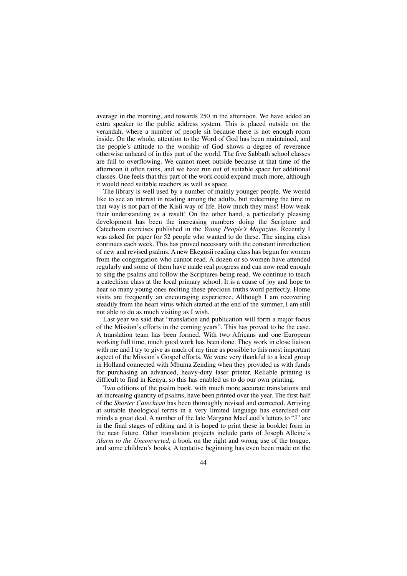average in the morning, and towards 250 in the afternoon. We have added an extra speaker to the public address system. This is placed outside on the verandah, where a number of people sit because there is not enough room inside. On the whole, attention to the Word of God has been maintained, and the people's attitude to the worship of God shows a degree of reverence otherwise unheard of in this part of the world. The five Sabbath school classes are full to overflowing. We cannot meet outside because at that time of the afternoon it often rains, and we have run out of suitable space for additional classes. One feels that this part of the work could expand much more, although it would need suitable teachers as well as space.

The library is well used by a number of mainly younger people. We would like to see an interest in reading among the adults, but redeeming the time in that way is not part of the Kisii way of life. How much they miss! How weak their understanding as a result! On the other hand, a particularly pleasing development has been the increasing numbers doing the Scripture and Catechism exercises published in the *Young People's Magazine*. Recently I was asked for paper for 52 people who wanted to do these. The singing class continues each week. This has proved necessary with the constant introduction of new and revised psalms. A new Ekegusii reading class has begun for women from the congregation who cannot read. A dozen or so women have attended regularly and some of them have made real progress and can now read enough to sing the psalms and follow the Scriptures being read. We continue to teach a catechism class at the local primary school. It is a cause of joy and hope to hear so many young ones reciting these precious truths word perfectly. Home visits are frequently an encouraging experience. Although I am recovering steadily from the heart virus which started at the end of the summer, I am still not able to do as much visiting as I wish.

Last year we said that "translation and publication will form a major focus of the Mission's efforts in the coming years". This has proved to be the case. A translation team has been formed. With two Africans and one European working full time, much good work has been done. They work in close liaison with me and I try to give as much of my time as possible to this most important aspect of the Mission's Gospel efforts. We were very thankful to a local group in Holland connected with Mbuma Zending when they provided us with funds for purchasing an advanced, heavy-duty laser printer. Reliable printing is difficult to find in Kenya, so this has enabled us to do our own printing.

Two editions of the psalm book, with much more accurate translations and an increasing quantity of psalms, have been printed over the year. The first half of the *Shorter Catechism* has been thoroughly revised and corrected. Arriving at suitable theological terms in a very limited language has exercised our minds a great deal. A number of the late Margaret MacLeod's letters to "J" are in the final stages of editing and it is hoped to print these in booklet form in the near future. Other translation projects include parts of Joseph Alleine's *Alarm to the Unconverted,* a book on the right and wrong use of the tongue, and some children's books. A tentative beginning has even been made on the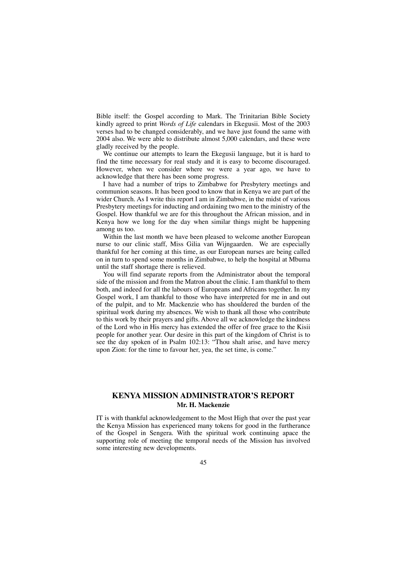Bible itself: the Gospel according to Mark. The Trinitarian Bible Society kindly agreed to print *Words of Life* calendars in Ekegusii. Most of the 2003 verses had to be changed considerably, and we have just found the same with 2004 also. We were able to distribute almost 5,000 calendars, and these were gladly received by the people.

We continue our attempts to learn the Ekegusii language, but it is hard to find the time necessary for real study and it is easy to become discouraged. However, when we consider where we were a year ago, we have to acknowledge that there has been some progress.

I have had a number of trips to Zimbabwe for Presbytery meetings and communion seasons. It has been good to know that in Kenya we are part of the wider Church. As I write this report I am in Zimbabwe, in the midst of various Presbytery meetings for inducting and ordaining two men to the ministry of the Gospel. How thankful we are for this throughout the African mission, and in Kenya how we long for the day when similar things might be happening among us too.

Within the last month we have been pleased to welcome another European nurse to our clinic staff, Miss Gilia van Wijngaarden. We are especially thankful for her coming at this time, as our European nurses are being called on in turn to spend some months in Zimbabwe, to help the hospital at Mbuma until the staff shortage there is relieved.

You will find separate reports from the Administrator about the temporal side of the mission and from the Matron about the clinic. I am thankful to them both, and indeed for all the labours of Europeans and Africans together. In my Gospel work, I am thankful to those who have interpreted for me in and out of the pulpit, and to Mr. Mackenzie who has shouldered the burden of the spiritual work during my absences. We wish to thank all those who contribute to this work by their prayers and gifts. Above all we acknowledge the kindness of the Lord who in His mercy has extended the offer of free grace to the Kisii people for another year. Our desire in this part of the kingdom of Christ is to see the day spoken of in Psalm 102:13: "Thou shalt arise, and have mercy upon Zion: for the time to favour her, yea, the set time, is come."

## **KENYA MISSION ADMINISTRATOR'S REPORT Mr. H. Mackenzie**

IT is with thankful acknowledgement to the Most High that over the past year the Kenya Mission has experienced many tokens for good in the furtherance of the Gospel in Sengera. With the spiritual work continuing apace the supporting role of meeting the temporal needs of the Mission has involved some interesting new developments.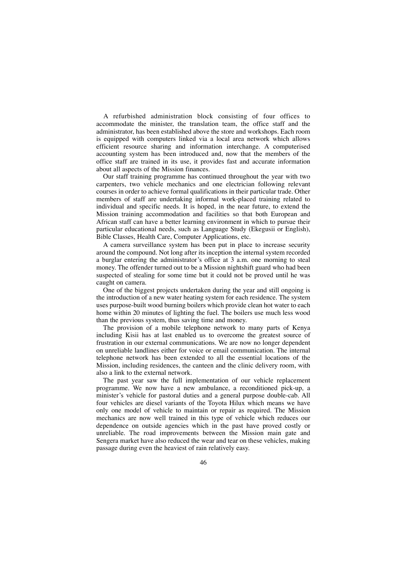A refurbished administration block consisting of four offices to accommodate the minister, the translation team, the office staff and the administrator, has been established above the store and workshops. Each room is equipped with computers linked via a local area network which allows efficient resource sharing and information interchange. A computerised accounting system has been introduced and, now that the members of the office staff are trained in its use, it provides fast and accurate information about all aspects of the Mission finances.

Our staff training programme has continued throughout the year with two carpenters, two vehicle mechanics and one electrician following relevant courses in order to achieve formal qualifications in their particular trade. Other members of staff are undertaking informal work-placed training related to individual and specific needs. It is hoped, in the near future, to extend the Mission training accommodation and facilities so that both European and African staff can have a better learning environment in which to pursue their particular educational needs, such as Language Study (Ekegusii or English), Bible Classes, Health Care, Computer Applications, etc.

A camera surveillance system has been put in place to increase security around the compound. Not long after its inception the internal system recorded a burglar entering the administrator's office at 3 a.m. one morning to steal money. The offender turned out to be a Mission nightshift guard who had been suspected of stealing for some time but it could not be proved until he was caught on camera.

One of the biggest projects undertaken during the year and still ongoing is the introduction of a new water heating system for each residence. The system uses purpose-built wood burning boilers which provide clean hot water to each home within 20 minutes of lighting the fuel. The boilers use much less wood than the previous system, thus saving time and money.

The provision of a mobile telephone network to many parts of Kenya including Kisii has at last enabled us to overcome the greatest source of frustration in our external communications. We are now no longer dependent on unreliable landlines either for voice or email communication. The internal telephone network has been extended to all the essential locations of the Mission, including residences, the canteen and the clinic delivery room, with also a link to the external network.

The past year saw the full implementation of our vehicle replacement programme. We now have a new ambulance, a reconditioned pick-up, a minister's vehicle for pastoral duties and a general purpose double-cab. All four vehicles are diesel variants of the Toyota Hilux which means we have only one model of vehicle to maintain or repair as required. The Mission mechanics are now well trained in this type of vehicle which reduces our dependence on outside agencies which in the past have proved costly or unreliable. The road improvements between the Mission main gate and Sengera market have also reduced the wear and tear on these vehicles, making passage during even the heaviest of rain relatively easy.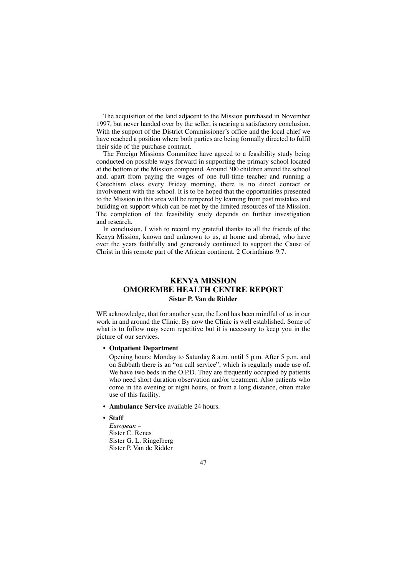The acquisition of the land adjacent to the Mission purchased in November 1997, but never handed over by the seller, is nearing a satisfactory conclusion. With the support of the District Commissioner's office and the local chief we have reached a position where both parties are being formally directed to fulfil their side of the purchase contract.

The Foreign Missions Committee have agreed to a feasibility study being conducted on possible ways forward in supporting the primary school located at the bottom of the Mission compound. Around 300 children attend the school and, apart from paying the wages of one full-time teacher and running a Catechism class every Friday morning, there is no direct contact or involvement with the school. It is to be hoped that the opportunities presented to the Mission in this area will be tempered by learning from past mistakes and building on support which can be met by the limited resources of the Mission. The completion of the feasibility study depends on further investigation and research.

In conclusion, I wish to record my grateful thanks to all the friends of the Kenya Mission, known and unknown to us, at home and abroad, who have over the years faithfully and generously continued to support the Cause of Christ in this remote part of the African continent. 2 Corinthians 9:7.

# **KENYA MISSION OMOREMBE HEALTH CENTRE REPORT Sister P. Van de Ridder**

WE acknowledge, that for another year, the Lord has been mindful of us in our work in and around the Clinic. By now the Clinic is well established. Some of what is to follow may seem repetitive but it is necessary to keep you in the picture of our services.

• **Outpatient Department**

Opening hours: Monday to Saturday 8 a.m. until 5 p.m. After 5 p.m. and on Sabbath there is an "on call service", which is regularly made use of. We have two beds in the O.P.D. They are frequently occupied by patients who need short duration observation and/or treatment. Also patients who come in the evening or night hours, or from a long distance, often make use of this facility.

- **Ambulance Service** available 24 hours.
- **Staff**

*European –* Sister C. Renes Sister G. L. Ringelberg Sister P. Van de Ridder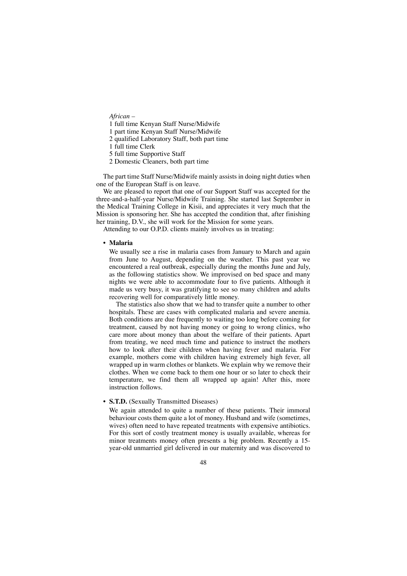*African –*

1 full time Kenyan Staff Nurse/Midwife

1 part time Kenyan Staff Nurse/Midwife

2 qualified Laboratory Staff, both part time

1 full time Clerk

5 full time Supportive Staff

2 Domestic Cleaners, both part time

The part time Staff Nurse/Midwife mainly assists in doing night duties when one of the European Staff is on leave.

We are pleased to report that one of our Support Staff was accepted for the three-and-a-half-year Nurse/Midwife Training. She started last September in the Medical Training College in Kisii, and appreciates it very much that the Mission is sponsoring her. She has accepted the condition that, after finishing her training, D.V., she will work for the Mission for some years.

Attending to our O.P.D. clients mainly involves us in treating:

#### • **Malaria**

We usually see a rise in malaria cases from January to March and again from June to August, depending on the weather. This past year we encountered a real outbreak, especially during the months June and July, as the following statistics show. We improvised on bed space and many nights we were able to accommodate four to five patients. Although it made us very busy, it was gratifying to see so many children and adults recovering well for comparatively little money.

The statistics also show that we had to transfer quite a number to other hospitals. These are cases with complicated malaria and severe anemia. Both conditions are due frequently to waiting too long before coming for treatment, caused by not having money or going to wrong clinics, who care more about money than about the welfare of their patients. Apart from treating, we need much time and patience to instruct the mothers how to look after their children when having fever and malaria. For example, mothers come with children having extremely high fever, all wrapped up in warm clothes or blankets. We explain why we remove their clothes. When we come back to them one hour or so later to check their temperature, we find them all wrapped up again! After this, more instruction follows.

#### • **S.T.D.** (Sexually Transmitted Diseases)

We again attended to quite a number of these patients. Their immoral behaviour costs them quite a lot of money. Husband and wife (sometimes, wives) often need to have repeated treatments with expensive antibiotics. For this sort of costly treatment money is usually available, whereas for minor treatments money often presents a big problem. Recently a 15 year-old unmarried girl delivered in our maternity and was discovered to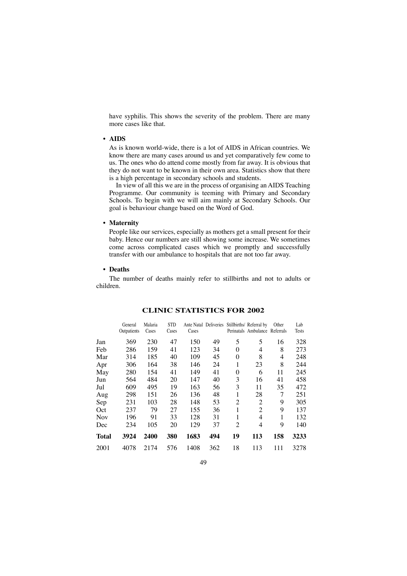have syphilis. This shows the severity of the problem. There are many more cases like that.

#### • **AIDS**

As is known world-wide, there is a lot of AIDS in African countries. We know there are many cases around us and yet comparatively few come to us. The ones who do attend come mostly from far away. It is obvious that they do not want to be known in their own area. Statistics show that there is a high percentage in secondary schools and students.

In view of all this we are in the process of organising an AIDS Teaching Programme. Our community is teeming with Primary and Secondary Schools. To begin with we will aim mainly at Secondary Schools. Our goal is behaviour change based on the Word of God.

#### • **Maternity**

People like our services, especially as mothers get a small present for their baby. Hence our numbers are still showing some increase. We sometimes come across complicated cases which we promptly and successfully transfer with our ambulance to hospitals that are not too far away.

#### • **Deaths**

The number of deaths mainly refer to stillbirths and not to adults or children.

|              | General<br>Outpatients | Malaria<br>Cases | <b>STD</b><br>Cases | Cases | Ante Natal Deliveries |                | Stillbirths/ Referral by<br>Perinatals Ambulance Referrals | Other | Lab<br>Tests |
|--------------|------------------------|------------------|---------------------|-------|-----------------------|----------------|------------------------------------------------------------|-------|--------------|
| Jan          | 369                    | 230              | 47                  | 150   | 49                    | 5              | 5                                                          | 16    | 328          |
| Feb          | 286                    | 159              | 41                  | 123   | 34                    | 0              | 4                                                          | 8     | 273          |
| Mar          | 314                    | 185              | 40                  | 109   | 45                    | $\theta$       | 8                                                          | 4     | 248          |
| Apr          | 306                    | 164              | 38                  | 146   | 24                    | 1              | 23                                                         | 8     | 244          |
| May          | 280                    | 154              | 41                  | 149   | 41                    | 0              | 6                                                          | 11    | 245          |
| Jun          | 564                    | 484              | 20                  | 147   | 40                    | 3              | 16                                                         | 41    | 458          |
| Jul          | 609                    | 495              | 19                  | 163   | 56                    | 3              | 11                                                         | 35    | 472          |
| Aug          | 298                    | 151              | 26                  | 136   | 48                    | 1              | 28                                                         | 7     | 251          |
| Sep          | 231                    | 103              | 28                  | 148   | 53                    | $\overline{c}$ | $\overline{2}$                                             | 9     | 305          |
| Oct          | 237                    | 79               | 27                  | 155   | 36                    | 1              | 2                                                          | 9     | 137          |
| Nov          | 196                    | 91               | 33                  | 128   | 31                    | 1              | 4                                                          | 1     | 132          |
| Dec          | 234                    | 105              | 20                  | 129   | 37                    | $\overline{c}$ | 4                                                          | 9     | 140          |
| <b>Total</b> | 3924                   | 2400             | 380                 | 1683  | 494                   | 19             | 113                                                        | 158   | 3233         |
| 2001         | 4078                   | 2174             | 576                 | 1408  | 362                   | 18             | 113                                                        | 111   | 3278         |

#### **CLINIC STATISTICS FOR 2002**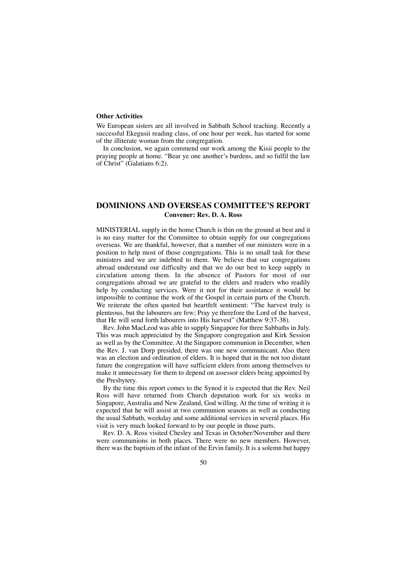#### **Other Activities**

We European sisters are all involved in Sabbath School teaching. Recently a successful Ekegusii reading class, of one hour per week, has started for some of the illiterate woman from the congregation.

In conclusion, we again commend our work among the Kisii people to the praying people at home. "Bear ye one another's burdens, and so fulfil the law of Christ" (Galatians 6:2).

## **DOMINIONS AND OVERSEAS COMMITTEE'S REPORT Convener: Rev. D. A. Ross**

MINISTERIAL supply in the home Church is thin on the ground at best and it is no easy matter for the Committee to obtain supply for our congregations overseas. We are thankful, however, that a number of our ministers were in a position to help most of those congregations. This is no small task for these ministers and we are indebted to them. We believe that our congregations abroad understand our difficulty and that we do our best to keep supply in circulation among them. In the absence of Pastors for most of our congregations abroad we are grateful to the elders and readers who readily help by conducting services. Were it not for their assistance it would be impossible to continue the work of the Gospel in certain parts of the Church. We reiterate the often quoted but heartfelt sentiment: "The harvest truly is plenteous, but the labourers are few; Pray ye therefore the Lord of the harvest, that He will send forth labourers into His harvest" (Matthew 9:37-38).

Rev. John MacLeod was able to supply Singapore for three Sabbaths in July. This was much appreciated by the Singapore congregation and Kirk Session as well as by the Committee. At the Singapore communion in December, when the Rev. J. van Dorp presided, there was one new communicant. Also there was an election and ordination of elders. It is hoped that in the not too distant future the congregation will have sufficient elders from among themselves to make it unnecessary for them to depend on assessor elders being appointed by the Presbytery.

By the time this report comes to the Synod it is expected that the Rev. Neil Ross will have returned from Church deputation work for six weeks in Singapore, Australia and New Zealand, God willing. At the time of writing it is expected that he will assist at two communion seasons as well as conducting the usual Sabbath, weekday and some additional services in several places. His visit is very much looked forward to by our people in those parts.

Rev. D. A. Ross visited Chesley and Texas in October/November and there were communions in both places. There were no new members. However, there was the baptism of the infant of the Ervin family. It is a solemn but happy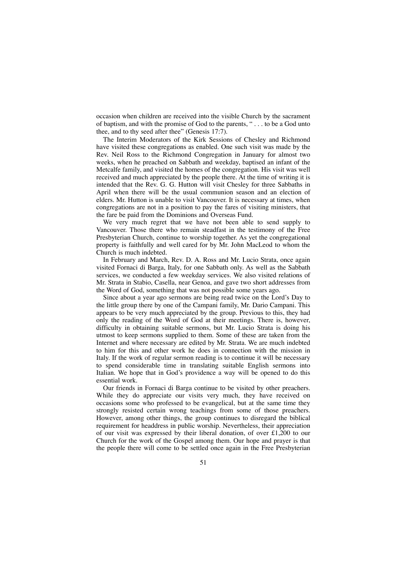occasion when children are received into the visible Church by the sacrament of baptism, and with the promise of God to the parents, " . . . to be a God unto thee, and to thy seed after thee" (Genesis 17:7).

The Interim Moderators of the Kirk Sessions of Chesley and Richmond have visited these congregations as enabled. One such visit was made by the Rev. Neil Ross to the Richmond Congregation in January for almost two weeks, when he preached on Sabbath and weekday, baptised an infant of the Metcalfe family, and visited the homes of the congregation. His visit was well received and much appreciated by the people there. At the time of writing it is intended that the Rev. G. G. Hutton will visit Chesley for three Sabbaths in April when there will be the usual communion season and an election of elders. Mr. Hutton is unable to visit Vancouver. It is necessary at times, when congregations are not in a position to pay the fares of visiting ministers, that the fare be paid from the Dominions and Overseas Fund.

We very much regret that we have not been able to send supply to Vancouver. Those there who remain steadfast in the testimony of the Free Presbyterian Church, continue to worship together. As yet the congregational property is faithfully and well cared for by Mr. John MacLeod to whom the Church is much indebted.

In February and March, Rev. D. A. Ross and Mr. Lucio Strata, once again visited Fornaci di Barga, Italy, for one Sabbath only. As well as the Sabbath services, we conducted a few weekday services. We also visited relations of Mr. Strata in Stabio, Casella, near Genoa, and gave two short addresses from the Word of God, something that was not possible some years ago.

Since about a year ago sermons are being read twice on the Lord's Day to the little group there by one of the Campani family, Mr. Dario Campani. This appears to be very much appreciated by the group. Previous to this, they had only the reading of the Word of God at their meetings. There is, however, difficulty in obtaining suitable sermons, but Mr. Lucio Strata is doing his utmost to keep sermons supplied to them. Some of these are taken from the Internet and where necessary are edited by Mr. Strata. We are much indebted to him for this and other work he does in connection with the mission in Italy. If the work of regular sermon reading is to continue it will be necessary to spend considerable time in translating suitable English sermons into Italian. We hope that in God's providence a way will be opened to do this essential work.

Our friends in Fornaci di Barga continue to be visited by other preachers. While they do appreciate our visits very much, they have received on occasions some who professed to be evangelical, but at the same time they strongly resisted certain wrong teachings from some of those preachers. However, among other things, the group continues to disregard the biblical requirement for headdress in public worship. Nevertheless, their appreciation of our visit was expressed by their liberal donation, of over £1,200 to our Church for the work of the Gospel among them. Our hope and prayer is that the people there will come to be settled once again in the Free Presbyterian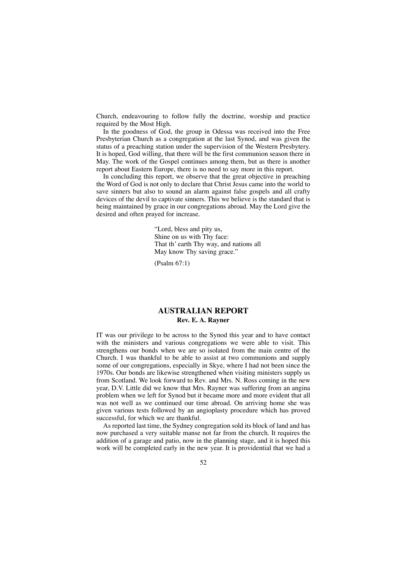Church, endeavouring to follow fully the doctrine, worship and practice required by the Most High.

In the goodness of God, the group in Odessa was received into the Free Presbyterian Church as a congregation at the last Synod, and was given the status of a preaching station under the supervision of the Western Presbytery. It is hoped, God willing, that there will be the first communion season there in May. The work of the Gospel continues among them, but as there is another report about Eastern Europe, there is no need to say more in this report.

In concluding this report, we observe that the great objective in preaching the Word of God is not only to declare that Christ Jesus came into the world to save sinners but also to sound an alarm against false gospels and all crafty devices of the devil to captivate sinners. This we believe is the standard that is being maintained by grace in our congregations abroad. May the Lord give the desired and often prayed for increase.

> "Lord, bless and pity us, Shine on us with Thy face: That th' earth Thy way, and nations all May know Thy saving grace."

(Psalm 67:1)

# **AUSTRALIAN REPORT Rev. E. A. Rayner**

IT was our privilege to be across to the Synod this year and to have contact with the ministers and various congregations we were able to visit. This strengthens our bonds when we are so isolated from the main centre of the Church. I was thankful to be able to assist at two communions and supply some of our congregations, especially in Skye, where I had not been since the 1970s. Our bonds are likewise strengthened when visiting ministers supply us from Scotland. We look forward to Rev. and Mrs. N. Ross coming in the new year, D.V. Little did we know that Mrs. Rayner was suffering from an angina problem when we left for Synod but it became more and more evident that all was not well as we continued our time abroad. On arriving home she was given various tests followed by an angioplasty procedure which has proved successful, for which we are thankful.

As reported last time, the Sydney congregation sold its block of land and has now purchased a very suitable manse not far from the church. It requires the addition of a garage and patio, now in the planning stage, and it is hoped this work will be completed early in the new year. It is providential that we had a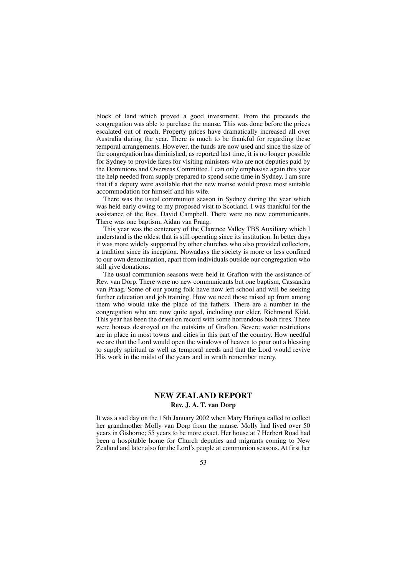block of land which proved a good investment. From the proceeds the congregation was able to purchase the manse. This was done before the prices escalated out of reach. Property prices have dramatically increased all over Australia during the year. There is much to be thankful for regarding these temporal arrangements. However, the funds are now used and since the size of the congregation has diminished, as reported last time, it is no longer possible for Sydney to provide fares for visiting ministers who are not deputies paid by the Dominions and Overseas Committee. I can only emphasise again this year the help needed from supply prepared to spend some time in Sydney. I am sure that if a deputy were available that the new manse would prove most suitable accommodation for himself and his wife.

There was the usual communion season in Sydney during the year which was held early owing to my proposed visit to Scotland. I was thankful for the assistance of the Rev. David Campbell. There were no new communicants. There was one baptism, Aidan van Praag.

This year was the centenary of the Clarence Valley TBS Auxiliary which I understand is the oldest that is still operating since its institution. In better days it was more widely supported by other churches who also provided collectors, a tradition since its inception. Nowadays the society is more or less confined to our own denomination, apart from individuals outside our congregation who still give donations.

The usual communion seasons were held in Grafton with the assistance of Rev. van Dorp. There were no new communicants but one baptism, Cassandra van Praag. Some of our young folk have now left school and will be seeking further education and job training. How we need those raised up from among them who would take the place of the fathers. There are a number in the congregation who are now quite aged, including our elder, Richmond Kidd. This year has been the driest on record with some horrendous bush fires. There were houses destroyed on the outskirts of Grafton. Severe water restrictions are in place in most towns and cities in this part of the country. How needful we are that the Lord would open the windows of heaven to pour out a blessing to supply spiritual as well as temporal needs and that the Lord would revive His work in the midst of the years and in wrath remember mercy.

### **NEW ZEALAND REPORT Rev. J. A. T. van Dorp**

It was a sad day on the 15th January 2002 when Mary Haringa called to collect her grandmother Molly van Dorp from the manse. Molly had lived over 50 years in Gisborne; 55 years to be more exact. Her house at 7 Herbert Road had been a hospitable home for Church deputies and migrants coming to New Zealand and later also for the Lord's people at communion seasons. At first her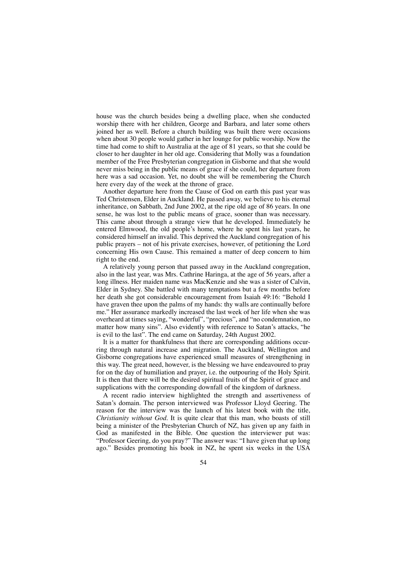house was the church besides being a dwelling place, when she conducted worship there with her children, George and Barbara, and later some others joined her as well. Before a church building was built there were occasions when about 30 people would gather in her lounge for public worship. Now the time had come to shift to Australia at the age of 81 years, so that she could be closer to her daughter in her old age. Considering that Molly was a foundation member of the Free Presbyterian congregation in Gisborne and that she would never miss being in the public means of grace if she could, her departure from here was a sad occasion. Yet, no doubt she will be remembering the Church here every day of the week at the throne of grace.

Another departure here from the Cause of God on earth this past year was Ted Christensen, Elder in Auckland. He passed away, we believe to his eternal inheritance, on Sabbath, 2nd June 2002, at the ripe old age of 86 years. In one sense, he was lost to the public means of grace, sooner than was necessary. This came about through a strange view that he developed. Immediately he entered Elmwood, the old people's home, where he spent his last years, he considered himself an invalid. This deprived the Auckland congregation of his public prayers – not of his private exercises, however, of petitioning the Lord concerning His own Cause. This remained a matter of deep concern to him right to the end.

A relatively young person that passed away in the Auckland congregation, also in the last year, was Mrs. Cathrine Haringa, at the age of 56 years, after a long illness. Her maiden name was MacKenzie and she was a sister of Calvin, Elder in Sydney. She battled with many temptations but a few months before her death she got considerable encouragement from Isaiah 49:16: "Behold I have graven thee upon the palms of my hands: thy walls are continually before me." Her assurance markedly increased the last week of her life when she was overheard at times saying, "wonderful", "precious", and "no condemnation, no matter how many sins". Also evidently with reference to Satan's attacks, "he is evil to the last". The end came on Saturday, 24th August 2002.

It is a matter for thankfulness that there are corresponding additions occurring through natural increase and migration. The Auckland, Wellington and Gisborne congregations have experienced small measures of strengthening in this way. The great need, however, is the blessing we have endeavoured to pray for on the day of humiliation and prayer, i.e. the outpouring of the Holy Spirit. It is then that there will be the desired spiritual fruits of the Spirit of grace and supplications with the corresponding downfall of the kingdom of darkness.

A recent radio interview highlighted the strength and assertiveness of Satan's domain. The person interviewed was Professor Lloyd Geering. The reason for the interview was the launch of his latest book with the title, *Christianity without God.* It is quite clear that this man, who boasts of still being a minister of the Presbyterian Church of NZ, has given up any faith in God as manifested in the Bible. One question the interviewer put was: "Professor Geering, do you pray?" The answer was: "I have given that up long ago." Besides promoting his book in NZ, he spent six weeks in the USA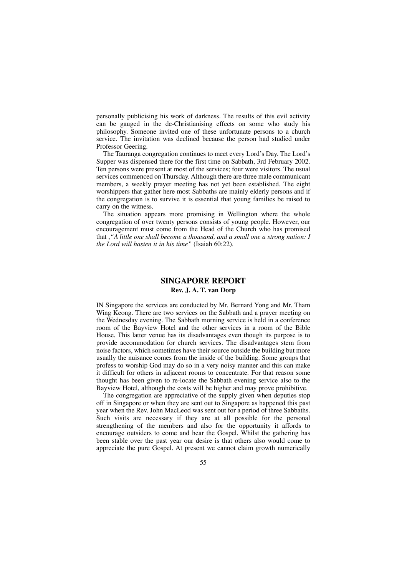personally publicising his work of darkness. The results of this evil activity can be gauged in the de-Christianising effects on some who study his philosophy. Someone invited one of these unfortunate persons to a church service. The invitation was declined because the person had studied under Professor Geering.

The Tauranga congregation continues to meet every Lord's Day. The Lord's Supper was dispensed there for the first time on Sabbath, 3rd February 2002. Ten persons were present at most of the services; four were visitors. The usual services commenced on Thursday. Although there are three male communicant members, a weekly prayer meeting has not yet been established. The eight worshippers that gather here most Sabbaths are mainly elderly persons and if the congregation is to survive it is essential that young families be raised to carry on the witness.

The situation appears more promising in Wellington where the whole congregation of over twenty persons consists of young people. However, our encouragement must come from the Head of the Church who has promised that ,*"A little one shall become a thousand, and a small one a strong nation: I the Lord will hasten it in his time"* (Isaiah 60:22).

# **SINGAPORE REPORT**

## **Rev. J. A. T. van Dorp**

IN Singapore the services are conducted by Mr. Bernard Yong and Mr. Tham Wing Keong. There are two services on the Sabbath and a prayer meeting on the Wednesday evening. The Sabbath morning service is held in a conference room of the Bayview Hotel and the other services in a room of the Bible House. This latter venue has its disadvantages even though its purpose is to provide accommodation for church services. The disadvantages stem from noise factors, which sometimes have their source outside the building but more usually the nuisance comes from the inside of the building. Some groups that profess to worship God may do so in a very noisy manner and this can make it difficult for others in adjacent rooms to concentrate. For that reason some thought has been given to re-locate the Sabbath evening service also to the Bayview Hotel, although the costs will be higher and may prove prohibitive.

The congregation are appreciative of the supply given when deputies stop off in Singapore or when they are sent out to Singapore as happened this past year when the Rev. John MacLeod was sent out for a period of three Sabbaths. Such visits are necessary if they are at all possible for the personal strengthening of the members and also for the opportunity it affords to encourage outsiders to come and hear the Gospel. Whilst the gathering has been stable over the past year our desire is that others also would come to appreciate the pure Gospel. At present we cannot claim growth numerically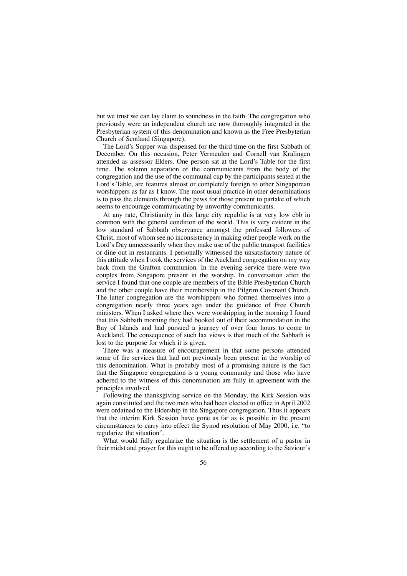but we trust we can lay claim to soundness in the faith. The congregation who previously were an independent church are now thoroughly integrated in the Presbyterian system of this denomination and known as the Free Presbyterian Church of Scotland (Singapore).

The Lord's Supper was dispensed for the third time on the first Sabbath of December. On this occasion, Peter Vermeulen and Cornell van Kralingen attended as assessor Elders. One person sat at the Lord's Table for the first time. The solemn separation of the communicants from the body of the congregation and the use of the communal cup by the participants seated at the Lord's Table, are features almost or completely foreign to other Singaporean worshippers as far as I know. The most usual practice in other denominations is to pass the elements through the pews for those present to partake of which seems to encourage communicating by unworthy communicants.

At any rate, Christianity in this large city republic is at very low ebb in common with the general condition of the world. This is very evident in the low standard of Sabbath observance amongst the professed followers of Christ, most of whom see no inconsistency in making other people work on the Lord's Day unnecessarily when they make use of the public transport facilities or dine out in restaurants. I personally witnessed the unsatisfactory nature of this attitude when I took the services of the Auckland congregation on my way back from the Grafton communion. In the evening service there were two couples from Singapore present in the worship. In conversation after the service I found that one couple are members of the Bible Presbyterian Church and the other couple have their membership in the Pilgrim Covenant Church. The latter congregation are the worshippers who formed themselves into a congregation nearly three years ago under the guidance of Free Church ministers. When I asked where they were worshipping in the morning I found that this Sabbath morning they had booked out of their accommodation in the Bay of Islands and had pursued a journey of over four hours to come to Auckland. The consequence of such lax views is that much of the Sabbath is lost to the purpose for which it is given.

There was a measure of encouragement in that some persons attended some of the services that had not previously been present in the worship of this denomination. What is probably most of a promising nature is the fact that the Singapore congregation is a young community and those who have adhered to the witness of this denomination are fully in agreement with the principles involved.

Following the thanksgiving service on the Monday, the Kirk Session was again constituted and the two men who had been elected to office in April 2002 were ordained to the Eldership in the Singapore congregation. Thus it appears that the interim Kirk Session have gone as far as is possible in the present circumstances to carry into effect the Synod resolution of May 2000, i.e. "to regularize the situation".

What would fully regularize the situation is the settlement of a pastor in their midst and prayer for this ought to be offered up according to the Saviour's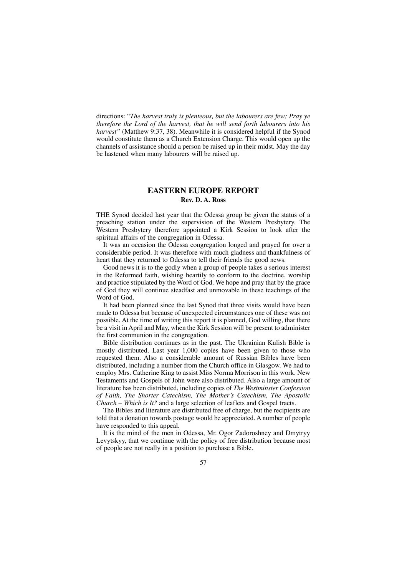directions: "*The harvest truly is plenteous, but the labourers are few; Pray ye therefore the Lord of the harvest, that he will send forth labourers into his* harvest" (Matthew 9:37, 38). Meanwhile it is considered helpful if the Synod would constitute them as a Church Extension Charge. This would open up the channels of assistance should a person be raised up in their midst. May the day be hastened when many labourers will be raised up.

#### **EASTERN EUROPE REPORT Rev. D. A. Ross**

THE Synod decided last year that the Odessa group be given the status of a preaching station under the supervision of the Western Presbytery. The Western Presbytery therefore appointed a Kirk Session to look after the spiritual affairs of the congregation in Odessa.

It was an occasion the Odessa congregation longed and prayed for over a considerable period. It was therefore with much gladness and thankfulness of heart that they returned to Odessa to tell their friends the good news.

Good news it is to the godly when a group of people takes a serious interest in the Reformed faith, wishing heartily to conform to the doctrine, worship and practice stipulated by the Word of God. We hope and pray that by the grace of God they will continue steadfast and unmovable in these teachings of the Word of God.

It had been planned since the last Synod that three visits would have been made to Odessa but because of unexpected circumstances one of these was not possible. At the time of writing this report it is planned, God willing, that there be a visit in April and May, when the Kirk Session will be present to administer the first communion in the congregation.

Bible distribution continues as in the past. The Ukrainian Kulish Bible is mostly distributed. Last year 1,000 copies have been given to those who requested them. Also a considerable amount of Russian Bibles have been distributed, including a number from the Church office in Glasgow. We had to employ Mrs. Catherine King to assist Miss Norma Morrison in this work. New Testaments and Gospels of John were also distributed. Also a large amount of literature has been distributed, including copies of *The Westminster Confession of Faith, The Shorter Catechism, The Mother's Catechism, The Apostolic Church – Which is It?* and a large selection of leaflets and Gospel tracts.

The Bibles and literature are distributed free of charge, but the recipients are told that a donation towards postage would be appreciated. A number of people have responded to this appeal.

It is the mind of the men in Odessa, Mr. Ogor Zadoroshney and Dmytryy Levytskyy, that we continue with the policy of free distribution because most of people are not really in a position to purchase a Bible.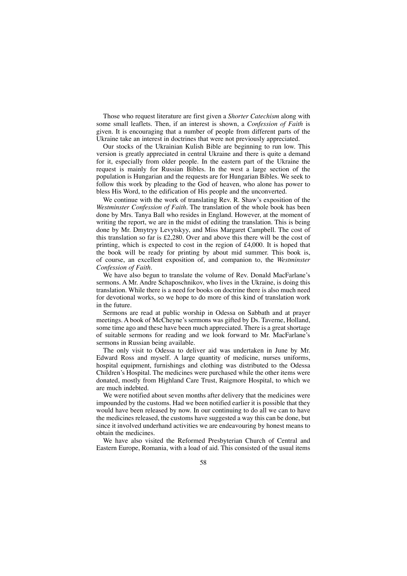Those who request literature are first given a *Shorter Catechism* along with some small leaflets. Then, if an interest is shown, a *Confession of Faith* is given. It is encouraging that a number of people from different parts of the Ukraine take an interest in doctrines that were not previously appreciated.

Our stocks of the Ukrainian Kulish Bible are beginning to run low. This version is greatly appreciated in central Ukraine and there is quite a demand for it, especially from older people. In the eastern part of the Ukraine the request is mainly for Russian Bibles. In the west a large section of the population is Hungarian and the requests are for Hungarian Bibles. We seek to follow this work by pleading to the God of heaven, who alone has power to bless His Word, to the edification of His people and the unconverted.

We continue with the work of translating Rev. R. Shaw's exposition of the *Westminster Confession of Faith.* The translation of the whole book has been done by Mrs. Tanya Ball who resides in England. However, at the moment of writing the report, we are in the midst of editing the translation. This is being done by Mr. Dmytryy Levytskyy, and Miss Margaret Campbell. The cost of this translation so far is £2,280. Over and above this there will be the cost of printing, which is expected to cost in the region of £4,000. It is hoped that the book will be ready for printing by about mid summer. This book is, of course, an excellent exposition of, and companion to, the *Westminster Confession of Faith.*

We have also begun to translate the volume of Rev. Donald MacFarlane's sermons. A Mr. Andre Schaposchnikov, who lives in the Ukraine, is doing this translation. While there is a need for books on doctrine there is also much need for devotional works, so we hope to do more of this kind of translation work in the future.

Sermons are read at public worship in Odessa on Sabbath and at prayer meetings. A book of McCheyne's sermons was gifted by Ds. Taverne, Holland, some time ago and these have been much appreciated. There is a great shortage of suitable sermons for reading and we look forward to Mr. MacFarlane's sermons in Russian being available.

The only visit to Odessa to deliver aid was undertaken in June by Mr. Edward Ross and myself. A large quantity of medicine, nurses uniforms, hospital equipment, furnishings and clothing was distributed to the Odessa Children's Hospital. The medicines were purchased while the other items were donated, mostly from Highland Care Trust, Raigmore Hospital, to which we are much indebted.

We were notified about seven months after delivery that the medicines were impounded by the customs. Had we been notified earlier it is possible that they would have been released by now. In our continuing to do all we can to have the medicines released, the customs have suggested a way this can be done, but since it involved underhand activities we are endeavouring by honest means to obtain the medicines.

We have also visited the Reformed Presbyterian Church of Central and Eastern Europe, Romania, with a load of aid. This consisted of the usual items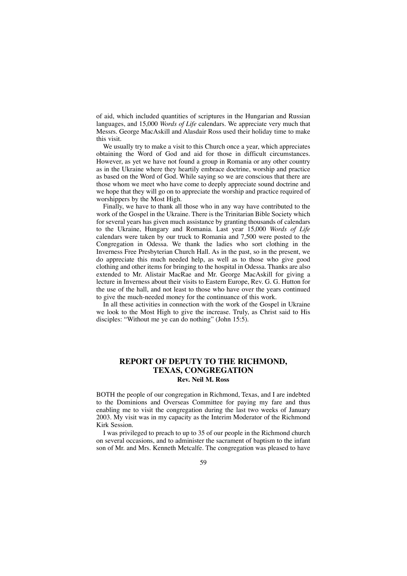of aid, which included quantities of scriptures in the Hungarian and Russian languages, and 15,000 *Words of Life* calendars. We appreciate very much that Messrs. George MacAskill and Alasdair Ross used their holiday time to make this visit.

We usually try to make a visit to this Church once a year, which appreciates obtaining the Word of God and aid for those in difficult circumstances. However, as yet we have not found a group in Romania or any other country as in the Ukraine where they heartily embrace doctrine, worship and practice as based on the Word of God. While saying so we are conscious that there are those whom we meet who have come to deeply appreciate sound doctrine and we hope that they will go on to appreciate the worship and practice required of worshippers by the Most High.

Finally, we have to thank all those who in any way have contributed to the work of the Gospel in the Ukraine. There is the Trinitarian Bible Society which for several years has given much assistance by granting thousands of calendars to the Ukraine, Hungary and Romania. Last year 15,000 *Words of Life* calendars were taken by our truck to Romania and 7,500 were posted to the Congregation in Odessa. We thank the ladies who sort clothing in the Inverness Free Presbyterian Church Hall. As in the past, so in the present, we do appreciate this much needed help, as well as to those who give good clothing and other items for bringing to the hospital in Odessa. Thanks are also extended to Mr. Alistair MacRae and Mr. George MacAskill for giving a lecture in Inverness about their visits to Eastern Europe, Rev. G. G. Hutton for the use of the hall, and not least to those who have over the years continued to give the much-needed money for the continuance of this work.

In all these activities in connection with the work of the Gospel in Ukraine we look to the Most High to give the increase. Truly, as Christ said to His disciples: "Without me ye can do nothing" (John 15:5).

### **REPORT OF DEPUTY TO THE RICHMOND, TEXAS, CONGREGATION Rev. Neil M. Ross**

BOTH the people of our congregation in Richmond, Texas, and I are indebted to the Dominions and Overseas Committee for paying my fare and thus enabling me to visit the congregation during the last two weeks of January 2003. My visit was in my capacity as the Interim Moderator of the Richmond Kirk Session.

I was privileged to preach to up to 35 of our people in the Richmond church on several occasions, and to administer the sacrament of baptism to the infant son of Mr. and Mrs. Kenneth Metcalfe. The congregation was pleased to have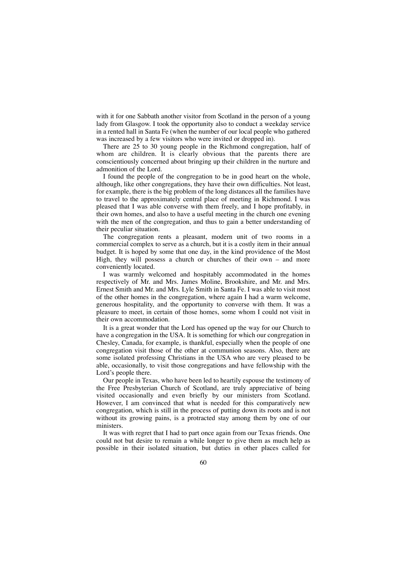with it for one Sabbath another visitor from Scotland in the person of a young lady from Glasgow. I took the opportunity also to conduct a weekday service in a rented hall in Santa Fe (when the number of our local people who gathered was increased by a few visitors who were invited or dropped in).

There are 25 to 30 young people in the Richmond congregation, half of whom are children. It is clearly obvious that the parents there are conscientiously concerned about bringing up their children in the nurture and admonition of the Lord.

I found the people of the congregation to be in good heart on the whole, although, like other congregations, they have their own difficulties. Not least, for example, there is the big problem of the long distances all the families have to travel to the approximately central place of meeting in Richmond. I was pleased that I was able converse with them freely, and I hope profitably, in their own homes, and also to have a useful meeting in the church one evening with the men of the congregation, and thus to gain a better understanding of their peculiar situation.

The congregation rents a pleasant, modern unit of two rooms in a commercial complex to serve as a church, but it is a costly item in their annual budget. It is hoped by some that one day, in the kind providence of the Most High, they will possess a church or churches of their own – and more conveniently located.

I was warmly welcomed and hospitably accommodated in the homes respectively of Mr. and Mrs. James Moline, Brookshire, and Mr. and Mrs. Ernest Smith and Mr. and Mrs. Lyle Smith in Santa Fe. I was able to visit most of the other homes in the congregation, where again I had a warm welcome, generous hospitality, and the opportunity to converse with them. It was a pleasure to meet, in certain of those homes, some whom I could not visit in their own accommodation.

It is a great wonder that the Lord has opened up the way for our Church to have a congregation in the USA. It is something for which our congregation in Chesley, Canada, for example, is thankful, especially when the people of one congregation visit those of the other at communion seasons. Also, there are some isolated professing Christians in the USA who are very pleased to be able, occasionally, to visit those congregations and have fellowship with the Lord's people there.

Our people in Texas, who have been led to heartily espouse the testimony of the Free Presbyterian Church of Scotland, are truly appreciative of being visited occasionally and even briefly by our ministers from Scotland. However, I am convinced that what is needed for this comparatively new congregation, which is still in the process of putting down its roots and is not without its growing pains, is a protracted stay among them by one of our ministers.

It was with regret that I had to part once again from our Texas friends. One could not but desire to remain a while longer to give them as much help as possible in their isolated situation, but duties in other places called for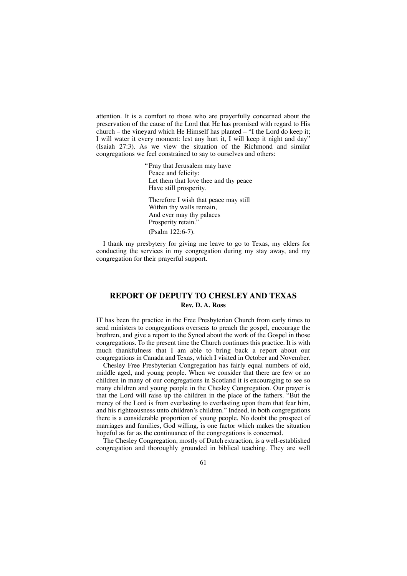attention. It is a comfort to those who are prayerfully concerned about the preservation of the cause of the Lord that He has promised with regard to His church – the vineyard which He Himself has planted – "I the Lord do keep it; I will water it every moment: lest any hurt it, I will keep it night and day" (Isaiah 27:3). As we view the situation of the Richmond and similar congregations we feel constrained to say to ourselves and others:

> "Pray that Jerusalem may have Peace and felicity: Let them that love thee and thy peace Have still prosperity. Therefore I wish that peace may still Within thy walls remain, And ever may thy palaces Prosperity retain.' (Psalm 122:6-7).

I thank my presbytery for giving me leave to go to Texas, my elders for conducting the services in my congregation during my stay away, and my congregation for their prayerful support.

### **REPORT OF DEPUTY TO CHESLEY AND TEXAS Rev. D. A. Ross**

IT has been the practice in the Free Presbyterian Church from early times to send ministers to congregations overseas to preach the gospel, encourage the brethren, and give a report to the Synod about the work of the Gospel in those congregations. To the present time the Church continues this practice. It is with much thankfulness that I am able to bring back a report about our congregations in Canada and Texas, which I visited in October and November.

Chesley Free Presbyterian Congregation has fairly equal numbers of old, middle aged, and young people. When we consider that there are few or no children in many of our congregations in Scotland it is encouraging to see so many children and young people in the Chesley Congregation. Our prayer is that the Lord will raise up the children in the place of the fathers. "But the mercy of the Lord is from everlasting to everlasting upon them that fear him, and his righteousness unto children's children." Indeed, in both congregations there is a considerable proportion of young people. No doubt the prospect of marriages and families, God willing, is one factor which makes the situation hopeful as far as the continuance of the congregations is concerned.

The Chesley Congregation, mostly of Dutch extraction, is a well-established congregation and thoroughly grounded in biblical teaching. They are well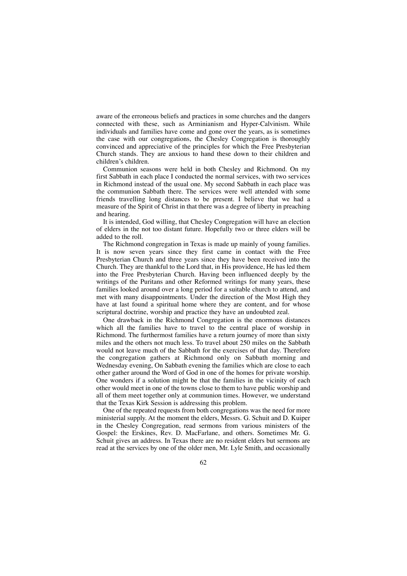aware of the erroneous beliefs and practices in some churches and the dangers connected with these, such as Arminianism and Hyper-Calvinism. While individuals and families have come and gone over the years, as is sometimes the case with our congregations, the Chesley Congregation is thoroughly convinced and appreciative of the principles for which the Free Presbyterian Church stands. They are anxious to hand these down to their children and children's children.

Communion seasons were held in both Chesley and Richmond. On my first Sabbath in each place I conducted the normal services, with two services in Richmond instead of the usual one. My second Sabbath in each place was the communion Sabbath there. The services were well attended with some friends travelling long distances to be present. I believe that we had a measure of the Spirit of Christ in that there was a degree of liberty in preaching and hearing.

It is intended, God willing, that Chesley Congregation will have an election of elders in the not too distant future. Hopefully two or three elders will be added to the roll.

The Richmond congregation in Texas is made up mainly of young families. It is now seven years since they first came in contact with the Free Presbyterian Church and three years since they have been received into the Church. They are thankful to the Lord that, in His providence, He has led them into the Free Presbyterian Church. Having been influenced deeply by the writings of the Puritans and other Reformed writings for many years, these families looked around over a long period for a suitable church to attend, and met with many disappointments. Under the direction of the Most High they have at last found a spiritual home where they are content, and for whose scriptural doctrine, worship and practice they have an undoubted zeal.

One drawback in the Richmond Congregation is the enormous distances which all the families have to travel to the central place of worship in Richmond. The furthermost families have a return journey of more than sixty miles and the others not much less. To travel about 250 miles on the Sabbath would not leave much of the Sabbath for the exercises of that day. Therefore the congregation gathers at Richmond only on Sabbath morning and Wednesday evening, On Sabbath evening the families which are close to each other gather around the Word of God in one of the homes for private worship. One wonders if a solution might be that the families in the vicinity of each other would meet in one of the towns close to them to have public worship and all of them meet together only at communion times. However, we understand that the Texas Kirk Session is addressing this problem.

One of the repeated requests from both congregations was the need for more ministerial supply. At the moment the elders, Messrs. G. Schuit and D. Kuiper in the Chesley Congregation, read sermons from various ministers of the Gospel: the Erskines, Rev. D. MacFarlane, and others. Sometimes Mr. G. Schuit gives an address. In Texas there are no resident elders but sermons are read at the services by one of the older men, Mr. Lyle Smith, and occasionally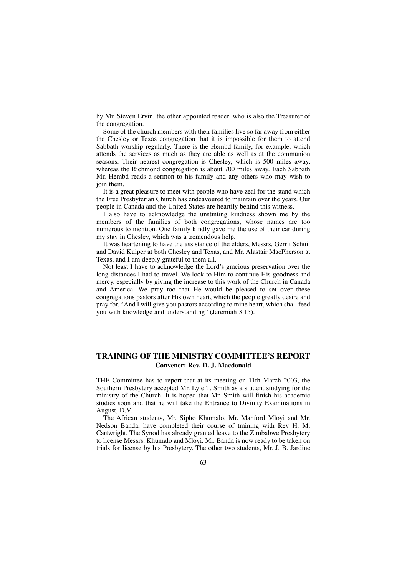by Mr. Steven Ervin, the other appointed reader, who is also the Treasurer of the congregation.

Some of the church members with their families live so far away from either the Chesley or Texas congregation that it is impossible for them to attend Sabbath worship regularly. There is the Hembd family, for example, which attends the services as much as they are able as well as at the communion seasons. Their nearest congregation is Chesley, which is 500 miles away, whereas the Richmond congregation is about 700 miles away. Each Sabbath Mr. Hembd reads a sermon to his family and any others who may wish to join them.

It is a great pleasure to meet with people who have zeal for the stand which the Free Presbyterian Church has endeavoured to maintain over the years. Our people in Canada and the United States are heartily behind this witness.

I also have to acknowledge the unstinting kindness shown me by the members of the families of both congregations, whose names are too numerous to mention. One family kindly gave me the use of their car during my stay in Chesley, which was a tremendous help.

It was heartening to have the assistance of the elders, Messrs. Gerrit Schuit and David Kuiper at both Chesley and Texas, and Mr. Alastair MacPherson at Texas, and I am deeply grateful to them all.

Not least I have to acknowledge the Lord's gracious preservation over the long distances I had to travel. We look to Him to continue His goodness and mercy, especially by giving the increase to this work of the Church in Canada and America. We pray too that He would be pleased to set over these congregations pastors after His own heart, which the people greatly desire and pray for. "And I will give you pastors according to mine heart, which shall feed you with knowledge and understanding" (Jeremiah 3:15).

# **TRAINING OF THE MINISTRY COMMITTEE'S REPORT Convener: Rev. D. J. Macdonald**

THE Committee has to report that at its meeting on 11th March 2003, the Southern Presbytery accepted Mr. Lyle T. Smith as a student studying for the ministry of the Church. It is hoped that Mr. Smith will finish his academic studies soon and that he will take the Entrance to Divinity Examinations in August, D.V.

The African students, Mr. Sipho Khumalo, Mr. Manford Mloyi and Mr. Nedson Banda, have completed their course of training with Rev H. M. Cartwright. The Synod has already granted leave to the Zimbabwe Presbytery to license Messrs. Khumalo and Mloyi. Mr. Banda is now ready to be taken on trials for license by his Presbytery. The other two students, Mr. J. B. Jardine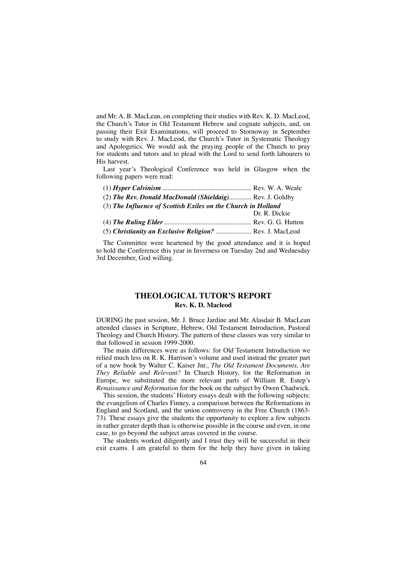and Mr. A. B. MacLean, on completing their studies with Rev. K. D. MacLeod, the Church's Tutor in Old Testament Hebrew and cognate subjects, and, on passing their Exit Examinations, will proceed to Stornoway in September to study with Rev. J. MacLeod, the Church's Tutor in Systematic Theology and Apologetics. We would ask the praying people of the Church to pray for students and tutors and to plead with the Lord to send forth labourers to His harvest.

Last year's Theological Conference was held in Glasgow when the following papers were read:

| (2) The Rev. Donald MacDonald (Shieldaig) Rev. J. Goldby      |               |
|---------------------------------------------------------------|---------------|
| (3) The Influence of Scottish Exiles on the Church in Holland |               |
|                                                               | Dr. R. Dickie |
|                                                               |               |
| (5) Christianity an Exclusive Religion?  Rev. J. MacLeod      |               |
|                                                               |               |

The Committee were heartened by the good attendance and it is hoped to hold the Conference this year in Inverness on Tuesday 2nd and Wednesday 3rd December, God willing.

## **THEOLOGICAL TUTOR'S REPORT Rev. K. D. Macleod**

DURING the past session, Mr. J. Bruce Jardine and Mr. Alasdair B. MacLean attended classes in Scripture, Hebrew, Old Testament Introduction, Pastoral Theology and Church History. The pattern of these classes was very similar to that followed in session 1999-2000.

The main differences were as follows: for Old Testament Introduction we relied much less on R. K. Harrison's volume and used instead the greater part of a new book by Walter C. Kaiser Jnr., *The Old Testament Documents, Are They Reliable and Relevant?* In Church History, for the Reformation in Europe, we substituted the more relevant parts of William R. Estep's *Renaissance and Reformation* for the book on the subject by Owen Chadwick.

This session, the students' History essays dealt with the following subjects: the evangelism of Charles Finney, a comparison between the Reformations in England and Scotland, and the union controversy in the Free Church (1863- 73). These essays give the students the opportunity to explore a few subjects in rather greater depth than is otherwise possible in the course and even, in one case, to go beyond the subject areas covered in the course.

The students worked diligently and I trust they will be successful in their exit exams. I am grateful to them for the help they have given in taking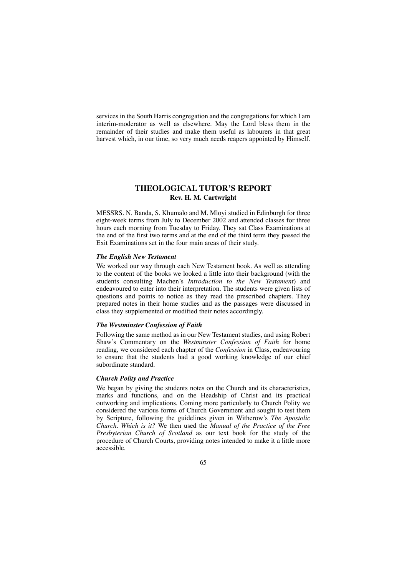services in the South Harris congregation and the congregations for which I am interim-moderator as well as elsewhere. May the Lord bless them in the remainder of their studies and make them useful as labourers in that great harvest which, in our time, so very much needs reapers appointed by Himself.

# **THEOLOGICAL TUTOR'S REPORT Rev. H. M. Cartwright**

MESSRS. N. Banda, S. Khumalo and M. Mloyi studied in Edinburgh for three eight-week terms from July to December 2002 and attended classes for three hours each morning from Tuesday to Friday. They sat Class Examinations at the end of the first two terms and at the end of the third term they passed the Exit Examinations set in the four main areas of their study.

#### *The English New Testament*

We worked our way through each New Testament book. As well as attending to the content of the books we looked a little into their background (with the students consulting Machen's *Introduction to the New Testament*) and endeavoured to enter into their interpretation. The students were given lists of questions and points to notice as they read the prescribed chapters. They prepared notes in their home studies and as the passages were discussed in class they supplemented or modified their notes accordingly.

#### *The Westminster Confession of Faith*

Following the same method as in our New Testament studies, and using Robert Shaw's Commentary on the *Westminster Confession of Faith* for home reading, we considered each chapter of the *Confession* in Class, endeavouring to ensure that the students had a good working knowledge of our chief subordinate standard.

#### *Church Polity and Practice*

We began by giving the students notes on the Church and its characteristics, marks and functions, and on the Headship of Christ and its practical outworking and implications. Coming more particularly to Church Polity we considered the various forms of Church Government and sought to test them by Scripture, following the guidelines given in Witherow's *The Apostolic Church. Which is it?* We then used the *Manual of the Practice of the Free Presbyterian Church of Scotland* as our text book for the study of the procedure of Church Courts, providing notes intended to make it a little more accessible.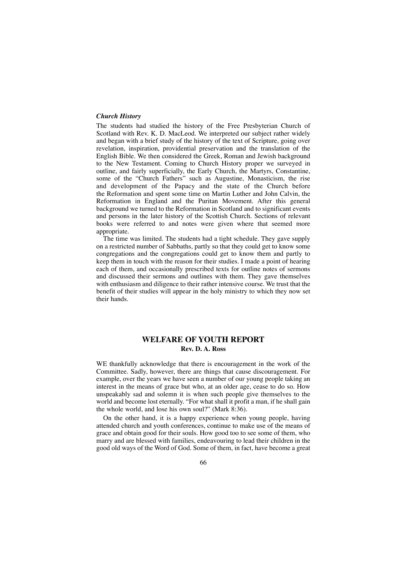#### *Church History*

The students had studied the history of the Free Presbyterian Church of Scotland with Rev. K. D. MacLeod. We interpreted our subject rather widely and began with a brief study of the history of the text of Scripture, going over revelation, inspiration, providential preservation and the translation of the English Bible. We then considered the Greek, Roman and Jewish background to the New Testament. Coming to Church History proper we surveyed in outline, and fairly superficially, the Early Church, the Martyrs, Constantine, some of the "Church Fathers" such as Augustine, Monasticism, the rise and development of the Papacy and the state of the Church before the Reformation and spent some time on Martin Luther and John Calvin, the Reformation in England and the Puritan Movement. After this general background we turned to the Reformation in Scotland and to significant events and persons in the later history of the Scottish Church. Sections of relevant books were referred to and notes were given where that seemed more appropriate.

The time was limited. The students had a tight schedule. They gave supply on a restricted number of Sabbaths, partly so that they could get to know some congregations and the congregations could get to know them and partly to keep them in touch with the reason for their studies. I made a point of hearing each of them, and occasionally prescribed texts for outline notes of sermons and discussed their sermons and outlines with them. They gave themselves with enthusiasm and diligence to their rather intensive course. We trust that the benefit of their studies will appear in the holy ministry to which they now set their hands.

#### **WELFARE OF YOUTH REPORT Rev. D. A. Ross**

WE thankfully acknowledge that there is encouragement in the work of the Committee. Sadly, however, there are things that cause discouragement. For example, over the years we have seen a number of our young people taking an interest in the means of grace but who, at an older age, cease to do so. How unspeakably sad and solemn it is when such people give themselves to the world and become lost eternally. "For what shall it profit a man, if he shall gain the whole world, and lose his own soul?" (Mark 8:36).

On the other hand, it is a happy experience when young people, having attended church and youth conferences, continue to make use of the means of grace and obtain good for their souls. How good too to see some of them, who marry and are blessed with families, endeavouring to lead their children in the good old ways of the Word of God. Some of them, in fact, have become a great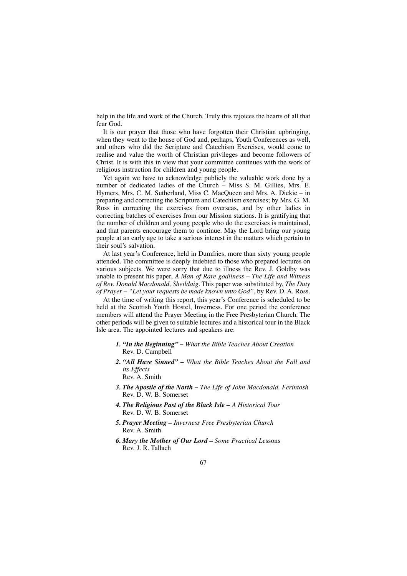help in the life and work of the Church. Truly this rejoices the hearts of all that fear God.

It is our prayer that those who have forgotten their Christian upbringing, when they went to the house of God and, perhaps, Youth Conferences as well, and others who did the Scripture and Catechism Exercises, would come to realise and value the worth of Christian privileges and become followers of Christ. It is with this in view that your committee continues with the work of religious instruction for children and young people.

Yet again we have to acknowledge publicly the valuable work done by a number of dedicated ladies of the Church – Miss S. M. Gillies, Mrs. E. Hymers, Mrs. C. M. Sutherland, Miss C. MacQueen and Mrs. A. Dickie – in preparing and correcting the Scripture and Catechism exercises; by Mrs. G. M. Ross in correcting the exercises from overseas, and by other ladies in correcting batches of exercises from our Mission stations. It is gratifying that the number of children and young people who do the exercises is maintained, and that parents encourage them to continue. May the Lord bring our young people at an early age to take a serious interest in the matters which pertain to their soul's salvation.

At last year's Conference, held in Dumfries, more than sixty young people attended. The committee is deeply indebted to those who prepared lectures on various subjects. We were sorry that due to illness the Rev. J. Goldby was unable to present his paper, *A Man of Rare godliness* – *The Life and Witness of Rev. Donald Macdonald, Sheildaig*. This paper was substituted by, *The Duty of Prayer* – *"Let your requests be made known unto God"*, by Rev. D. A. Ross.

At the time of writing this report, this year's Conference is scheduled to be held at the Scottish Youth Hostel, Inverness. For one period the conference members will attend the Prayer Meeting in the Free Presbyterian Church. The other periods will be given to suitable lectures and a historical tour in the Black Isle area. The appointed lectures and speakers are:

- *1. "In the Beginning" What the Bible Teaches About Creation* Rev. D. Campbell
- *2. "All Have Sinned" What the Bible Teaches About the Fall and its Effects* Rev. A. Smith
- *3. The Apostle of the North The Life of John Macdonald, Ferintosh* Rev. D. W. B. Somerset
- *4. The Religious Past of the Black Isle A Historical Tour* Rev. D. W. B. Somerset
- *5. Prayer Meeting Inverness Free Presbyterian Church* Rev. A. Smith
- *6. Mary the Mother of Our Lord Some Practical Le*ssons Rev. J. R. Tallach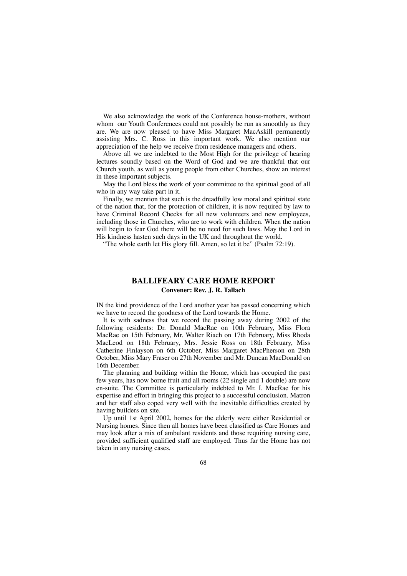We also acknowledge the work of the Conference house-mothers, without whom our Youth Conferences could not possibly be run as smoothly as they are. We are now pleased to have Miss Margaret MacAskill permanently assisting Mrs. C. Ross in this important work. We also mention our appreciation of the help we receive from residence managers and others.

Above all we are indebted to the Most High for the privilege of hearing lectures soundly based on the Word of God and we are thankful that our Church youth, as well as young people from other Churches, show an interest in these important subjects.

May the Lord bless the work of your committee to the spiritual good of all who in any way take part in it.

Finally, we mention that such is the dreadfully low moral and spiritual state of the nation that, for the protection of children, it is now required by law to have Criminal Record Checks for all new volunteers and new employees, including those in Churches, who are to work with children. When the nation will begin to fear God there will be no need for such laws. May the Lord in His kindness hasten such days in the UK and throughout the world.

"The whole earth let His glory fill. Amen, so let it be" (Psalm 72:19).

# **BALLIFEARY CARE HOME REPORT Convener: Rev. J. R. Tallach**

IN the kind providence of the Lord another year has passed concerning which we have to record the goodness of the Lord towards the Home.

It is with sadness that we record the passing away during 2002 of the following residents: Dr. Donald MacRae on 10th February, Miss Flora MacRae on 15th February, Mr. Walter Riach on 17th February, Miss Rhoda MacLeod on 18th February, Mrs. Jessie Ross on 18th February, Miss Catherine Finlayson on 6th October, Miss Margaret MacPherson on 28th October, Miss Mary Fraser on 27th November and Mr. Duncan MacDonald on 16th December.

The planning and building within the Home, which has occupied the past few years, has now borne fruit and all rooms (22 single and 1 double) are now en-suite. The Committee is particularly indebted to Mr. I. MacRae for his expertise and effort in bringing this project to a successful conclusion. Matron and her staff also coped very well with the inevitable difficulties created by having builders on site.

Up until 1st April 2002, homes for the elderly were either Residential or Nursing homes. Since then all homes have been classified as Care Homes and may look after a mix of ambulant residents and those requiring nursing care, provided sufficient qualified staff are employed. Thus far the Home has not taken in any nursing cases.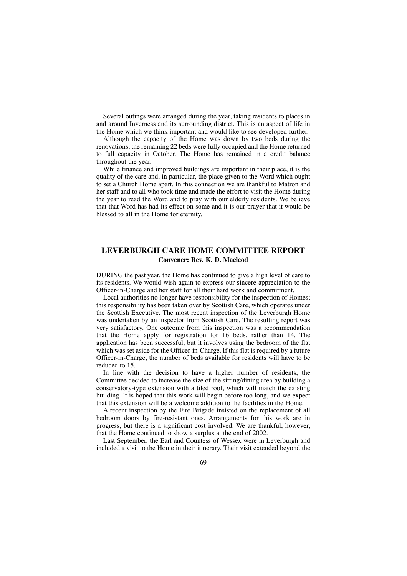Several outings were arranged during the year, taking residents to places in and around Inverness and its surrounding district. This is an aspect of life in the Home which we think important and would like to see developed further.

Although the capacity of the Home was down by two beds during the renovations, the remaining 22 beds were fully occupied and the Home returned to full capacity in October. The Home has remained in a credit balance throughout the year.

While finance and improved buildings are important in their place, it is the quality of the care and, in particular, the place given to the Word which ought to set a Church Home apart. In this connection we are thankful to Matron and her staff and to all who took time and made the effort to visit the Home during the year to read the Word and to pray with our elderly residents. We believe that that Word has had its effect on some and it is our prayer that it would be blessed to all in the Home for eternity.

### **LEVERBURGH CARE HOME COMMITTEE REPORT Convener: Rev. K. D. Macleod**

DURING the past year, the Home has continued to give a high level of care to its residents. We would wish again to express our sincere appreciation to the Officer-in-Charge and her staff for all their hard work and commitment.

Local authorities no longer have responsibility for the inspection of Homes; this responsibility has been taken over by Scottish Care, which operates under the Scottish Executive. The most recent inspection of the Leverburgh Home was undertaken by an inspector from Scottish Care. The resulting report was very satisfactory. One outcome from this inspection was a recommendation that the Home apply for registration for 16 beds, rather than 14. The application has been successful, but it involves using the bedroom of the flat which was set aside for the Officer-in-Charge. If this flat is required by a future Officer-in-Charge, the number of beds available for residents will have to be reduced to 15.

In line with the decision to have a higher number of residents, the Committee decided to increase the size of the sitting/dining area by building a conservatory-type extension with a tiled roof, which will match the existing building. It is hoped that this work will begin before too long, and we expect that this extension will be a welcome addition to the facilities in the Home.

A recent inspection by the Fire Brigade insisted on the replacement of all bedroom doors by fire-resistant ones. Arrangements for this work are in progress, but there is a significant cost involved. We are thankful, however, that the Home continued to show a surplus at the end of 2002.

Last September, the Earl and Countess of Wessex were in Leverburgh and included a visit to the Home in their itinerary. Their visit extended beyond the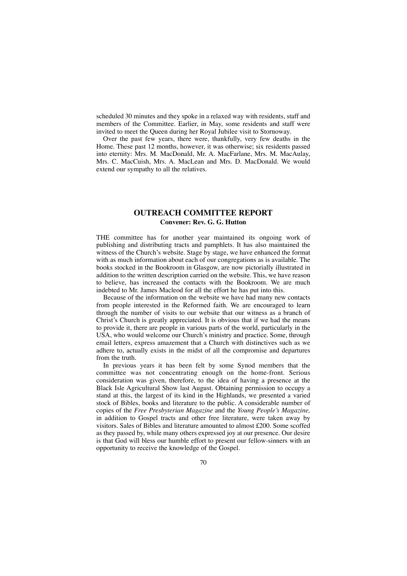scheduled 30 minutes and they spoke in a relaxed way with residents, staff and members of the Committee. Earlier, in May, some residents and staff were invited to meet the Queen during her Royal Jubilee visit to Stornoway.

Over the past few years, there were, thankfully, very few deaths in the Home. These past 12 months, however, it was otherwise; six residents passed into eternity: Mrs. M. MacDonald, Mr. A. MacFarlane, Mrs. M. MacAulay, Mrs. C. MacCuish, Mrs. A. MacLean and Mrs. D. MacDonald. We would extend our sympathy to all the relatives.

# **OUTREACH COMMITTEE REPORT Convener: Rev. G. G. Hutton**

THE committee has for another year maintained its ongoing work of publishing and distributing tracts and pamphlets. It has also maintained the witness of the Church's website. Stage by stage, we have enhanced the format with as much information about each of our congregations as is available. The books stocked in the Bookroom in Glasgow, are now pictorially illustrated in addition to the written description carried on the website. This, we have reason to believe, has increased the contacts with the Bookroom. We are much indebted to Mr. James Macleod for all the effort he has put into this.

Because of the information on the website we have had many new contacts from people interested in the Reformed faith. We are encouraged to learn through the number of visits to our website that our witness as a branch of Christ's Church is greatly appreciated. It is obvious that if we had the means to provide it, there are people in various parts of the world, particularly in the USA, who would welcome our Church's ministry and practice. Some, through email letters, express amazement that a Church with distinctives such as we adhere to, actually exists in the midst of all the compromise and departures from the truth.

In previous years it has been felt by some Synod members that the committee was not concentrating enough on the home-front. Serious consideration was given, therefore, to the idea of having a presence at the Black Isle Agricultural Show last August. Obtaining permission to occupy a stand at this, the largest of its kind in the Highlands, we presented a varied stock of Bibles, books and literature to the public. A considerable number of copies of the *Free Presbyterian Magazine* and the *Young People's Magazine,* in addition to Gospel tracts and other free literature, were taken away by visitors. Sales of Bibles and literature amounted to almost £200. Some scoffed as they passed by, while many others expressed joy at our presence. Our desire is that God will bless our humble effort to present our fellow-sinners with an opportunity to receive the knowledge of the Gospel.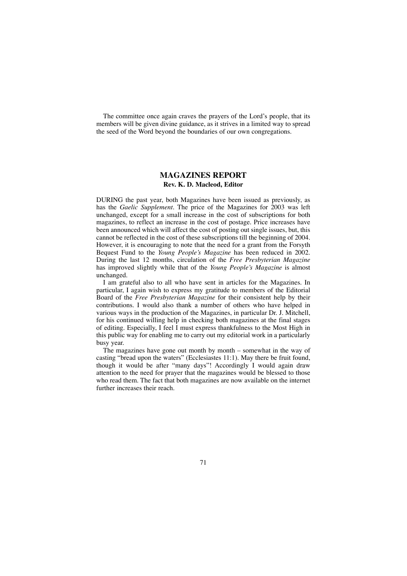The committee once again craves the prayers of the Lord's people, that its members will be given divine guidance, as it strives in a limited way to spread the seed of the Word beyond the boundaries of our own congregations.

# **MAGAZINES REPORT Rev. K. D. Macleod, Editor**

DURING the past year, both Magazines have been issued as previously, as has the *Gaelic Supplement.* The price of the Magazines for 2003 was left unchanged, except for a small increase in the cost of subscriptions for both magazines, to reflect an increase in the cost of postage. Price increases have been announced which will affect the cost of posting out single issues, but, this cannot be reflected in the cost of these subscriptions till the beginning of 2004. However, it is encouraging to note that the need for a grant from the Forsyth Bequest Fund to the *Young People's Magazine* has been reduced in 2002. During the last 12 months, circulation of the *Free Presbyterian Magazine* has improved slightly while that of the *Young People's Magazine* is almost unchanged.

I am grateful also to all who have sent in articles for the Magazines. In particular, I again wish to express my gratitude to members of the Editorial Board of the *Free Presbyterian Magazine* for their consistent help by their contributions. I would also thank a number of others who have helped in various ways in the production of the Magazines, in particular Dr. J. Mitchell, for his continued willing help in checking both magazines at the final stages of editing. Especially, I feel I must express thankfulness to the Most High in this public way for enabling me to carry out my editorial work in a particularly busy year.

The magazines have gone out month by month – somewhat in the way of casting "bread upon the waters" (Ecclesiastes 11:1). May there be fruit found, though it would be after "many days"! Accordingly I would again draw attention to the need for prayer that the magazines would be blessed to those who read them. The fact that both magazines are now available on the internet further increases their reach.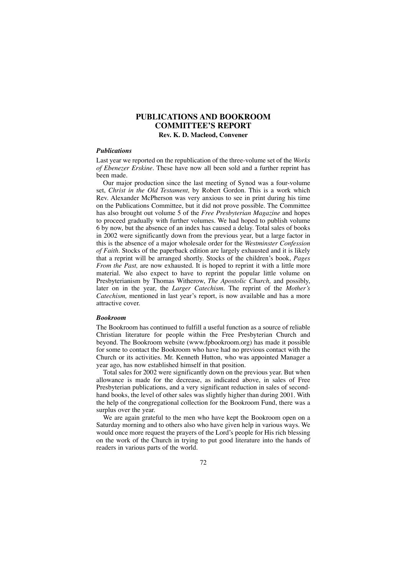## **PUBLICATIONS AND BOOKROOM COMMITTEE'S REPORT Rev. K. D. Macleod, Convener**

#### *Publications*

Last year we reported on the republication of the three-volume set of the *Works of Ebenezer Erskine.* These have now all been sold and a further reprint has been made.

Our major production since the last meeting of Synod was a four-volume set, *Christ in the Old Testament,* by Robert Gordon. This is a work which Rev. Alexander McPherson was very anxious to see in print during his time on the Publications Committee, but it did not prove possible. The Committee has also brought out volume 5 of the *Free Presbyterian Magazine* and hopes to proceed gradually with further volumes. We had hoped to publish volume 6 by now, but the absence of an index has caused a delay. Total sales of books in 2002 were significantly down from the previous year, but a large factor in this is the absence of a major wholesale order for the *Westminster Confession of Faith.* Stocks of the paperback edition are largely exhausted and it is likely that a reprint will be arranged shortly. Stocks of the children's book, *Pages From the Past,* are now exhausted. It is hoped to reprint it with a little more material. We also expect to have to reprint the popular little volume on Presbyterianism by Thomas Witherow, *The Apostolic Church,* and possibly, later on in the year, the *Larger Catechism.* The reprint of the *Mother's Catechism,* mentioned in last year's report, is now available and has a more attractive cover.

#### *Bookroom*

The Bookroom has continued to fulfill a useful function as a source of reliable Christian literature for people within the Free Presbyterian Church and beyond. The Bookroom website (www.fpbookroom.org) has made it possible for some to contact the Bookroom who have had no previous contact with the Church or its activities. Mr. Kenneth Hutton, who was appointed Manager a year ago, has now established himself in that position.

Total sales for 2002 were significantly down on the previous year. But when allowance is made for the decrease, as indicated above, in sales of Free Presbyterian publications, and a very significant reduction in sales of secondhand books, the level of other sales was slightly higher than during 2001. With the help of the congregational collection for the Bookroom Fund, there was a surplus over the year.

We are again grateful to the men who have kept the Bookroom open on a Saturday morning and to others also who have given help in various ways. We would once more request the prayers of the Lord's people for His rich blessing on the work of the Church in trying to put good literature into the hands of readers in various parts of the world.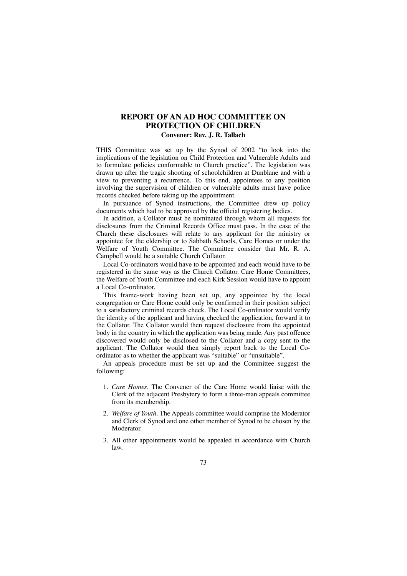# **REPORT OF AN AD HOC COMMITTEE ON PROTECTION OF CHILDREN**

## **Convener: Rev. J. R. Tallach**

THIS Committee was set up by the Synod of 2002 "to look into the implications of the legislation on Child Protection and Vulnerable Adults and to formulate policies conformable to Church practice". The legislation was drawn up after the tragic shooting of schoolchildren at Dunblane and with a view to preventing a recurrence. To this end, appointees to any position involving the supervision of children or vulnerable adults must have police records checked before taking up the appointment.

In pursuance of Synod instructions, the Committee drew up policy documents which had to be approved by the official registering bodies.

In addition, a Collator must be nominated through whom all requests for disclosures from the Criminal Records Office must pass. In the case of the Church these disclosures will relate to any applicant for the ministry or appointee for the eldership or to Sabbath Schools, Care Homes or under the Welfare of Youth Committee. The Committee consider that Mr. R. A. Campbell would be a suitable Church Collator.

Local Co-ordinators would have to be appointed and each would have to be registered in the same way as the Church Collator. Care Home Committees, the Welfare of Youth Committee and each Kirk Session would have to appoint a Local Co-ordinator.

This frame-work having been set up, any appointee by the local congregation or Care Home could only be confirmed in their position subject to a satisfactory criminal records check. The Local Co-ordinator would verify the identity of the applicant and having checked the application, forward it to the Collator. The Collator would then request disclosure from the appointed body in the country in which the application was being made. Any past offence discovered would only be disclosed to the Collator and a copy sent to the applicant. The Collator would then simply report back to the Local Coordinator as to whether the applicant was "suitable" or "unsuitable".

An appeals procedure must be set up and the Committee suggest the following:

- 1. *Care Homes.* The Convener of the Care Home would liaise with the Clerk of the adjacent Presbytery to form a three-man appeals committee from its membership.
- 2. *Welfare of Youth.* The Appeals committee would comprise the Moderator and Clerk of Synod and one other member of Synod to be chosen by the Moderator.
- 3. All other appointments would be appealed in accordance with Church law.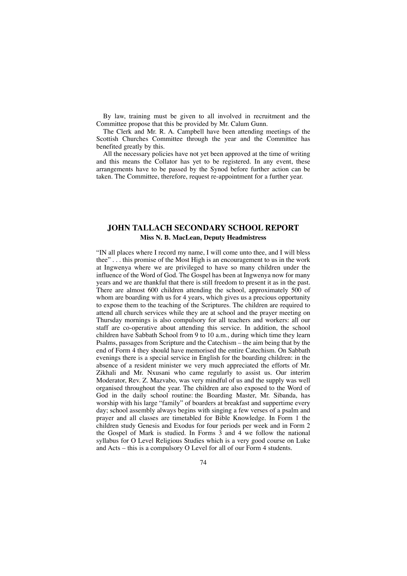By law, training must be given to all involved in recruitment and the Committee propose that this be provided by Mr. Calum Gunn.

The Clerk and Mr. R. A. Campbell have been attending meetings of the Scottish Churches Committee through the year and the Committee has benefited greatly by this.

All the necessary policies have not yet been approved at the time of writing and this means the Collator has yet to be registered. In any event, these arrangements have to be passed by the Synod before further action can be taken. The Committee, therefore, request re-appointment for a further year.

## **JOHN TALLACH SECONDARY SCHOOL REPORT Miss N. B. MacLean, Deputy Headmistress**

"IN all places where I record my name, I will come unto thee, and I will bless thee" . . . this promise of the Most High is an encouragement to us in the work at Ingwenya where we are privileged to have so many children under the influence of the Word of God. The Gospel has been at Ingwenya now for many years and we are thankful that there is still freedom to present it as in the past. There are almost 600 children attending the school, approximately 500 of whom are boarding with us for 4 years, which gives us a precious opportunity to expose them to the teaching of the Scriptures. The children are required to attend all church services while they are at school and the prayer meeting on Thursday mornings is also compulsory for all teachers and workers: all our staff are co-operative about attending this service. In addition, the school children have Sabbath School from 9 to 10 a.m., during which time they learn Psalms, passages from Scripture and the Catechism – the aim being that by the end of Form 4 they should have memorised the entire Catechism. On Sabbath evenings there is a special service in English for the boarding children: in the absence of a resident minister we very much appreciated the efforts of Mr. Zikhali and Mr. Nxusani who came regularly to assist us. Our interim Moderator, Rev. Z. Mazvabo, was very mindful of us and the supply was well organised throughout the year. The children are also exposed to the Word of God in the daily school routine: the Boarding Master, Mr. Sibanda, has worship with his large "family" of boarders at breakfast and suppertime every day; school assembly always begins with singing a few verses of a psalm and prayer and all classes are timetabled for Bible Knowledge. In Form 1 the children study Genesis and Exodus for four periods per week and in Form 2 the Gospel of Mark is studied. In Forms 3 and 4 we follow the national syllabus for O Level Religious Studies which is a very good course on Luke and Acts – this is a compulsory O Level for all of our Form 4 students.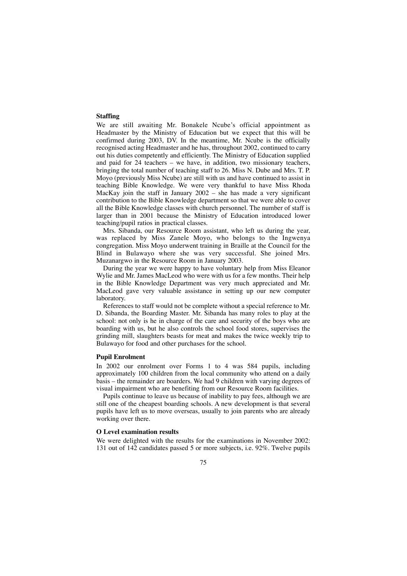### **Staffing**

We are still awaiting Mr. Bonakele Ncube's official appointment as Headmaster by the Ministry of Education but we expect that this will be confirmed during 2003, DV. In the meantime, Mr. Ncube is the officially recognised acting Headmaster and he has, throughout 2002, continued to carry out his duties competently and efficiently. The Ministry of Education supplied and paid for 24 teachers – we have, in addition, two missionary teachers, bringing the total number of teaching staff to 26. Miss N. Dube and Mrs. T. P. Moyo (previously Miss Ncube) are still with us and have continued to assist in teaching Bible Knowledge. We were very thankful to have Miss Rhoda MacKay join the staff in January 2002 – she has made a very significant contribution to the Bible Knowledge department so that we were able to cover all the Bible Knowledge classes with church personnel. The number of staff is larger than in 2001 because the Ministry of Education introduced lower teaching/pupil ratios in practical classes.

Mrs. Sibanda, our Resource Room assistant, who left us during the year, was replaced by Miss Zanele Moyo, who belongs to the Ingwenya congregation. Miss Moyo underwent training in Braille at the Council for the Blind in Bulawayo where she was very successful. She joined Mrs. Muzanargwo in the Resource Room in January 2003.

During the year we were happy to have voluntary help from Miss Eleanor Wylie and Mr. James MacLeod who were with us for a few months. Their help in the Bible Knowledge Department was very much appreciated and Mr. MacLeod gave very valuable assistance in setting up our new computer laboratory.

References to staff would not be complete without a special reference to Mr. D. Sibanda, the Boarding Master. Mr. Sibanda has many roles to play at the school: not only is he in charge of the care and security of the boys who are boarding with us, but he also controls the school food stores, supervises the grinding mill, slaughters beasts for meat and makes the twice weekly trip to Bulawayo for food and other purchases for the school.

#### **Pupil Enrolment**

In 2002 our enrolment over Forms 1 to 4 was 584 pupils, including approximately 100 children from the local community who attend on a daily basis – the remainder are boarders. We had 9 children with varying degrees of visual impairment who are benefiting from our Resource Room facilities.

Pupils continue to leave us because of inability to pay fees, although we are still one of the cheapest boarding schools. A new development is that several pupils have left us to move overseas, usually to join parents who are already working over there.

### **O Level examination results**

We were delighted with the results for the examinations in November 2002: 131 out of 142 candidates passed 5 or more subjects, i.e. 92%. Twelve pupils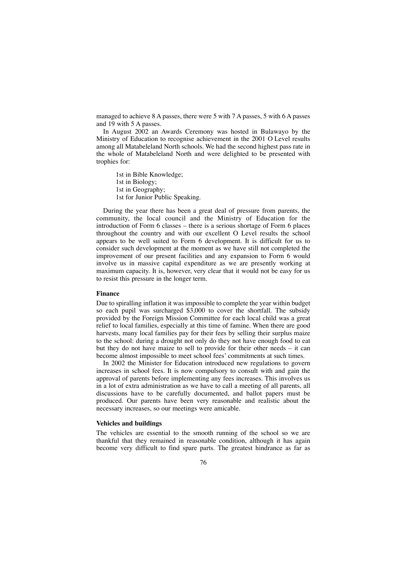managed to achieve 8 A passes, there were 5 with 7 A passes, 5 with 6 A passes and 19 with 5 A passes.

In August 2002 an Awards Ceremony was hosted in Bulawayo by the Ministry of Education to recognise achievement in the 2001 O Level results among all Matabeleland North schools. We had the second highest pass rate in the whole of Matabeleland North and were delighted to be presented with trophies for:

1st in Bible Knowledge; 1st in Biology; 1st in Geography; 1st for Junior Public Speaking.

During the year there has been a great deal of pressure from parents, the community, the local council and the Ministry of Education for the introduction of Form 6 classes – there is a serious shortage of Form 6 places throughout the country and with our excellent O Level results the school appears to be well suited to Form 6 development. It is difficult for us to consider such development at the moment as we have still not completed the improvement of our present facilities and any expansion to Form 6 would involve us in massive capital expenditure as we are presently working at maximum capacity. It is, however, very clear that it would not be easy for us to resist this pressure in the longer term.

#### **Finance**

Due to spiralling inflation it was impossible to complete the year within budget so each pupil was surcharged \$3,000 to cover the shortfall. The subsidy provided by the Foreign Mission Committee for each local child was a great relief to local families, especially at this time of famine. When there are good harvests, many local families pay for their fees by selling their surplus maize to the school: during a drought not only do they not have enough food to eat but they do not have maize to sell to provide for their other needs – it can become almost impossible to meet school fees' commitments at such times.

In 2002 the Minister for Education introduced new regulations to govern increases in school fees. It is now compulsory to consult with and gain the approval of parents before implementing any fees increases. This involves us in a lot of extra administration as we have to call a meeting of all parents, all discussions have to be carefully documented, and ballot papers must be produced. Our parents have been very reasonable and realistic about the necessary increases, so our meetings were amicable.

### **Vehicles and buildings**

The vehicles are essential to the smooth running of the school so we are thankful that they remained in reasonable condition, although it has again become very difficult to find spare parts. The greatest hindrance as far as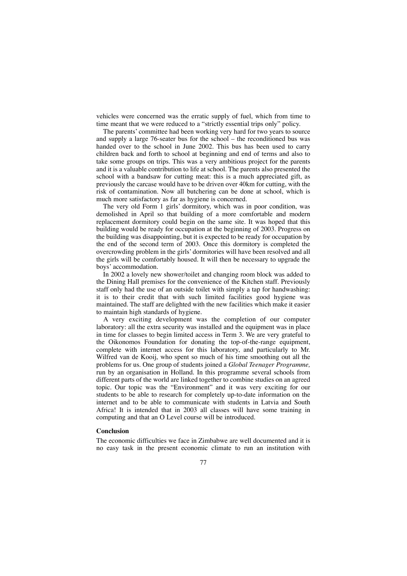vehicles were concerned was the erratic supply of fuel, which from time to time meant that we were reduced to a "strictly essential trips only" policy.

The parents' committee had been working very hard for two years to source and supply a large 76-seater bus for the school – the reconditioned bus was handed over to the school in June 2002. This bus has been used to carry children back and forth to school at beginning and end of terms and also to take some groups on trips. This was a very ambitious project for the parents and it is a valuable contribution to life at school. The parents also presented the school with a bandsaw for cutting meat: this is a much appreciated gift, as previously the carcase would have to be driven over 40km for cutting, with the risk of contamination. Now all butchering can be done at school, which is much more satisfactory as far as hygiene is concerned.

The very old Form 1 girls' dormitory, which was in poor condition, was demolished in April so that building of a more comfortable and modern replacement dormitory could begin on the same site. It was hoped that this building would be ready for occupation at the beginning of 2003. Progress on the building was disappointing, but it is expected to be ready for occupation by the end of the second term of 2003. Once this dormitory is completed the overcrowding problem in the girls' dormitories will have been resolved and all the girls will be comfortably housed. It will then be necessary to upgrade the boys' accommodation.

In 2002 a lovely new shower/toilet and changing room block was added to the Dining Hall premises for the convenience of the Kitchen staff. Previously staff only had the use of an outside toilet with simply a tap for handwashing: it is to their credit that with such limited facilities good hygiene was maintained. The staff are delighted with the new facilities which make it easier to maintain high standards of hygiene.

A very exciting development was the completion of our computer laboratory: all the extra security was installed and the equipment was in place in time for classes to begin limited access in Term 3. We are very grateful to the Oikonomos Foundation for donating the top-of-the-range equipment, complete with internet access for this laboratory, and particularly to Mr. Wilfred van de Kooij, who spent so much of his time smoothing out all the problems for us. One group of students joined a *Global Teenager Programme,* run by an organisation in Holland. In this programme several schools from different parts of the world are linked together to combine studies on an agreed topic. Our topic was the "Environment" and it was very exciting for our students to be able to research for completely up-to-date information on the internet and to be able to communicate with students in Latvia and South Africa! It is intended that in 2003 all classes will have some training in computing and that an O Level course will be introduced.

### **Conclusion**

The economic difficulties we face in Zimbabwe are well documented and it is no easy task in the present economic climate to run an institution with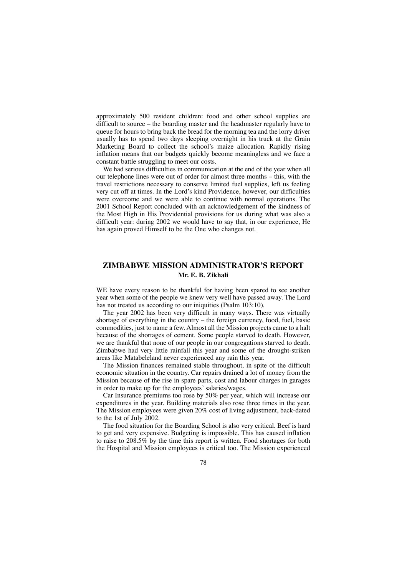approximately 500 resident children: food and other school supplies are difficult to source – the boarding master and the headmaster regularly have to queue for hours to bring back the bread for the morning tea and the lorry driver usually has to spend two days sleeping overnight in his truck at the Grain Marketing Board to collect the school's maize allocation. Rapidly rising inflation means that our budgets quickly become meaningless and we face a constant battle struggling to meet our costs.

We had serious difficulties in communication at the end of the year when all our telephone lines were out of order for almost three months – this, with the travel restrictions necessary to conserve limited fuel supplies, left us feeling very cut off at times. In the Lord's kind Providence, however, our difficulties were overcome and we were able to continue with normal operations. The 2001 School Report concluded with an acknowledgement of the kindness of the Most High in His Providential provisions for us during what was also a difficult year: during 2002 we would have to say that, in our experience, He has again proved Himself to be the One who changes not.

# **ZIMBABWE MISSION ADMINISTRATOR'S REPORT Mr. E. B. Zikhali**

WE have every reason to be thankful for having been spared to see another year when some of the people we knew very well have passed away. The Lord has not treated us according to our iniquities (Psalm 103:10).

The year 2002 has been very difficult in many ways. There was virtually shortage of everything in the country – the foreign currency, food, fuel, basic commodities, just to name a few. Almost all the Mission projects came to a halt because of the shortages of cement. Some people starved to death. However, we are thankful that none of our people in our congregations starved to death. Zimbabwe had very little rainfall this year and some of the drought-striken areas like Matabeleland never experienced any rain this year.

The Mission finances remained stable throughout, in spite of the difficult economic situation in the country. Car repairs drained a lot of money from the Mission because of the rise in spare parts, cost and labour charges in garages in order to make up for the employees' salaries/wages.

Car Insurance premiums too rose by 50% per year, which will increase our expenditures in the year. Building materials also rose three times in the year. The Mission employees were given 20% cost of living adjustment, back-dated to the 1st of July 2002.

The food situation for the Boarding School is also very critical. Beef is hard to get and very expensive. Budgeting is impossible. This has caused inflation to raise to 208.5% by the time this report is written. Food shortages for both the Hospital and Mission employees is critical too. The Mission experienced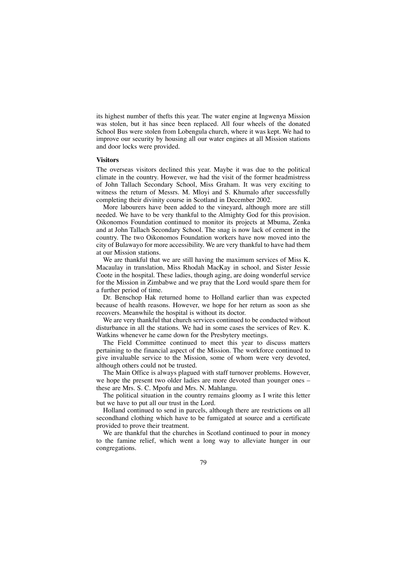its highest number of thefts this year. The water engine at Ingwenya Mission was stolen, but it has since been replaced. All four wheels of the donated School Bus were stolen from Lobengula church, where it was kept. We had to improve our security by housing all our water engines at all Mission stations and door locks were provided.

### **Visitors**

The overseas visitors declined this year. Maybe it was due to the political climate in the country. However, we had the visit of the former headmistress of John Tallach Secondary School, Miss Graham. It was very exciting to witness the return of Messrs. M. Mloyi and S. Khumalo after successfully completing their divinity course in Scotland in December 2002.

More labourers have been added to the vineyard, although more are still needed. We have to be very thankful to the Almighty God for this provision. Oikonomos Foundation continued to monitor its projects at Mbuma, Zenka and at John Tallach Secondary School. The snag is now lack of cement in the country. The two Oikonomos Foundation workers have now moved into the city of Bulawayo for more accessibility. We are very thankful to have had them at our Mission stations.

We are thankful that we are still having the maximum services of Miss K. Macaulay in translation, Miss Rhodah MacKay in school, and Sister Jessie Coote in the hospital. These ladies, though aging, are doing wonderful service for the Mission in Zimbabwe and we pray that the Lord would spare them for a further period of time.

Dr. Benschop Hak returned home to Holland earlier than was expected because of health reasons. However, we hope for her return as soon as she recovers. Meanwhile the hospital is without its doctor.

We are very thankful that church services continued to be conducted without disturbance in all the stations. We had in some cases the services of Rev. K. Watkins whenever he came down for the Presbytery meetings.

The Field Committee continued to meet this year to discuss matters pertaining to the financial aspect of the Mission. The workforce continued to give invaluable service to the Mission, some of whom were very devoted, although others could not be trusted.

The Main Office is always plagued with staff turnover problems. However, we hope the present two older ladies are more devoted than younger ones – these are Mrs. S. C. Mpofu and Mrs. N. Mahlangu.

The political situation in the country remains gloomy as I write this letter but we have to put all our trust in the Lord.

Holland continued to send in parcels, although there are restrictions on all secondhand clothing which have to be fumigated at source and a certificate provided to prove their treatment.

We are thankful that the churches in Scotland continued to pour in money to the famine relief, which went a long way to alleviate hunger in our congregations.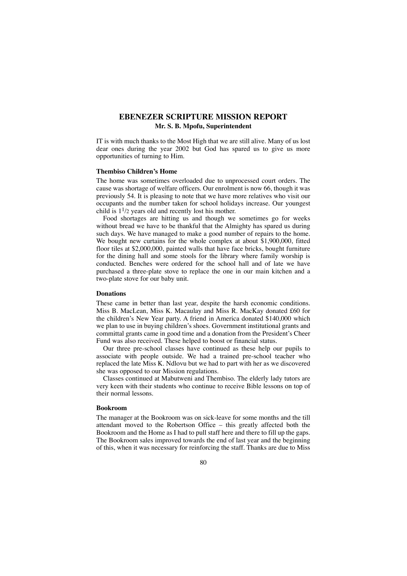# **EBENEZER SCRIPTURE MISSION REPORT Mr. S. B. Mpofu, Superintendent**

IT is with much thanks to the Most High that we are still alive. Many of us lost dear ones during the year 2002 but God has spared us to give us more opportunities of turning to Him.

### **Thembiso Children's Home**

The home was sometimes overloaded due to unprocessed court orders. The cause was shortage of welfare officers. Our enrolment is now 66, though it was previously 54. It is pleasing to note that we have more relatives who visit our occupants and the number taken for school holidays increase. Our youngest child is  $1^{1/2}$  years old and recently lost his mother.

Food shortages are hitting us and though we sometimes go for weeks without bread we have to be thankful that the Almighty has spared us during such days. We have managed to make a good number of repairs to the home. We bought new curtains for the whole complex at about \$1,900,000, fitted floor tiles at \$2,000,000, painted walls that have face bricks, bought furniture for the dining hall and some stools for the library where family worship is conducted. Benches were ordered for the school hall and of late we have purchased a three-plate stove to replace the one in our main kitchen and a two-plate stove for our baby unit.

### **Donations**

These came in better than last year, despite the harsh economic conditions. Miss B. MacLean, Miss K. Macaulay and Miss R. MacKay donated £60 for the children's New Year party. A friend in America donated \$140,000 which we plan to use in buying children's shoes. Government institutional grants and committal grants came in good time and a donation from the President's Cheer Fund was also received. These helped to boost or financial status.

Our three pre-school classes have continued as these help our pupils to associate with people outside. We had a trained pre-school teacher who replaced the late Miss K. Ndlovu but we had to part with her as we discovered she was opposed to our Mission regulations.

Classes continued at Mabutweni and Thembiso. The elderly lady tutors are very keen with their students who continue to receive Bible lessons on top of their normal lessons.

#### **Bookroom**

The manager at the Bookroom was on sick-leave for some months and the till attendant moved to the Robertson Office – this greatly affected both the Bookroom and the Home as I had to pull staff here and there to fill up the gaps. The Bookroom sales improved towards the end of last year and the beginning of this, when it was necessary for reinforcing the staff. Thanks are due to Miss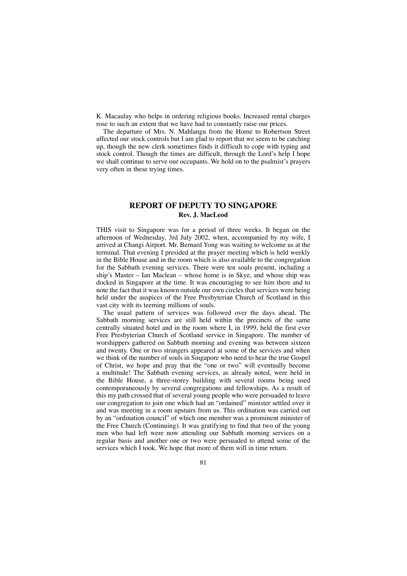K. Macaulay who helps in ordering religious books. Increased rental charges rose to such an extent that we have had to constantly raise our prices.

The departure of Mrs. N. Mahlangu from the Home to Robertson Street affected our stock controls but I am glad to report that we seem to be catching up, though the new clerk sometimes finds it difficult to cope with typing and stock control. Though the times are difficult, through the Lord's help I hope we shall continue to serve our occupants. We hold on to the psalmist's prayers very often in these trying times.

# **REPORT OF DEPUTY TO SINGAPORE Rev. J. MacLeod**

THIS visit to Singapore was for a period of three weeks. It began on the afternoon of Wednesday, 3rd July 2002, when, accompanied by my wife, I arrived at Changi Airport. Mr. Bernard Yong was waiting to welcome us at the terminal. That evening I presided at the prayer meeting which is held weekly in the Bible House and in the room which is also available to the congregation for the Sabbath evening services. There were ten souls present, including a ship's Master – Ian Maclean – whose home is in Skye, and whose ship was docked in Singapore at the time. It was encouraging to see him there and to note the fact that it was known outside our own circles that services were being held under the auspices of the Free Presbyterian Church of Scotland in this vast city with its teeming millions of souls.

The usual pattern of services was followed over the days ahead. The Sabbath morning services are still held within the precincts of the same centrally situated hotel and in the room where I, in 1999, held the first ever Free Presbyterian Church of Scotland service in Singapore. The number of worshippers gathered on Sabbath morning and evening was between sixteen and twenty. One or two strangers appeared at some of the services and when we think of the number of souls in Singapore who need to hear the true Gospel of Christ, we hope and pray that the "one or two" will eventually become a multitude! The Sabbath evening services, as already noted, were held in the Bible House, a three-storey building with several rooms being used contemporaneously by several congregations and fellowships. As a result of this my path crossed that of several young people who were persuaded to leave our congregation to join one which had an "ordained" minister settled over it and was meeting in a room upstairs from us. This ordination was carried out by an "ordination council" of which one member was a prominent minister of the Free Church (Continuing). It was gratifying to find that two of the young men who had left were now attending our Sabbath morning services on a regular basis and another one or two were persuaded to attend some of the services which I took. We hope that more of them will in time return.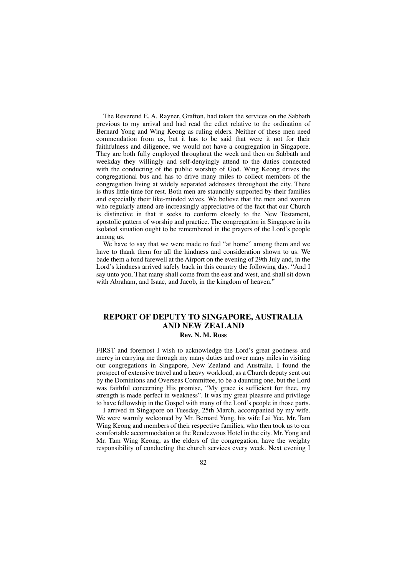The Reverend E. A. Rayner, Grafton, had taken the services on the Sabbath previous to my arrival and had read the edict relative to the ordination of Bernard Yong and Wing Keong as ruling elders. Neither of these men need commendation from us, but it has to be said that were it not for their faithfulness and diligence, we would not have a congregation in Singapore. They are both fully employed throughout the week and then on Sabbath and weekday they willingly and self-denyingly attend to the duties connected with the conducting of the public worship of God. Wing Keong drives the congregational bus and has to drive many miles to collect members of the congregation living at widely separated addresses throughout the city. There is thus little time for rest. Both men are staunchly supported by their families and especially their like-minded wives. We believe that the men and women who regularly attend are increasingly appreciative of the fact that our Church is distinctive in that it seeks to conform closely to the New Testament, apostolic pattern of worship and practice. The congregation in Singapore in its isolated situation ought to be remembered in the prayers of the Lord's people among us.

We have to say that we were made to feel "at home" among them and we have to thank them for all the kindness and consideration shown to us. We bade them a fond farewell at the Airport on the evening of 29th July and, in the Lord's kindness arrived safely back in this country the following day. "And I say unto you, That many shall come from the east and west, and shall sit down with Abraham, and Isaac, and Jacob, in the kingdom of heaven."

## **REPORT OF DEPUTY TO SINGAPORE, AUSTRALIA AND NEW ZEALAND Rev. N. M. Ross**

FIRST and foremost I wish to acknowledge the Lord's great goodness and mercy in carrying me through my many duties and over many miles in visiting our congregations in Singapore, New Zealand and Australia. I found the prospect of extensive travel and a heavy workload, as a Church deputy sent out by the Dominions and Overseas Committee, to be a daunting one, but the Lord was faithful concerning His promise, "My grace is sufficient for thee, my strength is made perfect in weakness". It was my great pleasure and privilege to have fellowship in the Gospel with many of the Lord's people in those parts.

I arrived in Singapore on Tuesday, 25th March, accompanied by my wife. We were warmly welcomed by Mr. Bernard Yong, his wife Lai Yee, Mr. Tam Wing Keong and members of their respective families, who then took us to our comfortable accommodation at the Rendezvous Hotel in the city. Mr. Yong and Mr. Tam Wing Keong, as the elders of the congregation, have the weighty responsibility of conducting the church services every week. Next evening I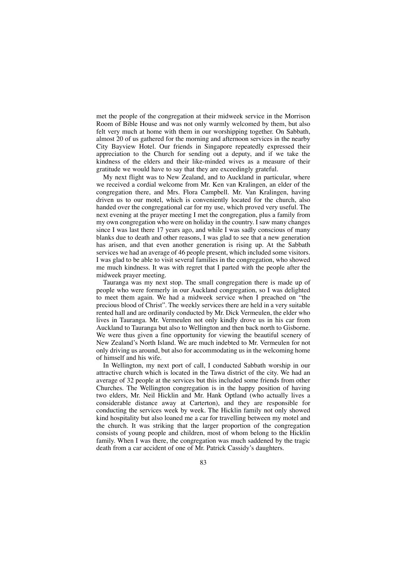met the people of the congregation at their midweek service in the Morrison Room of Bible House and was not only warmly welcomed by them, but also felt very much at home with them in our worshipping together. On Sabbath, almost 20 of us gathered for the morning and afternoon services in the nearby City Bayview Hotel. Our friends in Singapore repeatedly expressed their appreciation to the Church for sending out a deputy, and if we take the kindness of the elders and their like-minded wives as a measure of their gratitude we would have to say that they are exceedingly grateful.

My next flight was to New Zealand, and to Auckland in particular, where we received a cordial welcome from Mr. Ken van Kralingen, an elder of the congregation there, and Mrs. Flora Campbell. Mr. Van Kralingen, having driven us to our motel, which is conveniently located for the church, also handed over the congregational car for my use, which proved very useful. The next evening at the prayer meeting I met the congregation, plus a family from my own congregation who were on holiday in the country. I saw many changes since I was last there 17 years ago, and while I was sadly conscious of many blanks due to death and other reasons, I was glad to see that a new generation has arisen, and that even another generation is rising up. At the Sabbath services we had an average of 46 people present, which included some visitors. I was glad to be able to visit several families in the congregation, who showed me much kindness. It was with regret that I parted with the people after the midweek prayer meeting.

Tauranga was my next stop. The small congregation there is made up of people who were formerly in our Auckland congregation, so I was delighted to meet them again. We had a midweek service when I preached on "the precious blood of Christ". The weekly services there are held in a very suitable rented hall and are ordinarily conducted by Mr. Dick Vermeulen, the elder who lives in Tauranga. Mr. Vermeulen not only kindly drove us in his car from Auckland to Tauranga but also to Wellington and then back north to Gisborne. We were thus given a fine opportunity for viewing the beautiful scenery of New Zealand's North Island. We are much indebted to Mr. Vermeulen for not only driving us around, but also for accommodating us in the welcoming home of himself and his wife.

In Wellington, my next port of call, I conducted Sabbath worship in our attractive church which is located in the Tawa district of the city. We had an average of 32 people at the services but this included some friends from other Churches. The Wellington congregation is in the happy position of having two elders, Mr. Neil Hicklin and Mr. Hank Optland (who actually lives a considerable distance away at Carterton), and they are responsible for conducting the services week by week. The Hicklin family not only showed kind hospitality but also loaned me a car for travelling between my motel and the church. It was striking that the larger proportion of the congregation consists of young people and children, most of whom belong to the Hicklin family. When I was there, the congregation was much saddened by the tragic death from a car accident of one of Mr. Patrick Cassidy's daughters.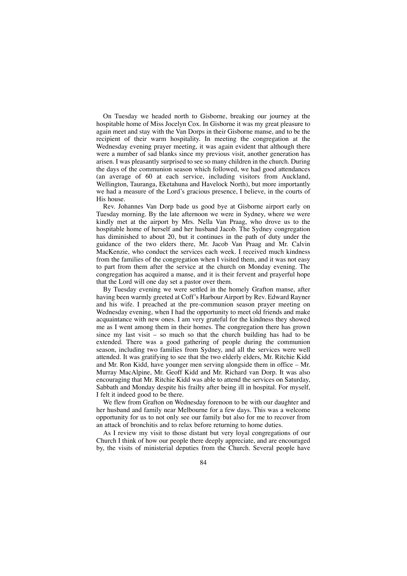On Tuesday we headed north to Gisborne, breaking our journey at the hospitable home of Miss Jocelyn Cox. In Gisborne it was my great pleasure to again meet and stay with the Van Dorps in their Gisborne manse, and to be the recipient of their warm hospitality. In meeting the congregation at the Wednesday evening prayer meeting, it was again evident that although there were a number of sad blanks since my previous visit, another generation has arisen. I was pleasantly surprised to see so many children in the church. During the days of the communion season which followed, we had good attendances (an average of 60 at each service, including visitors from Auckland, Wellington, Tauranga, Eketahuna and Havelock North), but more importantly we had a measure of the Lord's gracious presence, I believe, in the courts of His house.

Rev. Johannes Van Dorp bade us good bye at Gisborne airport early on Tuesday morning. By the late afternoon we were in Sydney, where we were kindly met at the airport by Mrs. Nella Van Praag, who drove us to the hospitable home of herself and her husband Jacob. The Sydney congregation has diminished to about 20, but it continues in the path of duty under the guidance of the two elders there, Mr. Jacob Van Praag and Mr. Calvin MacKenzie, who conduct the services each week. I received much kindness from the families of the congregation when I visited them, and it was not easy to part from them after the service at the church on Monday evening. The congregation has acquired a manse, and it is their fervent and prayerful hope that the Lord will one day set a pastor over them.

By Tuesday evening we were settled in the homely Grafton manse, after having been warmly greeted at Coff's Harbour Airport by Rev. Edward Rayner and his wife. I preached at the pre-communion season prayer meeting on Wednesday evening, when I had the opportunity to meet old friends and make acquaintance with new ones. I am very grateful for the kindness they showed me as I went among them in their homes. The congregation there has grown since my last visit – so much so that the church building has had to be extended. There was a good gathering of people during the communion season, including two families from Sydney, and all the services were well attended. It was gratifying to see that the two elderly elders, Mr. Ritchie Kidd and Mr. Ron Kidd, have younger men serving alongside them in office – Mr. Murray MacAlpine, Mr. Geoff Kidd and Mr. Richard van Dorp. It was also encouraging that Mr. Ritchie Kidd was able to attend the services on Saturday, Sabbath and Monday despite his frailty after being ill in hospital. For myself, I felt it indeed good to be there.

We flew from Grafton on Wednesday forenoon to be with our daughter and her husband and family near Melbourne for a few days. This was a welcome opportunity for us to not only see our family but also for me to recover from an attack of bronchitis and to relax before returning to home duties.

As I review my visit to those distant but very loyal congregations of our Church I think of how our people there deeply appreciate, and are encouraged by, the visits of ministerial deputies from the Church. Several people have